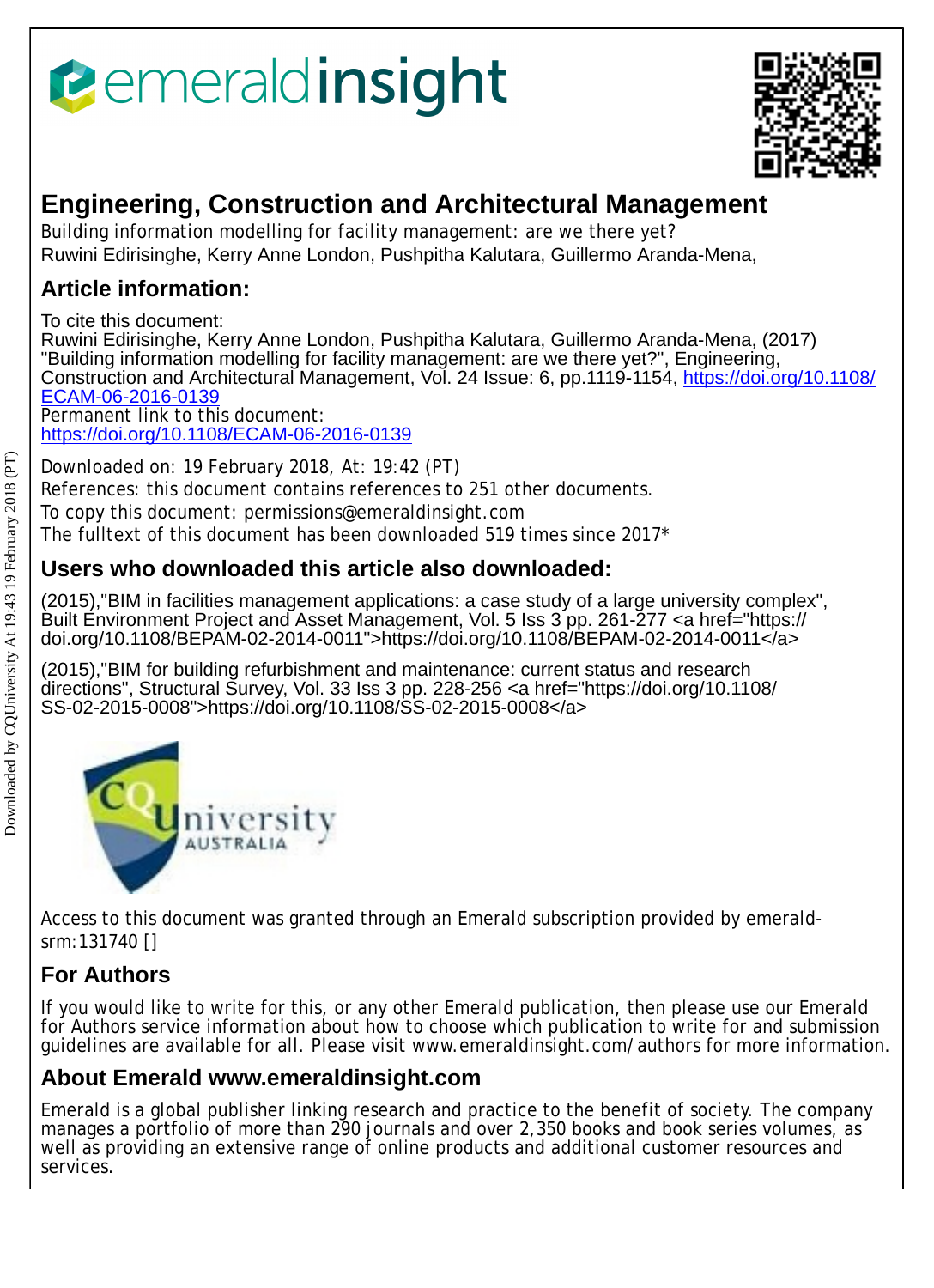# *<u><b>e*emeraldinsight</u>



# **Engineering, Construction and Architectural Management**

Building information modelling for facility management: are we there yet? Ruwini Edirisinghe, Kerry Anne London, Pushpitha Kalutara, Guillermo Aranda-Mena,

# **Article information:**

To cite this document:

Ruwini Edirisinghe, Kerry Anne London, Pushpitha Kalutara, Guillermo Aranda-Mena, (2017) "Building information modelling for facility management: are we there yet?", Engineering, Construction and Architectural Management, Vol. 24 Issue: 6, pp.1119-1154, [https://doi.org/10.1108/](https://doi.org/10.1108/ECAM-06-2016-0139) [ECAM-06-2016-0139](https://doi.org/10.1108/ECAM-06-2016-0139) Permanent link to this document:

<https://doi.org/10.1108/ECAM-06-2016-0139>

Downloaded on: 19 February 2018, At: 19:42 (PT) References: this document contains references to 251 other documents. To copy this document: permissions@emeraldinsight.com The fulltext of this document has been downloaded 519 times since 2017\*

# **Users who downloaded this article also downloaded:**

(2015),"BIM in facilities management applications: a case study of a large university complex", Built Environment Project and Asset Management, Vol. 5 Iss 3 pp. 261-277 < a href="https:// doi.org/10.1108/BEPAM-02-2014-0011">https://doi.org/10.1108/BEPAM-02-2014-0011</a>

(2015),"BIM for building refurbishment and maintenance: current status and research directions", Structural Survey, Vol. 33 Iss 3 pp. 228-256 <a href="https://doi.org/10.1108/ SS-02-2015-0008">https://doi.org/10.1108/SS-02-2015-0008</a>



Access to this document was granted through an Emerald subscription provided by emeraldsrm:131740 []

# **For Authors**

If you would like to write for this, or any other Emerald publication, then please use our Emerald for Authors service information about how to choose which publication to write for and submission guidelines are available for all. Please visit www.emeraldinsight.com/authors for more information.

# **About Emerald www.emeraldinsight.com**

Emerald is a global publisher linking research and practice to the benefit of society. The company manages a portfolio of more than 290 journals and over 2,350 books and book series volumes, as well as providing an extensive range of online products and additional customer resources and services.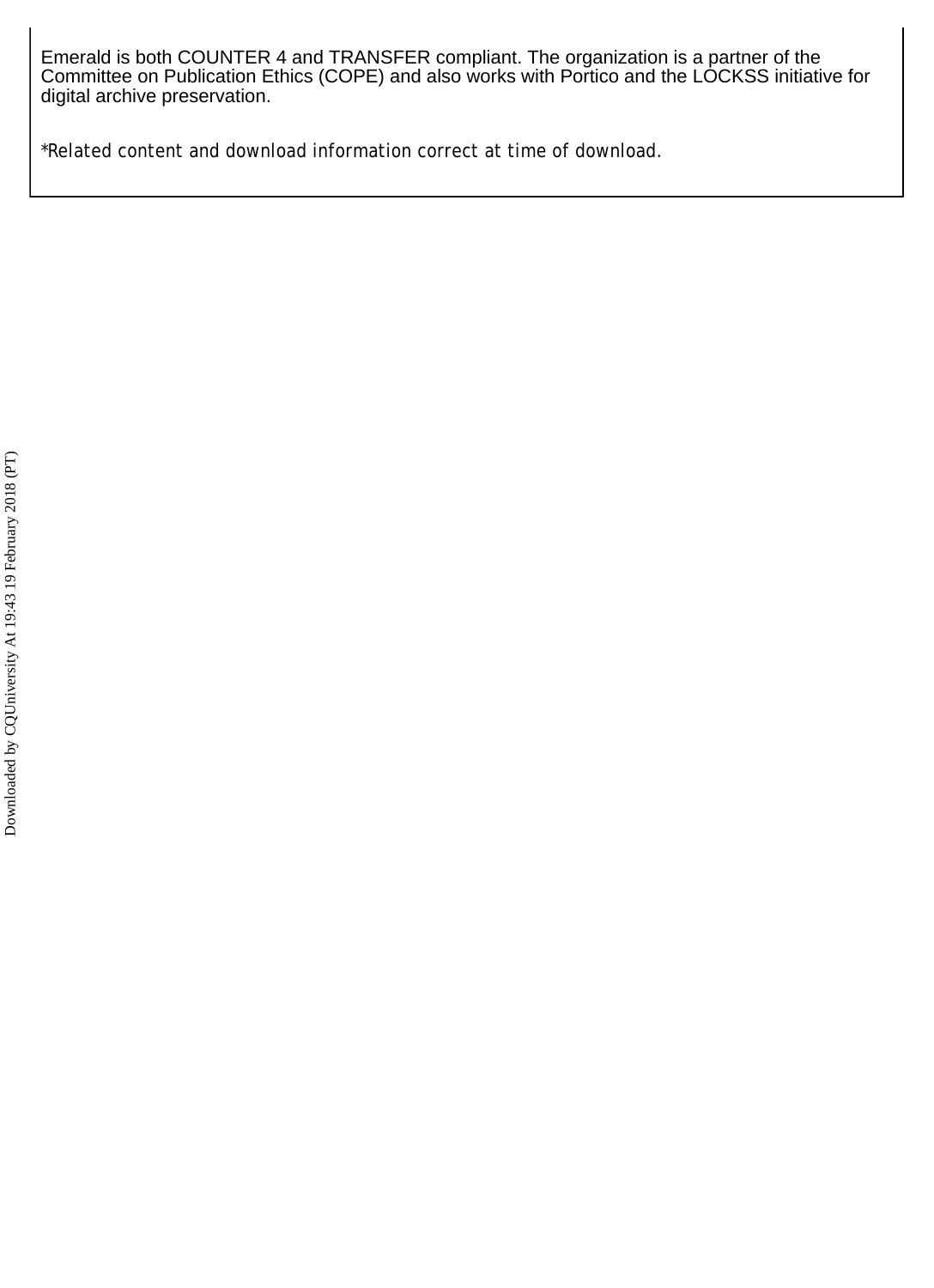Emerald is both COUNTER 4 and TRANSFER compliant. The organization is a partner of the Committee on Publication Ethics (COPE) and also works with Portico and the LOCKSS initiative for digital archive preservation.

\*Related content and download information correct at time of download.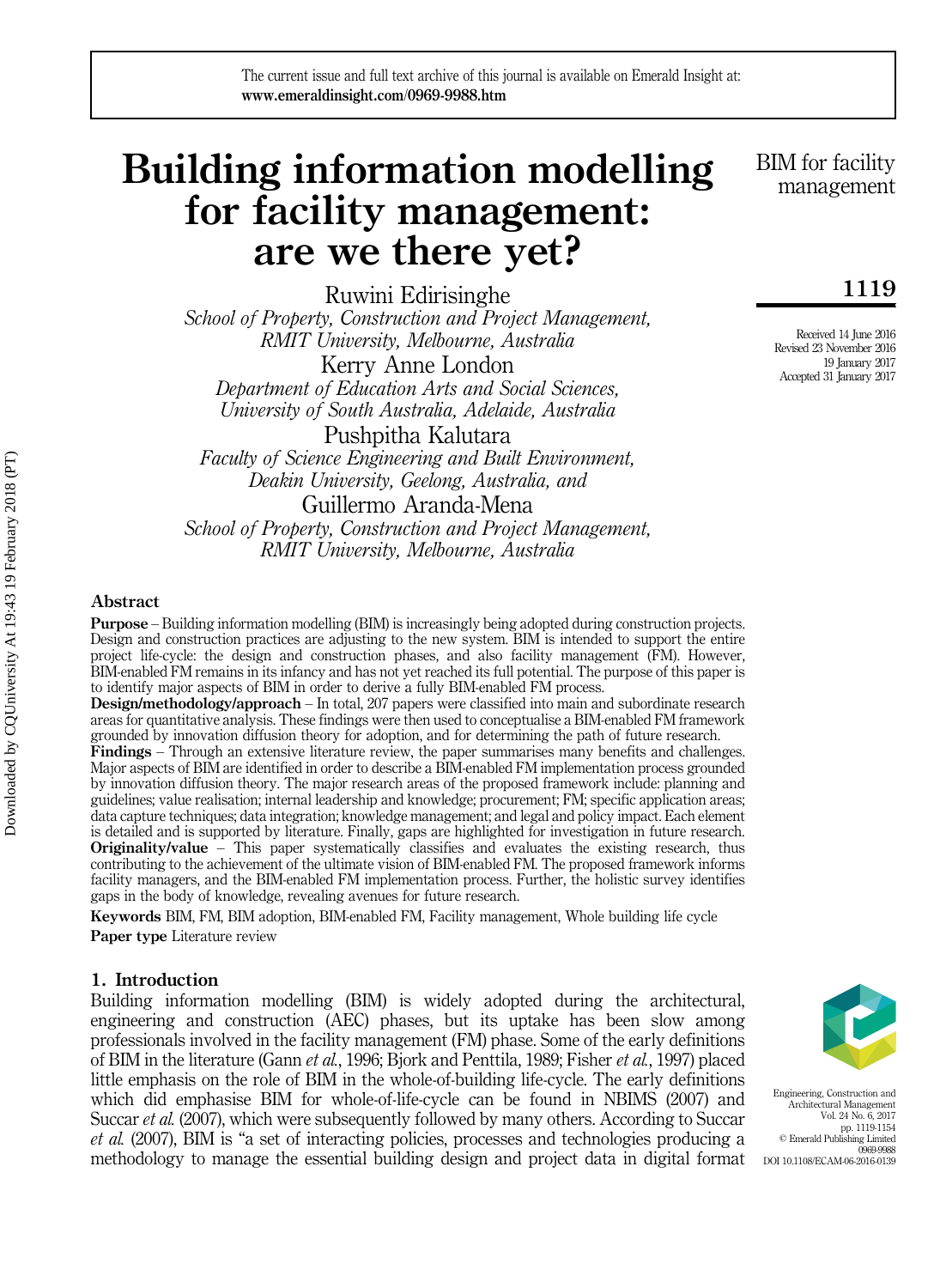# Building information modelling for facility management: are we there yet?

Ruwini Edirisinghe School of Property, Construction and Project Management, RMIT University, Melbourne, Australia

Kerry Anne London Department of Education Arts and Social Sciences, University of South Australia, Adelaide, Australia

Pushpitha Kalutara Faculty of Science Engineering and Built Environment, Deakin University, Geelong, Australia, and

Guillermo Aranda-Mena School of Property, Construction and Project Management, RMIT University, Melbourne, Australia

### BIM for facility management

1119

Received 14 June 2016 Revised 23 November 2016 19 January 2017 Accepted 31 January 2017

### Abstract

Purpose – Building information modelling (BIM) is increasingly being adopted during construction projects. Design and construction practices are adjusting to the new system. BIM is intended to support the entire project life-cycle: the design and construction phases, and also facility management (FM). However, BIM-enabled FM remains in its infancy and has not yet reached its full potential. The purpose of this paper is to identify major aspects of BIM in order to derive a fully BIM-enabled FM process.

Design/methodology/approach – In total, 207 papers were classified into main and subordinate research areas for quantitative analysis. These findings were then used to conceptualise a BIM-enabled FM framework grounded by innovation diffusion theory for adoption, and for determining the path of future research.

Findings – Through an extensive literature review, the paper summarises many benefits and challenges. Major aspects of BIM are identified in order to describe a BIM-enabled FM implementation process grounded by innovation diffusion theory. The major research areas of the proposed framework include: planning and guidelines; value realisation; internal leadership and knowledge; procurement; FM; specific application areas; data capture techniques; data integration; knowledge management; and legal and policy impact. Each element is detailed and is supported by literature. Finally, gaps are highlighted for investigation in future research. Originality/value – This paper systematically classifies and evaluates the existing research, thus contributing to the achievement of the ultimate vision of BIM-enabled FM. The proposed framework informs facility managers, and the BIM-enabled FM implementation process. Further, the holistic survey identifies gaps in the body of knowledge, revealing avenues for future research.

Keywords BIM, FM, BIM adoption, BIM-enabled FM, Facility management, Whole building life cycle Paper type Literature review

### 1. Introduction

Building information modelling (BIM) is widely adopted during the architectural, engineering and construction (AEC) phases, but its uptake has been slow among professionals involved in the facility management (FM) phase. Some of the early definitions of BIM in the literature (Gann et al., 1996; Bjork and Penttila, 1989; Fisher et al., 1997) placed little emphasis on the role of BIM in the whole-of-building life-cycle. The early definitions which did emphasise BIM for whole-of-life-cycle can be found in NBIMS (2007) and Succar *et al.* (2007), which were subsequently followed by many others. According to Succar et al. (2007), BIM is "a set of interacting policies, processes and technologies producing a methodology to manage the essential building design and project data in digital format



Engineering, Construction and Architectural Management Vol. 24 No. 6, 2017 pp. 1119-1154 © Emerald Publishing Limited 0969-9988 DOI 10.1108/ECAM-06-2016-0139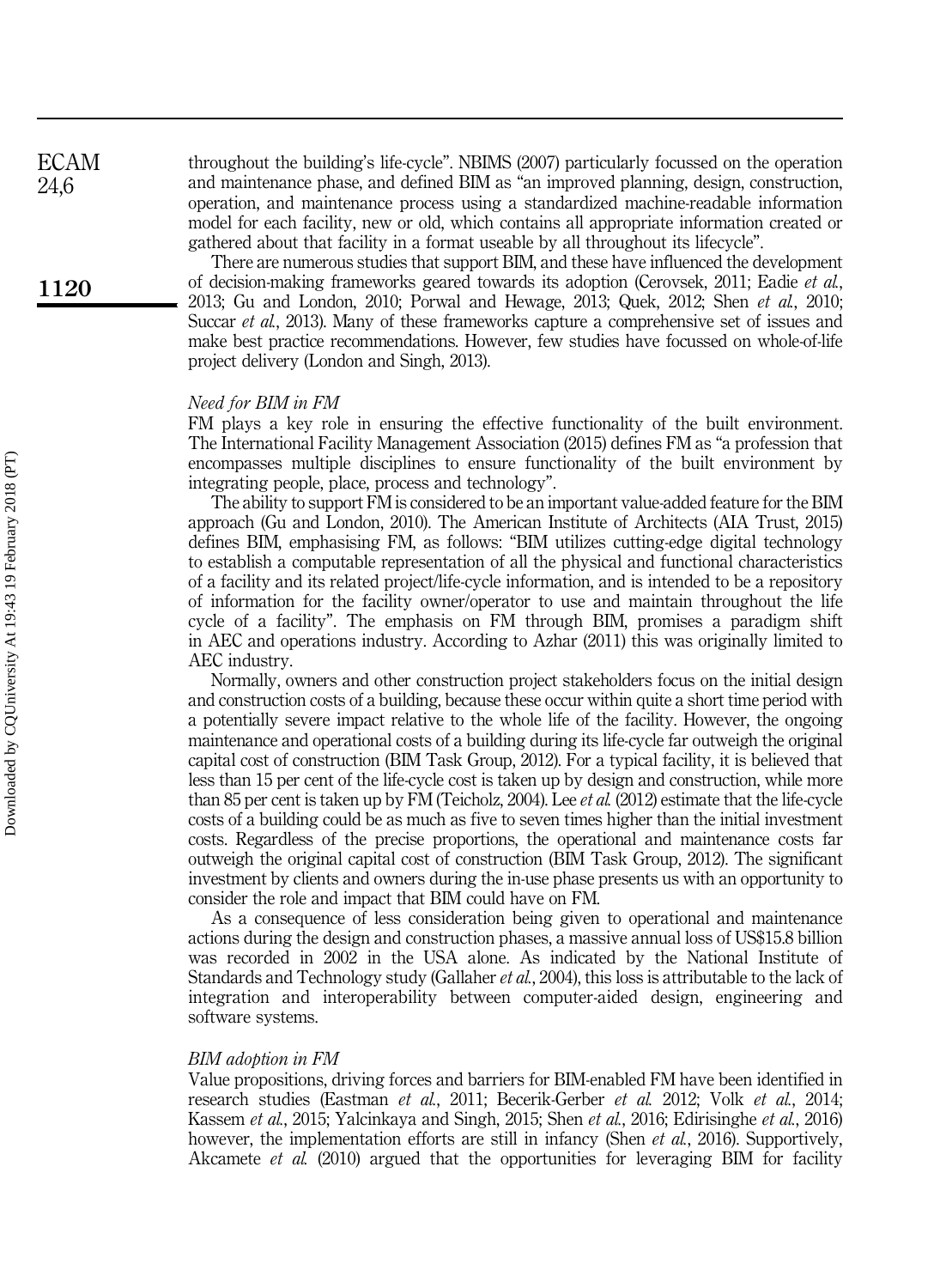throughout the building's life-cycle". NBIMS (2007) particularly focussed on the operation and maintenance phase, and defined BIM as "an improved planning, design, construction, operation, and maintenance process using a standardized machine-readable information model for each facility, new or old, which contains all appropriate information created or gathered about that facility in a format useable by all throughout its lifecycle".

There are numerous studies that support BIM, and these have influenced the development of decision-making frameworks geared towards its adoption (Cerovsek, 2011; Eadie et al., 2013; Gu and London, 2010; Porwal and Hewage, 2013; Quek, 2012; Shen et al., 2010; Succar et al., 2013). Many of these frameworks capture a comprehensive set of issues and make best practice recommendations. However, few studies have focussed on whole-of-life project delivery (London and Singh, 2013).

### Need for BIM in FM

FM plays a key role in ensuring the effective functionality of the built environment. The International Facility Management Association (2015) defines FM as "a profession that encompasses multiple disciplines to ensure functionality of the built environment by integrating people, place, process and technology".

The ability to support FM is considered to be an important value-added feature for the BIM approach (Gu and London, 2010). The American Institute of Architects (AIA Trust, 2015) defines BIM, emphasising FM, as follows: "BIM utilizes cutting-edge digital technology to establish a computable representation of all the physical and functional characteristics of a facility and its related project/life-cycle information, and is intended to be a repository of information for the facility owner/operator to use and maintain throughout the life cycle of a facility". The emphasis on FM through BIM, promises a paradigm shift in AEC and operations industry. According to Azhar (2011) this was originally limited to AEC industry.

Normally, owners and other construction project stakeholders focus on the initial design and construction costs of a building, because these occur within quite a short time period with a potentially severe impact relative to the whole life of the facility. However, the ongoing maintenance and operational costs of a building during its life-cycle far outweigh the original capital cost of construction (BIM Task Group, 2012). For a typical facility, it is believed that less than 15 per cent of the life-cycle cost is taken up by design and construction, while more than 85 per cent is taken up by FM (Teicholz, 2004). Lee *et al.* (2012) estimate that the life-cycle costs of a building could be as much as five to seven times higher than the initial investment costs. Regardless of the precise proportions, the operational and maintenance costs far outweigh the original capital cost of construction (BIM Task Group, 2012). The significant investment by clients and owners during the in-use phase presents us with an opportunity to consider the role and impact that BIM could have on FM.

As a consequence of less consideration being given to operational and maintenance actions during the design and construction phases, a massive annual loss of US\$15.8 billion was recorded in 2002 in the USA alone. As indicated by the National Institute of Standards and Technology study (Gallaher *et al.*, 2004), this loss is attributable to the lack of integration and interoperability between computer-aided design, engineering and software systems.

### BIM adoption in FM

Value propositions, driving forces and barriers for BIM-enabled FM have been identified in research studies (Eastman et al., 2011; Becerik-Gerber et al. 2012; Volk et al., 2014; Kassem et al., 2015; Yalcinkaya and Singh, 2015; Shen et al., 2016; Edirisinghe et al., 2016) however, the implementation efforts are still in infancy (Shen *et al.*, 2016). Supportively, Akcamete et al. (2010) argued that the opportunities for leveraging BIM for facility

1120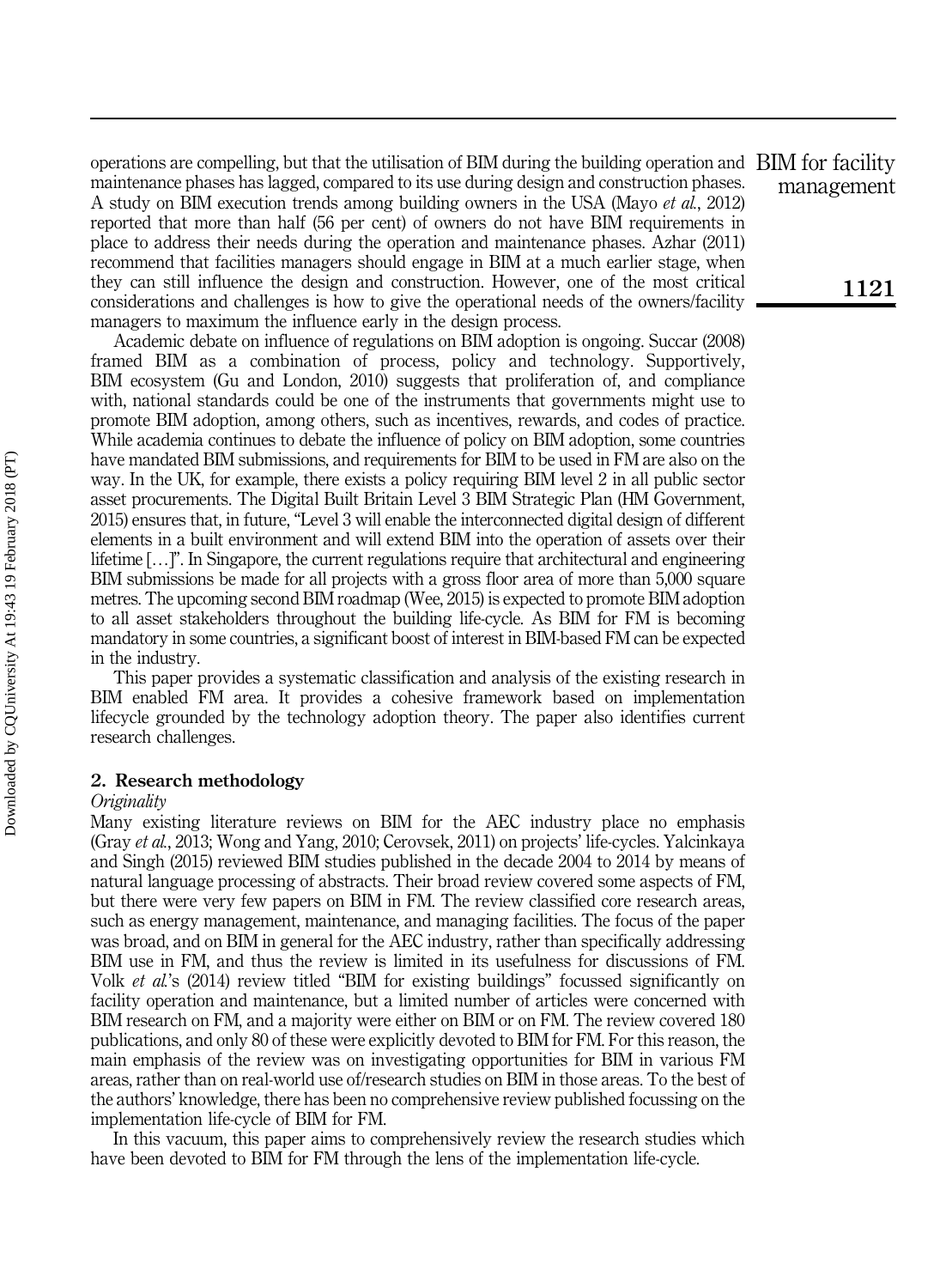operations are compelling, but that the utilisation of BIM during the building operation and BIM for facility maintenance phases has lagged, compared to its use during design and construction phases. A study on BIM execution trends among building owners in the USA (Mayo et al., 2012) reported that more than half (56 per cent) of owners do not have BIM requirements in place to address their needs during the operation and maintenance phases. Azhar (2011) recommend that facilities managers should engage in BIM at a much earlier stage, when they can still influence the design and construction. However, one of the most critical considerations and challenges is how to give the operational needs of the owners/facility managers to maximum the influence early in the design process.

Academic debate on influence of regulations on BIM adoption is ongoing. Succar (2008) framed BIM as a combination of process, policy and technology. Supportively, BIM ecosystem (Gu and London, 2010) suggests that proliferation of, and compliance with, national standards could be one of the instruments that governments might use to promote BIM adoption, among others, such as incentives, rewards, and codes of practice. While academia continues to debate the influence of policy on BIM adoption, some countries have mandated BIM submissions, and requirements for BIM to be used in FM are also on the way. In the UK, for example, there exists a policy requiring BIM level 2 in all public sector asset procurements. The Digital Built Britain Level 3 BIM Strategic Plan (HM Government, 2015) ensures that, in future, "Level 3 will enable the interconnected digital design of different elements in a built environment and will extend BIM into the operation of assets over their lifetime […]". In Singapore, the current regulations require that architectural and engineering BIM submissions be made for all projects with a gross floor area of more than 5,000 square metres. The upcoming second BIM roadmap (Wee, 2015) is expected to promote BIM adoption to all asset stakeholders throughout the building life-cycle. As BIM for FM is becoming mandatory in some countries, a significant boost of interest in BIM-based FM can be expected in the industry.

This paper provides a systematic classification and analysis of the existing research in BIM enabled FM area. It provides a cohesive framework based on implementation lifecycle grounded by the technology adoption theory. The paper also identifies current research challenges.

### 2. Research methodology

### Originality

Many existing literature reviews on BIM for the AEC industry place no emphasis (Gray et al., 2013; Wong and Yang, 2010; Cerovsek, 2011) on projects' life-cycles. Yalcinkaya and Singh (2015) reviewed BIM studies published in the decade 2004 to 2014 by means of natural language processing of abstracts. Their broad review covered some aspects of FM, but there were very few papers on BIM in FM. The review classified core research areas, such as energy management, maintenance, and managing facilities. The focus of the paper was broad, and on BIM in general for the AEC industry, rather than specifically addressing BIM use in FM, and thus the review is limited in its usefulness for discussions of FM. Volk et al.'s (2014) review titled "BIM for existing buildings" focussed significantly on facility operation and maintenance, but a limited number of articles were concerned with BIM research on FM, and a majority were either on BIM or on FM. The review covered 180 publications, and only 80 of these were explicitly devoted to BIM for FM. For this reason, the main emphasis of the review was on investigating opportunities for BIM in various FM areas, rather than on real-world use of/research studies on BIM in those areas. To the best of the authors' knowledge, there has been no comprehensive review published focussing on the implementation life-cycle of BIM for FM.

In this vacuum, this paper aims to comprehensively review the research studies which have been devoted to BIM for FM through the lens of the implementation life-cycle.

management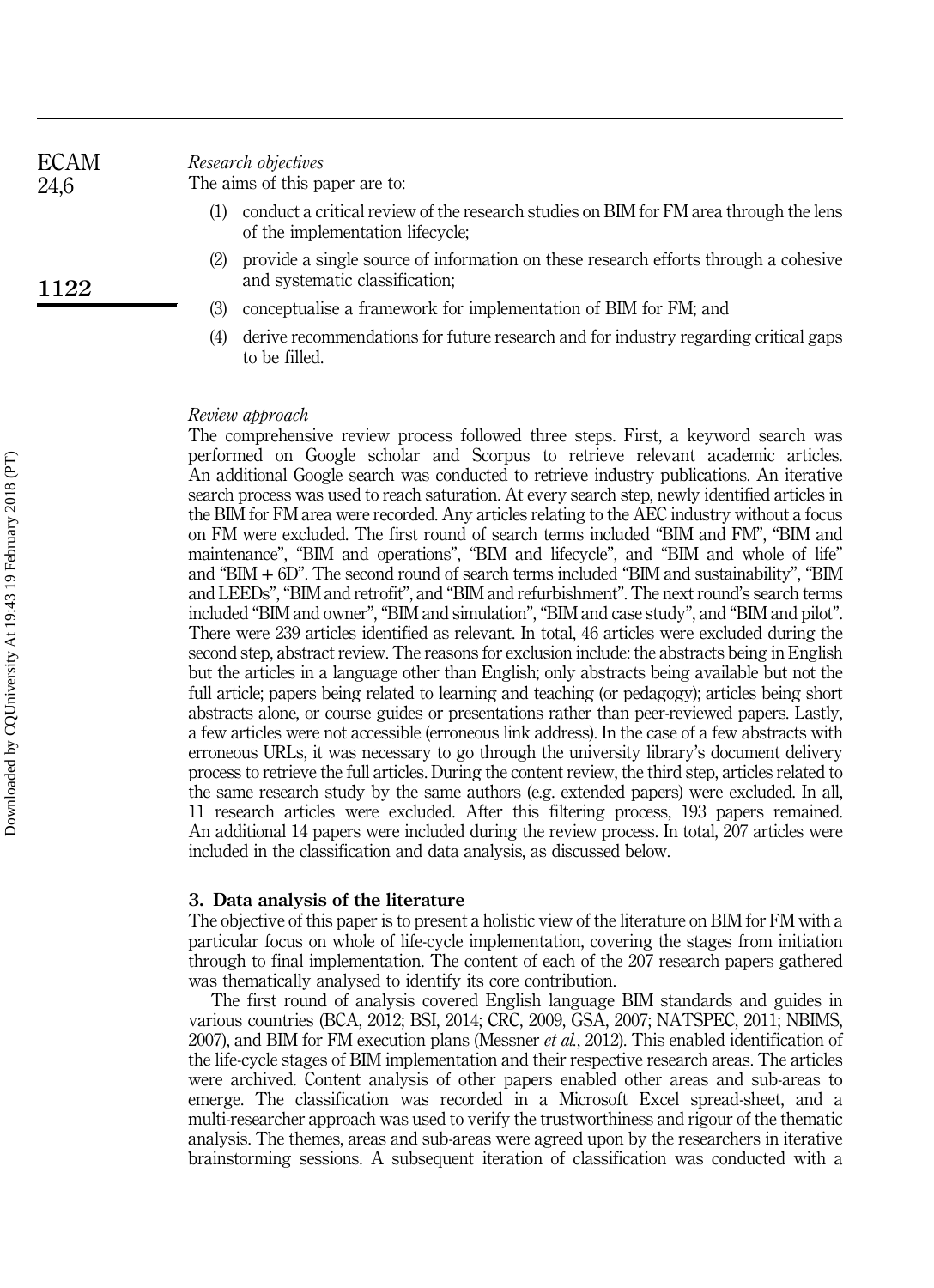| <b>ECAM</b><br>24,6 | Research objectives<br>The aims of this paper are to: |                                                                                                                           |
|---------------------|-------------------------------------------------------|---------------------------------------------------------------------------------------------------------------------------|
|                     |                                                       | conduct a critical review of the research studies on BIM for FM area through the lens<br>of the implementation lifecycle; |
| 1122                | (2)                                                   | provide a single source of information on these research efforts through a cohesive<br>and systematic classification;     |
|                     | (3)                                                   | conceptualise a framework for implementation of BIM for FM; and                                                           |
|                     | (4)                                                   | derive recommendations for future research and for industry regarding critical gaps<br>to be filled.                      |
|                     |                                                       |                                                                                                                           |

### Review approach

The comprehensive review process followed three steps. First, a keyword search was performed on Google scholar and Scorpus to retrieve relevant academic articles. An additional Google search was conducted to retrieve industry publications. An iterative search process was used to reach saturation. At every search step, newly identified articles in the BIM for FM area were recorded. Any articles relating to the AEC industry without a focus on FM were excluded. The first round of search terms included "BIM and FM", "BIM and maintenance", "BIM and operations", "BIM and lifecycle", and "BIM and whole of life" and "BIM  $+$  6D". The second round of search terms included "BIM and sustainability", "BIM and LEEDs", "BIM and retrofit", and "BIM and refurbishment". The next round's search terms included "BIM and owner", "BIM and simulation", "BIM and case study", and "BIM and pilot". There were 239 articles identified as relevant. In total, 46 articles were excluded during the second step, abstract review. The reasons for exclusion include: the abstracts being in English but the articles in a language other than English; only abstracts being available but not the full article; papers being related to learning and teaching (or pedagogy); articles being short abstracts alone, or course guides or presentations rather than peer-reviewed papers. Lastly, a few articles were not accessible (erroneous link address). In the case of a few abstracts with erroneous URLs, it was necessary to go through the university library's document delivery process to retrieve the full articles. During the content review, the third step, articles related to the same research study by the same authors (e.g. extended papers) were excluded. In all, 11 research articles were excluded. After this filtering process, 193 papers remained. An additional 14 papers were included during the review process. In total, 207 articles were included in the classification and data analysis, as discussed below.

### 3. Data analysis of the literature

The objective of this paper is to present a holistic view of the literature on BIM for FM with a particular focus on whole of life-cycle implementation, covering the stages from initiation through to final implementation. The content of each of the 207 research papers gathered was thematically analysed to identify its core contribution.

The first round of analysis covered English language BIM standards and guides in various countries (BCA, 2012; BSI, 2014; CRC, 2009, GSA, 2007; NATSPEC, 2011; NBIMS, 2007), and BIM for FM execution plans (Messner et al., 2012). This enabled identification of the life-cycle stages of BIM implementation and their respective research areas. The articles were archived. Content analysis of other papers enabled other areas and sub-areas to emerge. The classification was recorded in a Microsoft Excel spread-sheet, and a multi-researcher approach was used to verify the trustworthiness and rigour of the thematic analysis. The themes, areas and sub-areas were agreed upon by the researchers in iterative brainstorming sessions. A subsequent iteration of classification was conducted with a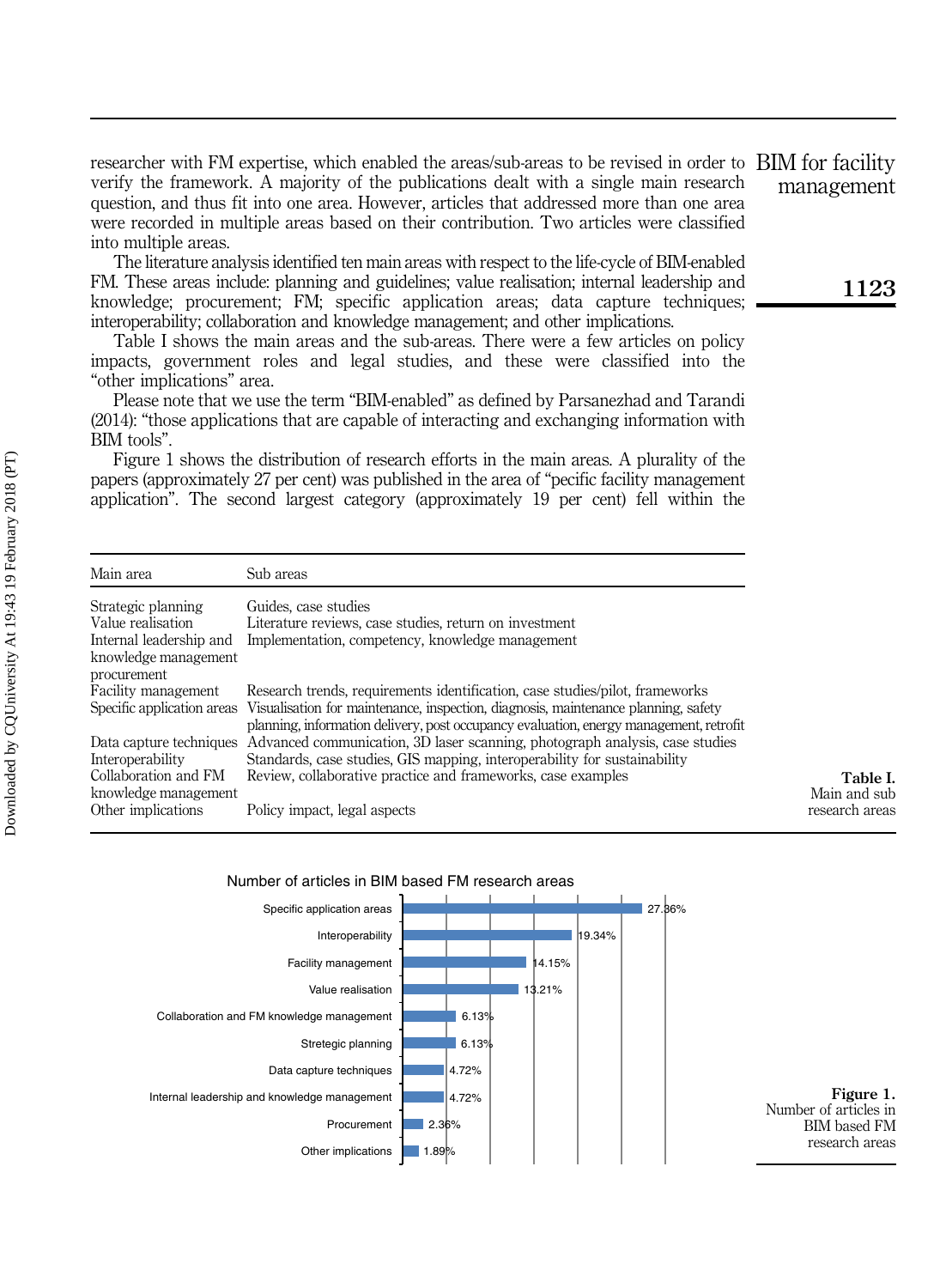researcher with FM expertise, which enabled the areas/sub-areas to be revised in order to BIM for facility verify the framework. A majority of the publications dealt with a single main research question, and thus fit into one area. However, articles that addressed more than one area were recorded in multiple areas based on their contribution. Two articles were classified into multiple areas. management

The literature analysis identified ten main areas with respect to the life-cycle of BIM-enabled FM. These areas include: planning and guidelines; value realisation; internal leadership and knowledge; procurement; FM; specific application areas; data capture techniques; interoperability; collaboration and knowledge management; and other implications.

Table I shows the main areas and the sub-areas. There were a few articles on policy impacts, government roles and legal studies, and these were classified into the "other implications" area.

Please note that we use the term "BIM-enabled" as defined by Parsanezhad and Tarandi (2014): "those applications that are capable of interacting and exchanging information with BIM tools".

Figure 1 shows the distribution of research efforts in the main areas. A plurality of the papers (approximately 27 per cent) was published in the area of "pecific facility management application". The second largest category (approximately 19 per cent) fell within the

| Main area               | Sub areas                                                                                                                                                                                               |
|-------------------------|---------------------------------------------------------------------------------------------------------------------------------------------------------------------------------------------------------|
| Strategic planning      | Guides, case studies                                                                                                                                                                                    |
| Value realisation       | Literature reviews, case studies, return on investment                                                                                                                                                  |
| Internal leadership and | Implementation, competency, knowledge management                                                                                                                                                        |
| knowledge management    |                                                                                                                                                                                                         |
| procurement             |                                                                                                                                                                                                         |
| Facility management     | Research trends, requirements identification, case studies/pilot, frameworks                                                                                                                            |
|                         | Specific application areas Visualisation for maintenance, inspection, diagnosis, maintenance planning, safety<br>planning, information delivery, post occupancy evaluation, energy management, retrofit |
| Data capture techniques | Advanced communication, 3D laser scanning, photograph analysis, case studies                                                                                                                            |
| Interoperability        | Standards, case studies, GIS mapping, interoperability for sustainability                                                                                                                               |
| Collaboration and FM    | Review, collaborative practice and frameworks, case examples                                                                                                                                            |
| knowledge management    |                                                                                                                                                                                                         |
| Other implications      | Policy impact, legal aspects                                                                                                                                                                            |
|                         |                                                                                                                                                                                                         |

Table I. Main and sub research areas

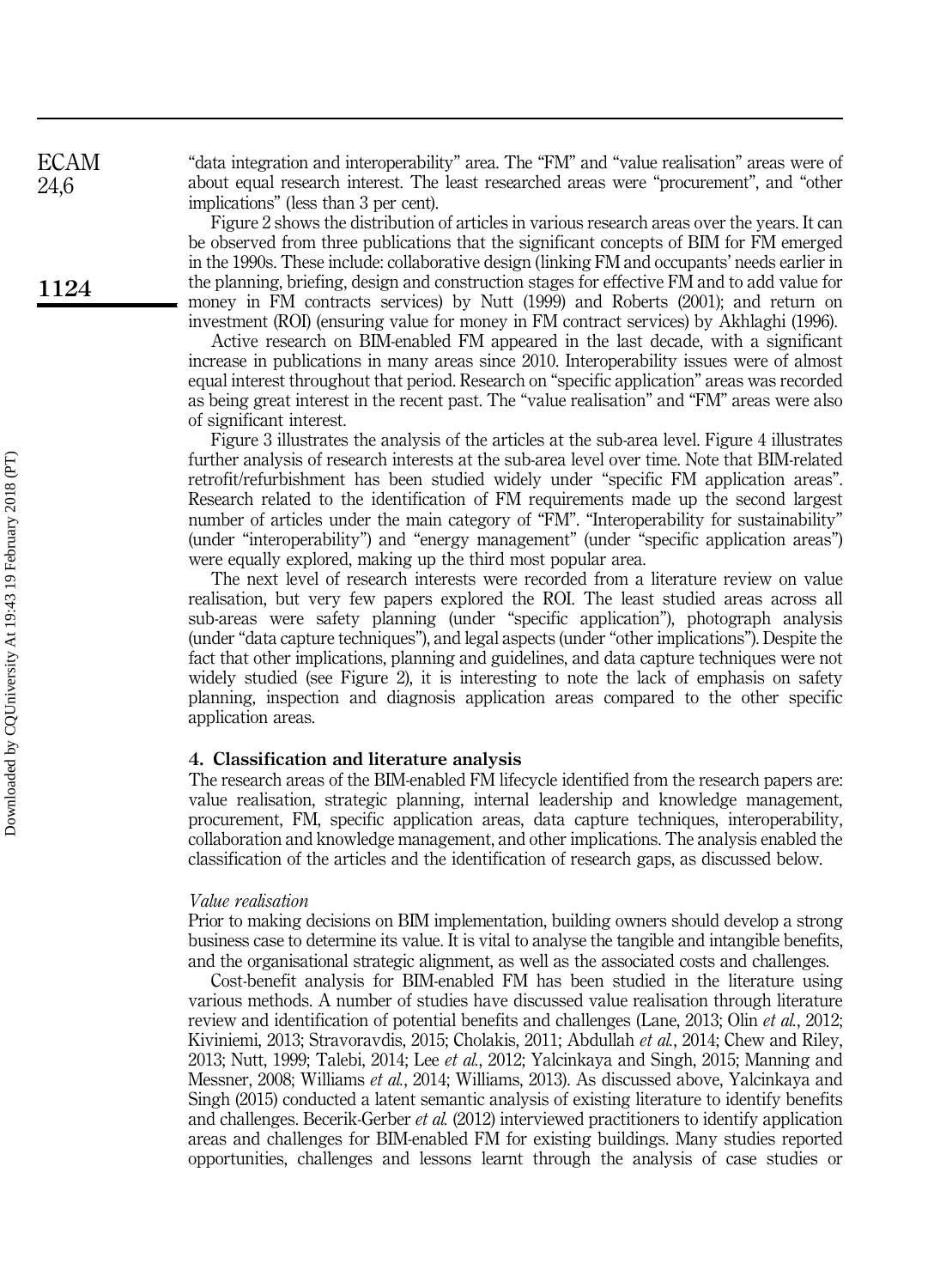"data integration and interoperability" area. The "FM" and "value realisation" areas were of about equal research interest. The least researched areas were "procurement", and "other implications" (less than 3 per cent).

Figure 2 shows the distribution of articles in various research areas over the years. It can be observed from three publications that the significant concepts of BIM for FM emerged in the 1990s. These include: collaborative design (linking FM and occupants' needs earlier in the planning, briefing, design and construction stages for effective FM and to add value for money in FM contracts services) by Nutt (1999) and Roberts (2001); and return on investment (ROI) (ensuring value for money in FM contract services) by Akhlaghi (1996).

Active research on BIM-enabled FM appeared in the last decade, with a significant increase in publications in many areas since 2010. Interoperability issues were of almost equal interest throughout that period. Research on "specific application" areas was recorded as being great interest in the recent past. The "value realisation" and "FM" areas were also of significant interest.

Figure 3 illustrates the analysis of the articles at the sub-area level. Figure 4 illustrates further analysis of research interests at the sub-area level over time. Note that BIM-related retrofit/refurbishment has been studied widely under "specific FM application areas". Research related to the identification of FM requirements made up the second largest number of articles under the main category of "FM". "Interoperability for sustainability" (under "interoperability") and "energy management" (under "specific application areas") were equally explored, making up the third most popular area.

The next level of research interests were recorded from a literature review on value realisation, but very few papers explored the ROI. The least studied areas across all sub-areas were safety planning (under "specific application"), photograph analysis (under "data capture techniques"), and legal aspects (under "other implications"). Despite the fact that other implications, planning and guidelines, and data capture techniques were not widely studied (see Figure 2), it is interesting to note the lack of emphasis on safety planning, inspection and diagnosis application areas compared to the other specific application areas.

### 4. Classification and literature analysis

The research areas of the BIM-enabled FM lifecycle identified from the research papers are: value realisation, strategic planning, internal leadership and knowledge management, procurement, FM, specific application areas, data capture techniques, interoperability, collaboration and knowledge management, and other implications. The analysis enabled the classification of the articles and the identification of research gaps, as discussed below.

### Value realisation

Prior to making decisions on BIM implementation, building owners should develop a strong business case to determine its value. It is vital to analyse the tangible and intangible benefits, and the organisational strategic alignment, as well as the associated costs and challenges.

Cost-benefit analysis for BIM-enabled FM has been studied in the literature using various methods. A number of studies have discussed value realisation through literature review and identification of potential benefits and challenges (Lane, 2013; Olin *et al.*, 2012; Kiviniemi, 2013; Stravoravdis, 2015; Cholakis, 2011; Abdullah et al., 2014; Chew and Riley, 2013; Nutt, 1999; Talebi, 2014; Lee et al., 2012; Yalcinkaya and Singh, 2015; Manning and Messner, 2008; Williams et al., 2014; Williams, 2013). As discussed above, Yalcinkaya and Singh (2015) conducted a latent semantic analysis of existing literature to identify benefits and challenges. Becerik-Gerber et al. (2012) interviewed practitioners to identify application areas and challenges for BIM-enabled FM for existing buildings. Many studies reported opportunities, challenges and lessons learnt through the analysis of case studies or

1124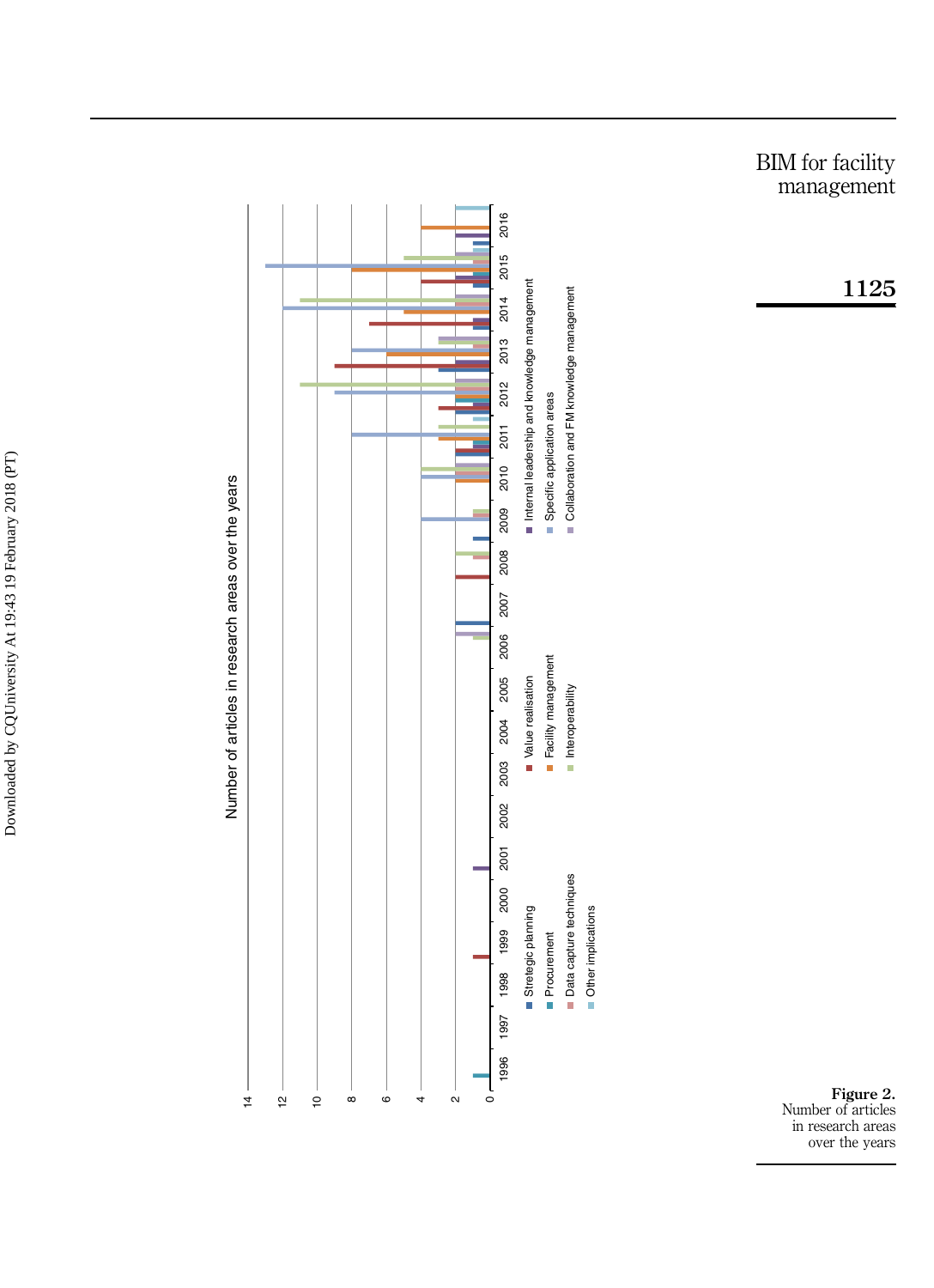



Number of articles in research areas over the years

1125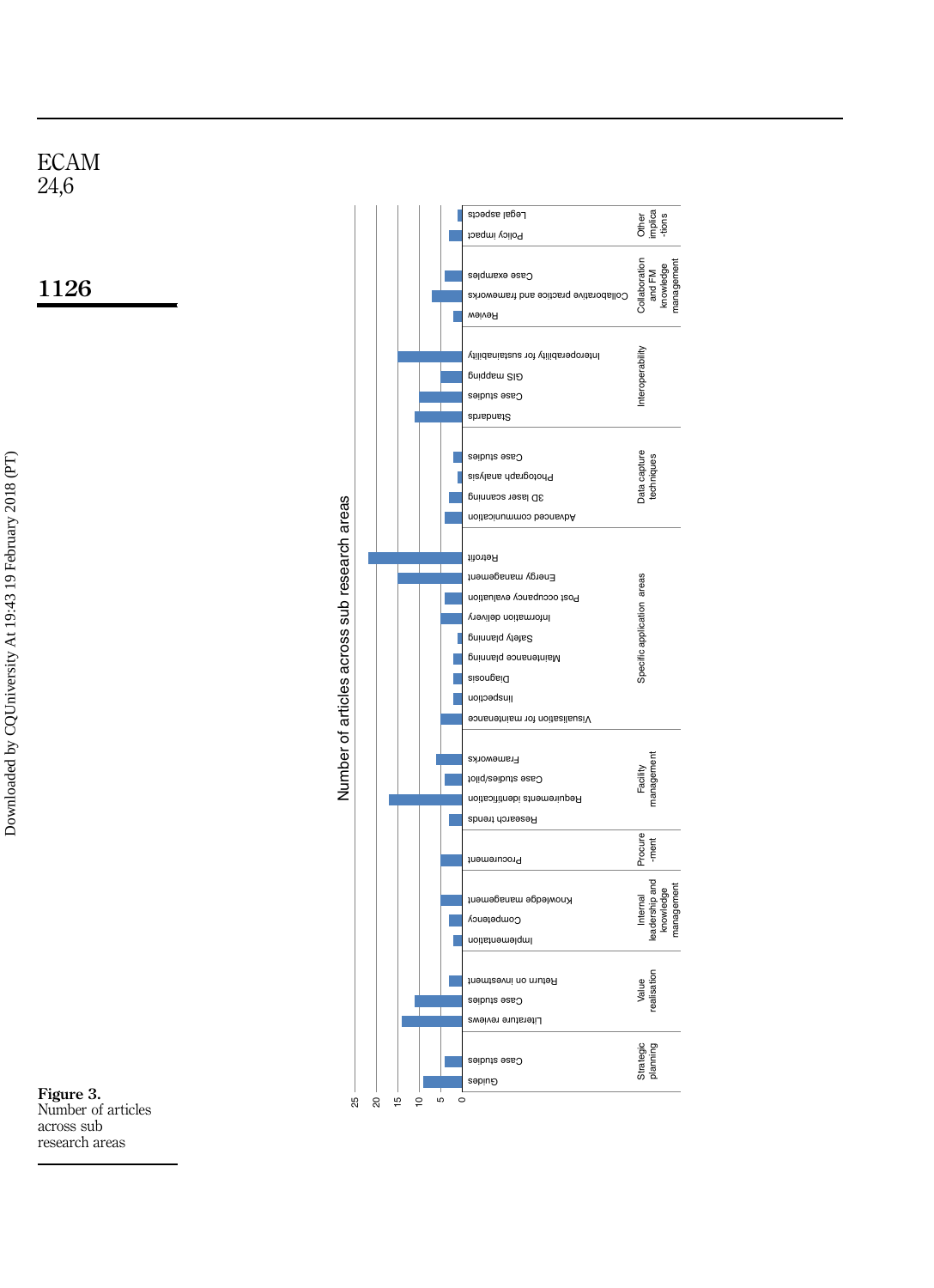

Figure 3. Number of articles across sub research areas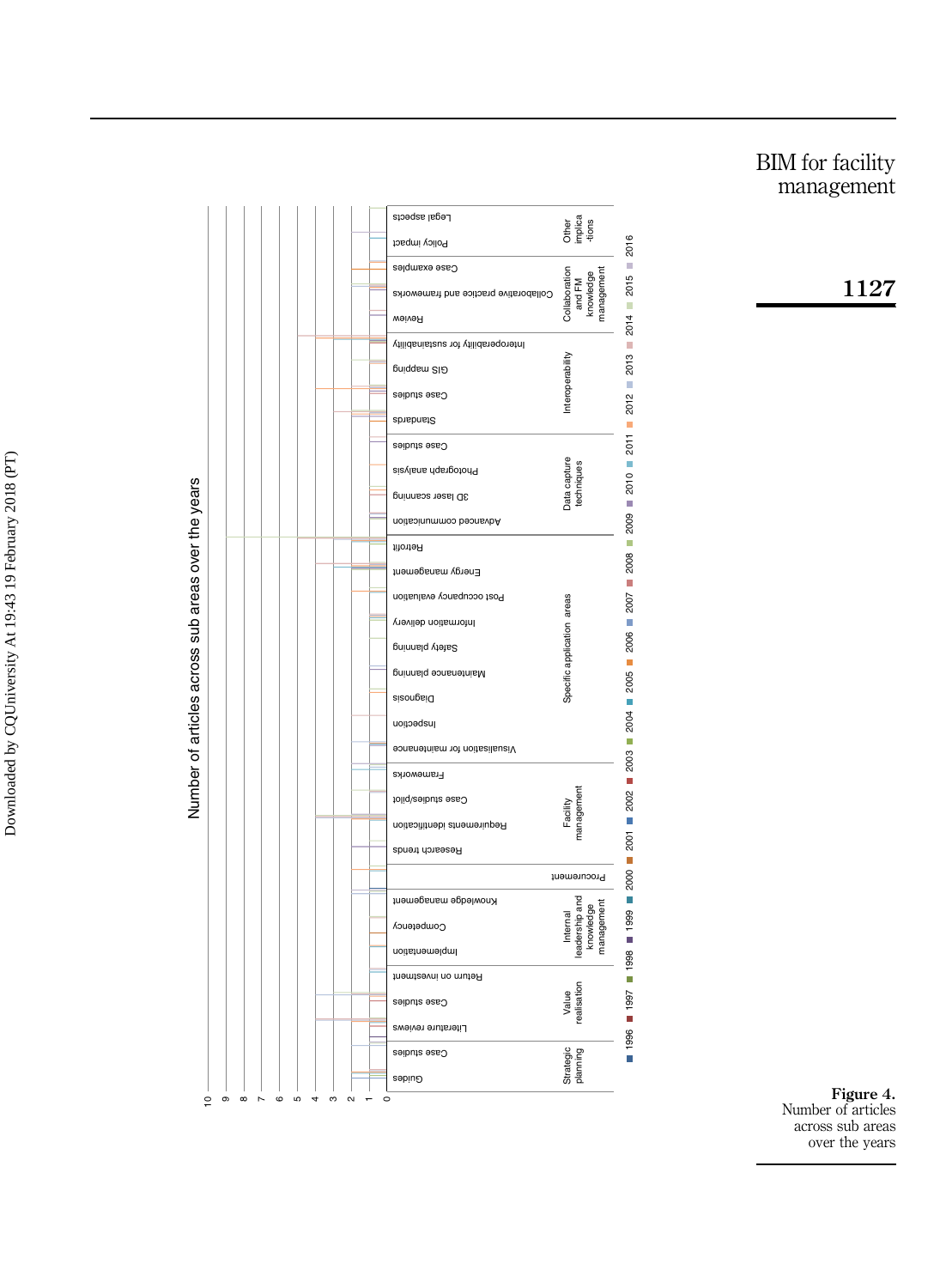Downloaded by CQUniversity At 19:43 19 February 2018 (PT) Downloaded by CQUniversity At 19:43 19 February 2018 (PT)



# Number of articles across sub areas over the years Number of articles across sub areas over the years

BIM for facility management

1127

Number of articles across sub areas over the years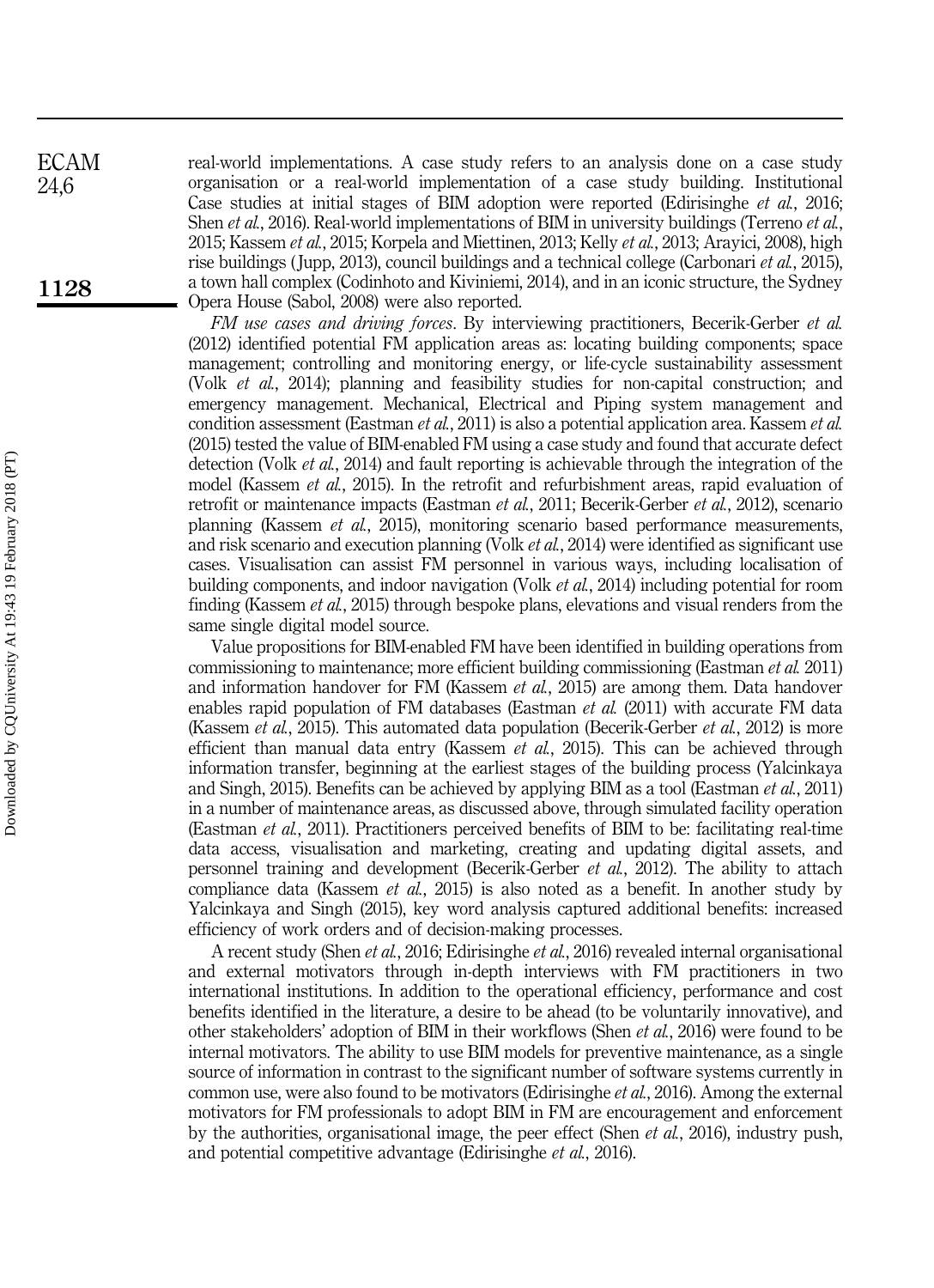real-world implementations. A case study refers to an analysis done on a case study organisation or a real-world implementation of a case study building. Institutional Case studies at initial stages of BIM adoption were reported (Edirisinghe *et al.*, 2016; Shen *et al.*, 2016). Real-world implementations of BIM in university buildings (Terreno *et al.*, 2015; Kassem et al., 2015; Korpela and Miettinen, 2013; Kelly et al., 2013; Arayici, 2008), high rise buildings (Jupp, 2013), council buildings and a technical college (Carbonari et al., 2015), a town hall complex (Codinhoto and Kiviniemi, 2014), and in an iconic structure, the Sydney Opera House (Sabol, 2008) were also reported.

FM use cases and driving forces. By interviewing practitioners, Becerik-Gerber et al. (2012) identified potential FM application areas as: locating building components; space management; controlling and monitoring energy, or life-cycle sustainability assessment (Volk et al., 2014); planning and feasibility studies for non-capital construction; and emergency management. Mechanical, Electrical and Piping system management and condition assessment (Eastman *et al.*, 2011) is also a potential application area. Kassem *et al.* (2015) tested the value of BIM-enabled FM using a case study and found that accurate defect detection (Volk et al., 2014) and fault reporting is achievable through the integration of the model (Kassem *et al.*, 2015). In the retrofit and refurbishment areas, rapid evaluation of retrofit or maintenance impacts (Eastman et al., 2011; Becerik-Gerber et al., 2012), scenario planning (Kassem et al., 2015), monitoring scenario based performance measurements, and risk scenario and execution planning (Volk *et al.*, 2014) were identified as significant use cases. Visualisation can assist FM personnel in various ways, including localisation of building components, and indoor navigation (Volk et al., 2014) including potential for room finding (Kassem *et al.*, 2015) through bespoke plans, elevations and visual renders from the same single digital model source.

Value propositions for BIM-enabled FM have been identified in building operations from commissioning to maintenance; more efficient building commissioning (Eastman et al. 2011) and information handover for FM (Kassem et al., 2015) are among them. Data handover enables rapid population of FM databases (Eastman *et al.* (2011) with accurate FM data (Kassem et al., 2015). This automated data population (Becerik-Gerber et al., 2012) is more efficient than manual data entry (Kassem *et al.*, 2015). This can be achieved through information transfer, beginning at the earliest stages of the building process (Yalcinkaya and Singh, 2015). Benefits can be achieved by applying BIM as a tool (Eastman et al., 2011) in a number of maintenance areas, as discussed above, through simulated facility operation (Eastman et al., 2011). Practitioners perceived benefits of BIM to be: facilitating real-time data access, visualisation and marketing, creating and updating digital assets, and personnel training and development (Becerik-Gerber et al., 2012). The ability to attach compliance data (Kassem *et al.*, 2015) is also noted as a benefit. In another study by Yalcinkaya and Singh (2015), key word analysis captured additional benefits: increased efficiency of work orders and of decision-making processes.

A recent study (Shen et al., 2016; Edirisinghe et al., 2016) revealed internal organisational and external motivators through in-depth interviews with FM practitioners in two international institutions. In addition to the operational efficiency, performance and cost benefits identified in the literature, a desire to be ahead (to be voluntarily innovative), and other stakeholders' adoption of BIM in their workflows (Shen et al., 2016) were found to be internal motivators. The ability to use BIM models for preventive maintenance, as a single source of information in contrast to the significant number of software systems currently in common use, were also found to be motivators (Edirisinghe *et al.*, 2016). Among the external motivators for FM professionals to adopt BIM in FM are encouragement and enforcement by the authorities, organisational image, the peer effect (Shen *et al.*, 2016), industry push, and potential competitive advantage (Edirisinghe et al., 2016).

ECAM 24,6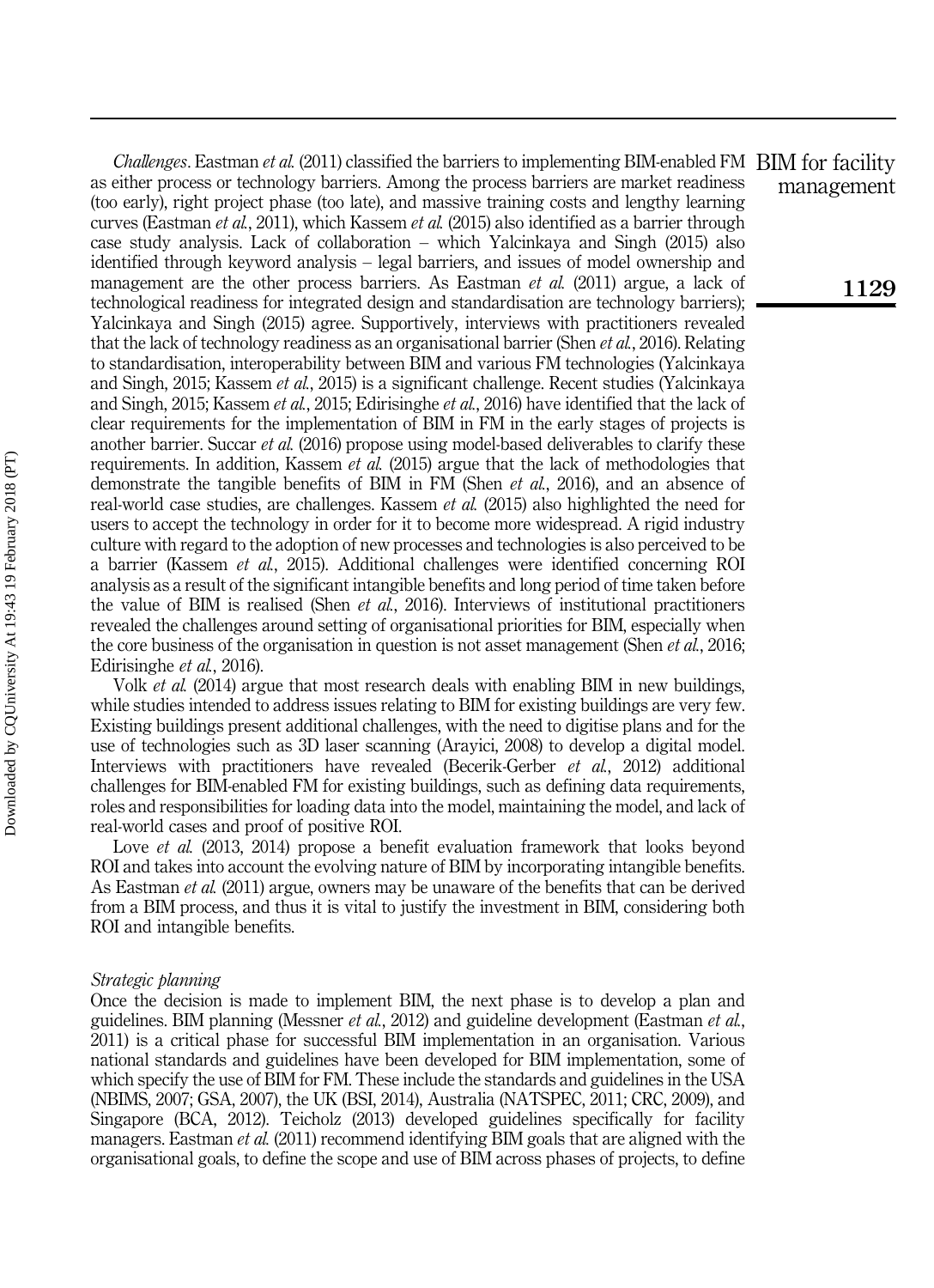Challenges. Eastman et al. (2011) classified the barriers to implementing BIM-enabled FM BIM for facility as either process or technology barriers. Among the process barriers are market readiness (too early), right project phase (too late), and massive training costs and lengthy learning curves (Eastman et al., 2011), which Kassem et al. (2015) also identified as a barrier through case study analysis. Lack of collaboration – which Yalcinkaya and Singh (2015) also identified through keyword analysis – legal barriers, and issues of model ownership and management are the other process barriers. As Eastman *et al.* (2011) argue, a lack of technological readiness for integrated design and standardisation are technology barriers); Yalcinkaya and Singh (2015) agree. Supportively, interviews with practitioners revealed that the lack of technology readiness as an organisational barrier (Shen *et al.*, 2016). Relating to standardisation, interoperability between BIM and various FM technologies (Yalcinkaya and Singh, 2015; Kassem et al., 2015) is a significant challenge. Recent studies (Yalcinkaya and Singh, 2015; Kassem *et al.*, 2015; Edirisinghe *et al.*, 2016) have identified that the lack of clear requirements for the implementation of BIM in FM in the early stages of projects is another barrier. Succar *et al.* (2016) propose using model-based deliverables to clarify these requirements. In addition, Kassem *et al.* (2015) argue that the lack of methodologies that demonstrate the tangible benefits of BIM in FM (Shen et al., 2016), and an absence of real-world case studies, are challenges. Kassem *et al.* (2015) also highlighted the need for users to accept the technology in order for it to become more widespread. A rigid industry culture with regard to the adoption of new processes and technologies is also perceived to be a barrier (Kassem et al., 2015). Additional challenges were identified concerning ROI analysis as a result of the significant intangible benefits and long period of time taken before the value of BIM is realised (Shen et al., 2016). Interviews of institutional practitioners revealed the challenges around setting of organisational priorities for BIM, especially when the core business of the organisation in question is not asset management (Shen *et al.*, 2016; Edirisinghe et al., 2016).

Volk et al. (2014) argue that most research deals with enabling BIM in new buildings, while studies intended to address issues relating to BIM for existing buildings are very few. Existing buildings present additional challenges, with the need to digitise plans and for the use of technologies such as 3D laser scanning (Arayici, 2008) to develop a digital model. Interviews with practitioners have revealed (Becerik-Gerber et al., 2012) additional challenges for BIM-enabled FM for existing buildings, such as defining data requirements, roles and responsibilities for loading data into the model, maintaining the model, and lack of real-world cases and proof of positive ROI.

Love *et al.* (2013, 2014) propose a benefit evaluation framework that looks beyond ROI and takes into account the evolving nature of BIM by incorporating intangible benefits. As Eastman et al. (2011) argue, owners may be unaware of the benefits that can be derived from a BIM process, and thus it is vital to justify the investment in BIM, considering both ROI and intangible benefits.

### Strategic planning

Once the decision is made to implement BIM, the next phase is to develop a plan and guidelines. BIM planning (Messner et al., 2012) and guideline development (Eastman et al., 2011) is a critical phase for successful BIM implementation in an organisation. Various national standards and guidelines have been developed for BIM implementation, some of which specify the use of BIM for FM. These include the standards and guidelines in the USA (NBIMS, 2007; GSA, 2007), the UK (BSI, 2014), Australia (NATSPEC, 2011; CRC, 2009), and Singapore (BCA, 2012). Teicholz (2013) developed guidelines specifically for facility managers. Eastman *et al.* (2011) recommend identifying BIM goals that are aligned with the organisational goals, to define the scope and use of BIM across phases of projects, to define 1129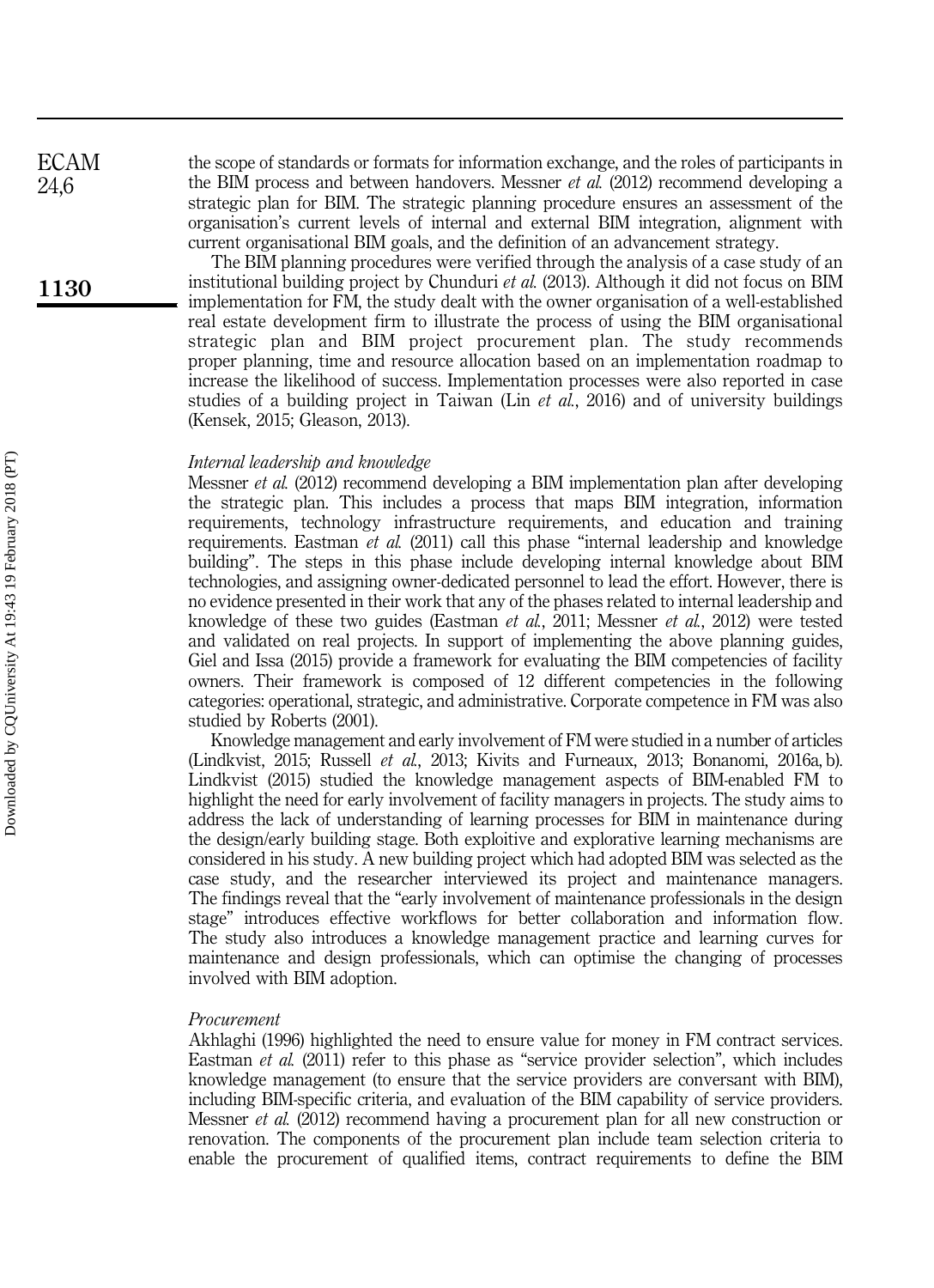the scope of standards or formats for information exchange, and the roles of participants in the BIM process and between handovers. Messner et al. (2012) recommend developing a strategic plan for BIM. The strategic planning procedure ensures an assessment of the organisation's current levels of internal and external BIM integration, alignment with current organisational BIM goals, and the definition of an advancement strategy.

The BIM planning procedures were verified through the analysis of a case study of an institutional building project by Chunduri et al. (2013). Although it did not focus on BIM implementation for FM, the study dealt with the owner organisation of a well-established real estate development firm to illustrate the process of using the BIM organisational strategic plan and BIM project procurement plan. The study recommends proper planning, time and resource allocation based on an implementation roadmap to increase the likelihood of success. Implementation processes were also reported in case studies of a building project in Taiwan (Lin  $et$   $al$ , 2016) and of university buildings (Kensek, 2015; Gleason, 2013).

### Internal leadership and knowledge

Messner et al. (2012) recommend developing a BIM implementation plan after developing the strategic plan. This includes a process that maps BIM integration, information requirements, technology infrastructure requirements, and education and training requirements. Eastman et al. (2011) call this phase "internal leadership and knowledge building". The steps in this phase include developing internal knowledge about BIM technologies, and assigning owner-dedicated personnel to lead the effort. However, there is no evidence presented in their work that any of the phases related to internal leadership and knowledge of these two guides (Eastman et al., 2011; Messner et al., 2012) were tested and validated on real projects. In support of implementing the above planning guides, Giel and Issa (2015) provide a framework for evaluating the BIM competencies of facility owners. Their framework is composed of 12 different competencies in the following categories: operational, strategic, and administrative. Corporate competence in FM was also studied by Roberts (2001).

Knowledge management and early involvement of FM were studied in a number of articles (Lindkvist, 2015; Russell et al., 2013; Kivits and Furneaux, 2013; Bonanomi, 2016a, b). Lindkvist (2015) studied the knowledge management aspects of BIM-enabled FM to highlight the need for early involvement of facility managers in projects. The study aims to address the lack of understanding of learning processes for BIM in maintenance during the design/early building stage. Both exploitive and explorative learning mechanisms are considered in his study. A new building project which had adopted BIM was selected as the case study, and the researcher interviewed its project and maintenance managers. The findings reveal that the "early involvement of maintenance professionals in the design stage" introduces effective workflows for better collaboration and information flow. The study also introduces a knowledge management practice and learning curves for maintenance and design professionals, which can optimise the changing of processes involved with BIM adoption.

### Procurement

Akhlaghi (1996) highlighted the need to ensure value for money in FM contract services. Eastman et al. (2011) refer to this phase as "service provider selection", which includes knowledge management (to ensure that the service providers are conversant with BIM), including BIM-specific criteria, and evaluation of the BIM capability of service providers. Messner et al. (2012) recommend having a procurement plan for all new construction or renovation. The components of the procurement plan include team selection criteria to enable the procurement of qualified items, contract requirements to define the BIM

ECAM 24,6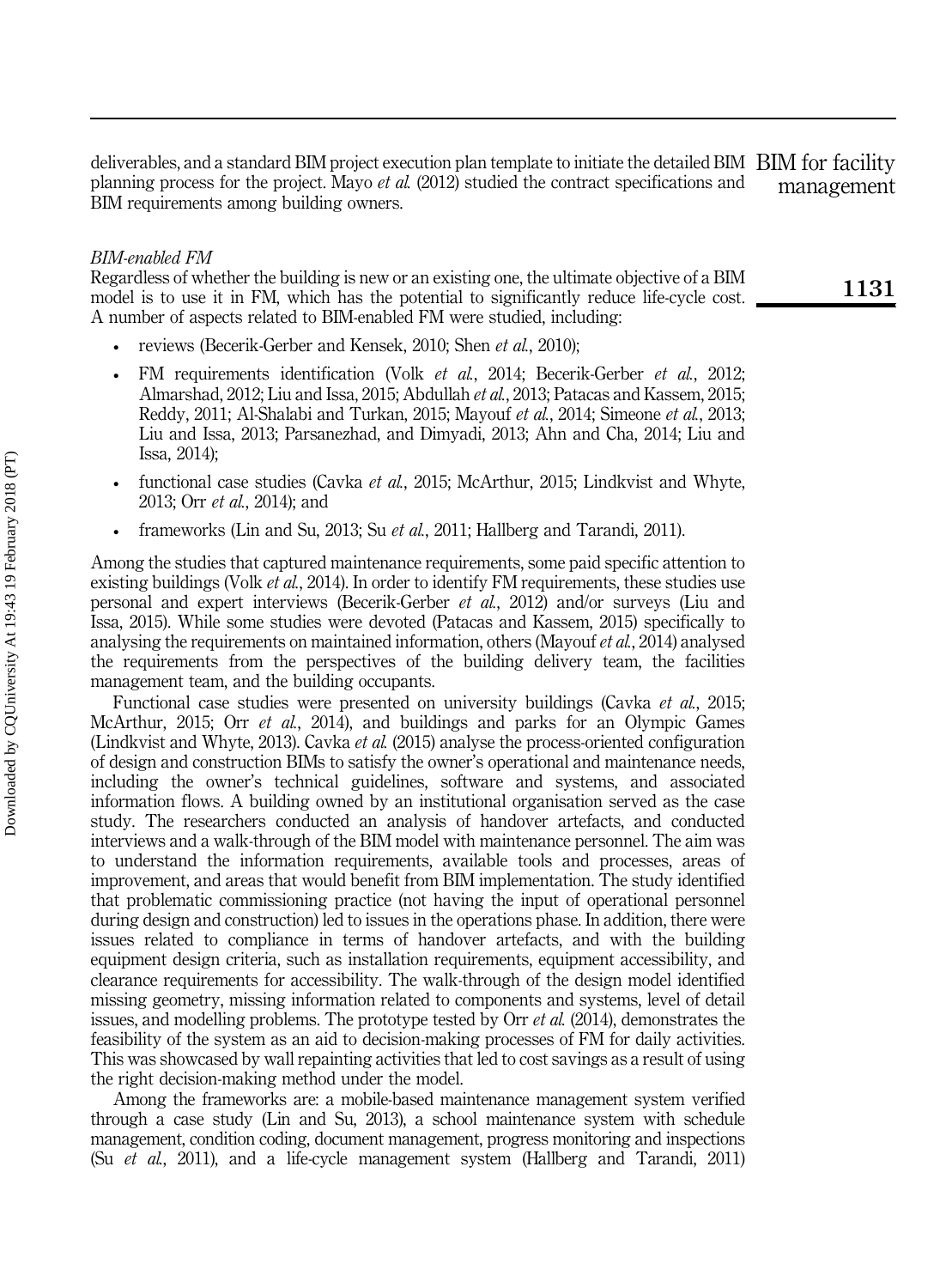deliverables, and a standard BIM project execution plan template to initiate the detailed BIM BIM for facility planning process for the project. Mayo et al. (2012) studied the contract specifications and BIM requirements among building owners. management

### BIM-enabled FM

Regardless of whether the building is new or an existing one, the ultimate objective of a BIM model is to use it in FM, which has the potential to significantly reduce life-cycle cost. A number of aspects related to BIM-enabled FM were studied, including:

- reviews (Becerik-Gerber and Kensek, 2010; Shen et al., 2010);
- FM requirements identification (Volk et al., 2014; Becerik-Gerber et al., 2012; Almarshad, 2012; Liu and Issa, 2015; Abdullah et al., 2013; Patacas and Kassem, 2015; Reddy, 2011; Al-Shalabi and Turkan, 2015; Mayouf et al., 2014; Simeone et al., 2013; Liu and Issa, 2013; Parsanezhad, and Dimyadi, 2013; Ahn and Cha, 2014; Liu and Issa, 2014);
- functional case studies (Cavka *et al.*, 2015; McArthur, 2015; Lindkvist and Whyte, 2013; Orr et al., 2014); and
- frameworks (Lin and Su, 2013; Su *et al.*, 2011; Hallberg and Tarandi, 2011).

Among the studies that captured maintenance requirements, some paid specific attention to existing buildings (Volk *et al.*, 2014). In order to identify FM requirements, these studies use personal and expert interviews (Becerik-Gerber et al., 2012) and/or surveys (Liu and Issa, 2015). While some studies were devoted (Patacas and Kassem, 2015) specifically to analysing the requirements on maintained information, others (Mayouf *et al.*, 2014) analysed the requirements from the perspectives of the building delivery team, the facilities management team, and the building occupants.

Functional case studies were presented on university buildings (Cavka *et al.*, 2015; McArthur, 2015; Orr *et al.*, 2014), and buildings and parks for an Olympic Games (Lindkvist and Whyte, 2013). Cavka *et al.* (2015) analyse the process-oriented configuration of design and construction BIMs to satisfy the owner's operational and maintenance needs, including the owner's technical guidelines, software and systems, and associated information flows. A building owned by an institutional organisation served as the case study. The researchers conducted an analysis of handover artefacts, and conducted interviews and a walk-through of the BIM model with maintenance personnel. The aim was to understand the information requirements, available tools and processes, areas of improvement, and areas that would benefit from BIM implementation. The study identified that problematic commissioning practice (not having the input of operational personnel during design and construction) led to issues in the operations phase. In addition, there were issues related to compliance in terms of handover artefacts, and with the building equipment design criteria, such as installation requirements, equipment accessibility, and clearance requirements for accessibility. The walk-through of the design model identified missing geometry, missing information related to components and systems, level of detail issues, and modelling problems. The prototype tested by Orr et al. (2014), demonstrates the feasibility of the system as an aid to decision-making processes of FM for daily activities. This was showcased by wall repainting activities that led to cost savings as a result of using the right decision-making method under the model.

Among the frameworks are: a mobile-based maintenance management system verified through a case study (Lin and Su, 2013), a school maintenance system with schedule management, condition coding, document management, progress monitoring and inspections (Su et al., 2011), and a life-cycle management system (Hallberg and Tarandi, 2011)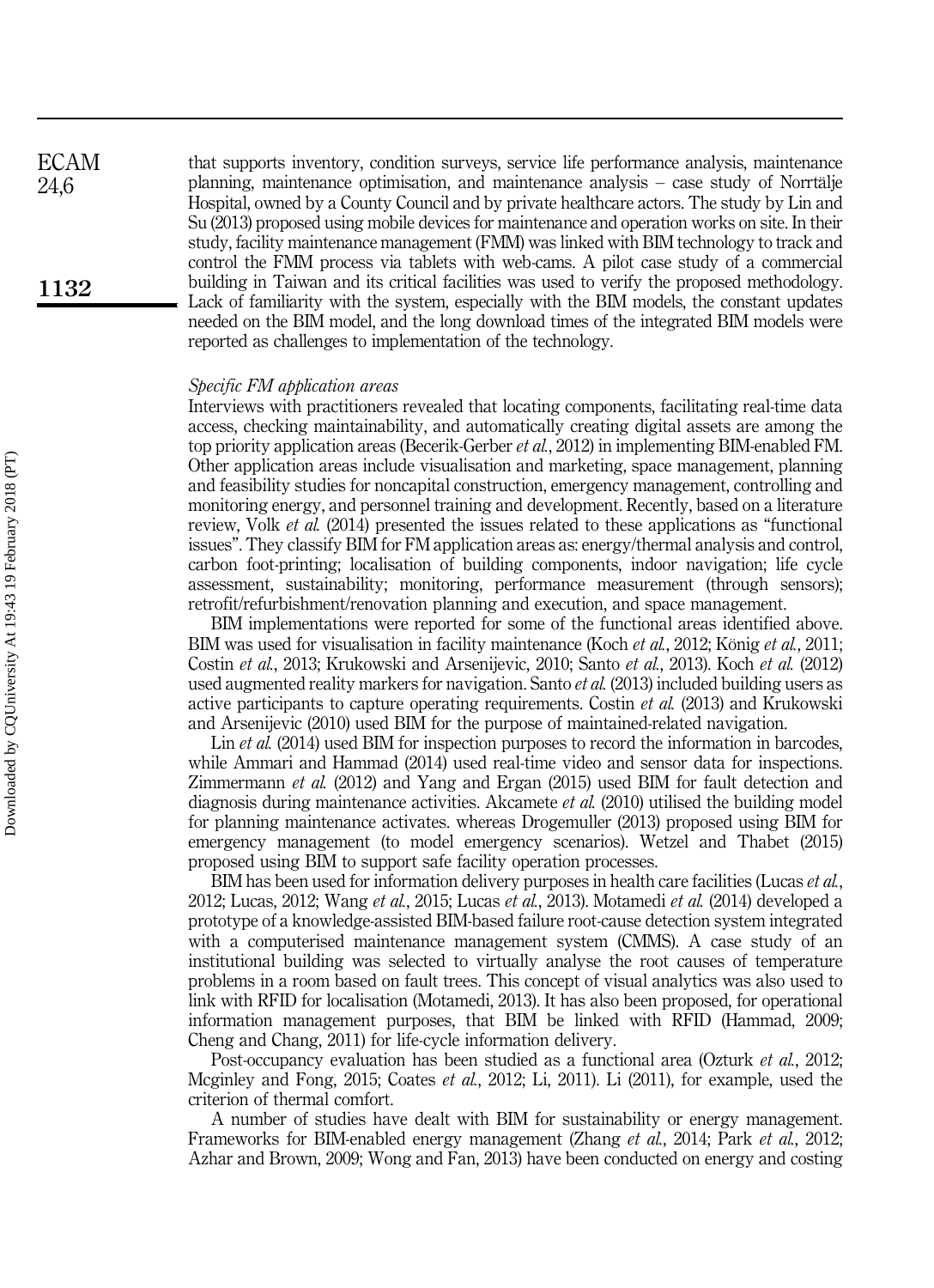that supports inventory, condition surveys, service life performance analysis, maintenance planning, maintenance optimisation, and maintenance analysis – case study of Norrtälje Hospital, owned by a County Council and by private healthcare actors. The study by Lin and Su (2013) proposed using mobile devices for maintenance and operation works on site. In their study, facility maintenance management (FMM) was linked with BIM technology to track and control the FMM process via tablets with web-cams. A pilot case study of a commercial building in Taiwan and its critical facilities was used to verify the proposed methodology. Lack of familiarity with the system, especially with the BIM models, the constant updates needed on the BIM model, and the long download times of the integrated BIM models were reported as challenges to implementation of the technology. 1132 ECAM 24,6

### Specific FM application areas

Interviews with practitioners revealed that locating components, facilitating real-time data access, checking maintainability, and automatically creating digital assets are among the top priority application areas (Becerik-Gerber *et al.*, 2012) in implementing BIM-enabled FM. Other application areas include visualisation and marketing, space management, planning and feasibility studies for noncapital construction, emergency management, controlling and monitoring energy, and personnel training and development. Recently, based on a literature review, Volk et al. (2014) presented the issues related to these applications as "functional issues". They classify BIM for FM application areas as: energy/thermal analysis and control, carbon foot-printing; localisation of building components, indoor navigation; life cycle assessment, sustainability; monitoring, performance measurement (through sensors); retrofit/refurbishment/renovation planning and execution, and space management.

BIM implementations were reported for some of the functional areas identified above. BIM was used for visualisation in facility maintenance (Koch et al., 2012; König et al., 2011; Costin et al., 2013; Krukowski and Arsenijevic, 2010; Santo et al., 2013). Koch et al. (2012) used augmented reality markers for navigation. Santo *et al.* (2013) included building users as active participants to capture operating requirements. Costin et al. (2013) and Krukowski and Arsenijevic (2010) used BIM for the purpose of maintained-related navigation.

Lin *et al.* (2014) used BIM for inspection purposes to record the information in barcodes, while Ammari and Hammad (2014) used real-time video and sensor data for inspections. Zimmermann et al. (2012) and Yang and Ergan (2015) used BIM for fault detection and diagnosis during maintenance activities. Akcamete *et al.* (2010) utilised the building model for planning maintenance activates. whereas Drogemuller (2013) proposed using BIM for emergency management (to model emergency scenarios). Wetzel and Thabet (2015) proposed using BIM to support safe facility operation processes.

BIM has been used for information delivery purposes in health care facilities (Lucas *et al.*, 2012; Lucas, 2012; Wang et al., 2015; Lucas et al., 2013). Motamedi et al. (2014) developed a prototype of a knowledge-assisted BIM-based failure root-cause detection system integrated with a computerised maintenance management system (CMMS). A case study of an institutional building was selected to virtually analyse the root causes of temperature problems in a room based on fault trees. This concept of visual analytics was also used to link with RFID for localisation (Motamedi, 2013). It has also been proposed, for operational information management purposes, that BIM be linked with RFID (Hammad, 2009; Cheng and Chang, 2011) for life-cycle information delivery.

Post-occupancy evaluation has been studied as a functional area (Ozturk *et al.*, 2012; Mcginley and Fong, 2015; Coates et al., 2012; Li, 2011). Li (2011), for example, used the criterion of thermal comfort.

A number of studies have dealt with BIM for sustainability or energy management. Frameworks for BIM-enabled energy management (Zhang et al., 2014; Park et al., 2012; Azhar and Brown, 2009; Wong and Fan, 2013) have been conducted on energy and costing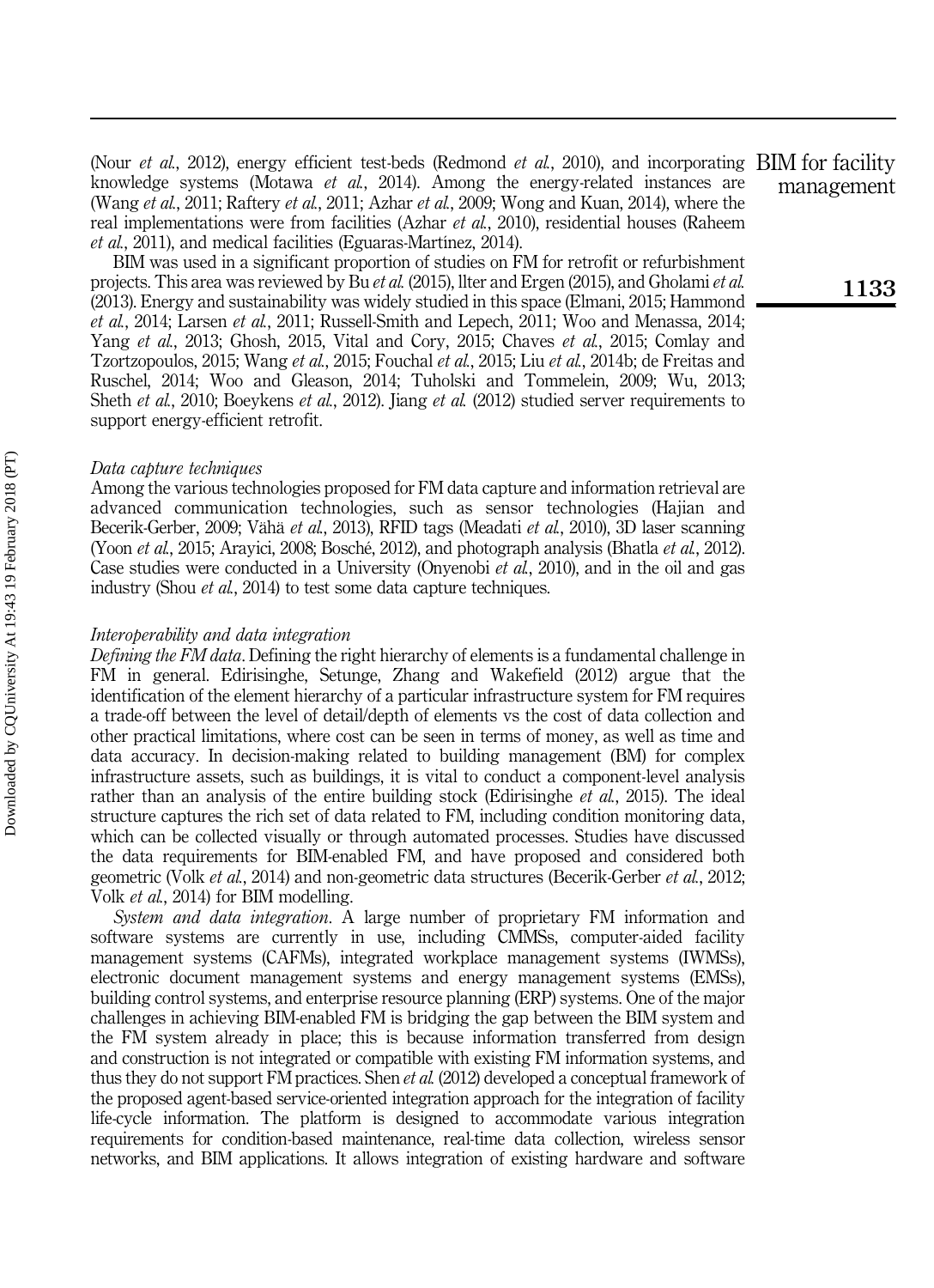(Nour *et al.*, 2012), energy efficient test-beds (Redmond *et al.*, 2010), and incorporating BIM for facility knowledge systems (Motawa *et al.*, 2014). Among the energy-related instances are (Wang et al., 2011; Raftery et al., 2011; Azhar et al., 2009; Wong and Kuan, 2014), where the real implementations were from facilities (Azhar *et al.*, 2010), residential houses (Raheem et al., 2011), and medical facilities (Eguaras-Martínez, 2014).

BIM was used in a significant proportion of studies on FM for retrofit or refurbishment projects. This area was reviewed by Bu *et al.* (2015), llter and Ergen (2015), and Gholami *et al.* (2013). Energy and sustainability was widely studied in this space (Elmani, 2015; Hammond et al., 2014; Larsen et al., 2011; Russell-Smith and Lepech, 2011; Woo and Menassa, 2014; Yang et al., 2013; Ghosh, 2015, Vital and Cory, 2015; Chaves et al., 2015; Comlay and Tzortzopoulos, 2015; Wang et al., 2015; Fouchal et al., 2015; Liu et al., 2014b; de Freitas and Ruschel, 2014; Woo and Gleason, 2014; Tuholski and Tommelein, 2009; Wu, 2013; Sheth et al., 2010; Boeykens et al., 2012). Jiang et al. (2012) studied server requirements to support energy-efficient retrofit.

### Data capture techniques

Among the various technologies proposed for FM data capture and information retrieval are advanced communication technologies, such as sensor technologies (Hajian and Becerik-Gerber, 2009; Vähä et al., 2013), RFID tags (Meadati et al., 2010), 3D laser scanning (Yoon *et al.*, 2015; Arayici, 2008; Bosché, 2012), and photograph analysis (Bhatla *et al.*, 2012). Case studies were conducted in a University (Onyenobi *et al.*, 2010), and in the oil and gas industry (Shou *et al.*, 2014) to test some data capture techniques.

### Interoperability and data integration

Defining the FM data. Defining the right hierarchy of elements is a fundamental challenge in FM in general. Edirisinghe, Setunge, Zhang and Wakefield (2012) argue that the identification of the element hierarchy of a particular infrastructure system for FM requires a trade-off between the level of detail/depth of elements vs the cost of data collection and other practical limitations, where cost can be seen in terms of money, as well as time and data accuracy. In decision-making related to building management (BM) for complex infrastructure assets, such as buildings, it is vital to conduct a component-level analysis rather than an analysis of the entire building stock (Edirisinghe *et al.*, 2015). The ideal structure captures the rich set of data related to FM, including condition monitoring data, which can be collected visually or through automated processes. Studies have discussed the data requirements for BIM-enabled FM, and have proposed and considered both geometric (Volk et al., 2014) and non-geometric data structures (Becerik-Gerber et al., 2012; Volk et al., 2014) for BIM modelling.

System and data integration. A large number of proprietary FM information and software systems are currently in use, including CMMSs, computer-aided facility management systems (CAFMs), integrated workplace management systems (IWMSs), electronic document management systems and energy management systems (EMSs), building control systems, and enterprise resource planning (ERP) systems. One of the major challenges in achieving BIM-enabled FM is bridging the gap between the BIM system and the FM system already in place; this is because information transferred from design and construction is not integrated or compatible with existing FM information systems, and thus they do not support FM practices. Shen *et al.* (2012) developed a conceptual framework of the proposed agent-based service-oriented integration approach for the integration of facility life-cycle information. The platform is designed to accommodate various integration requirements for condition-based maintenance, real-time data collection, wireless sensor networks, and BIM applications. It allows integration of existing hardware and software management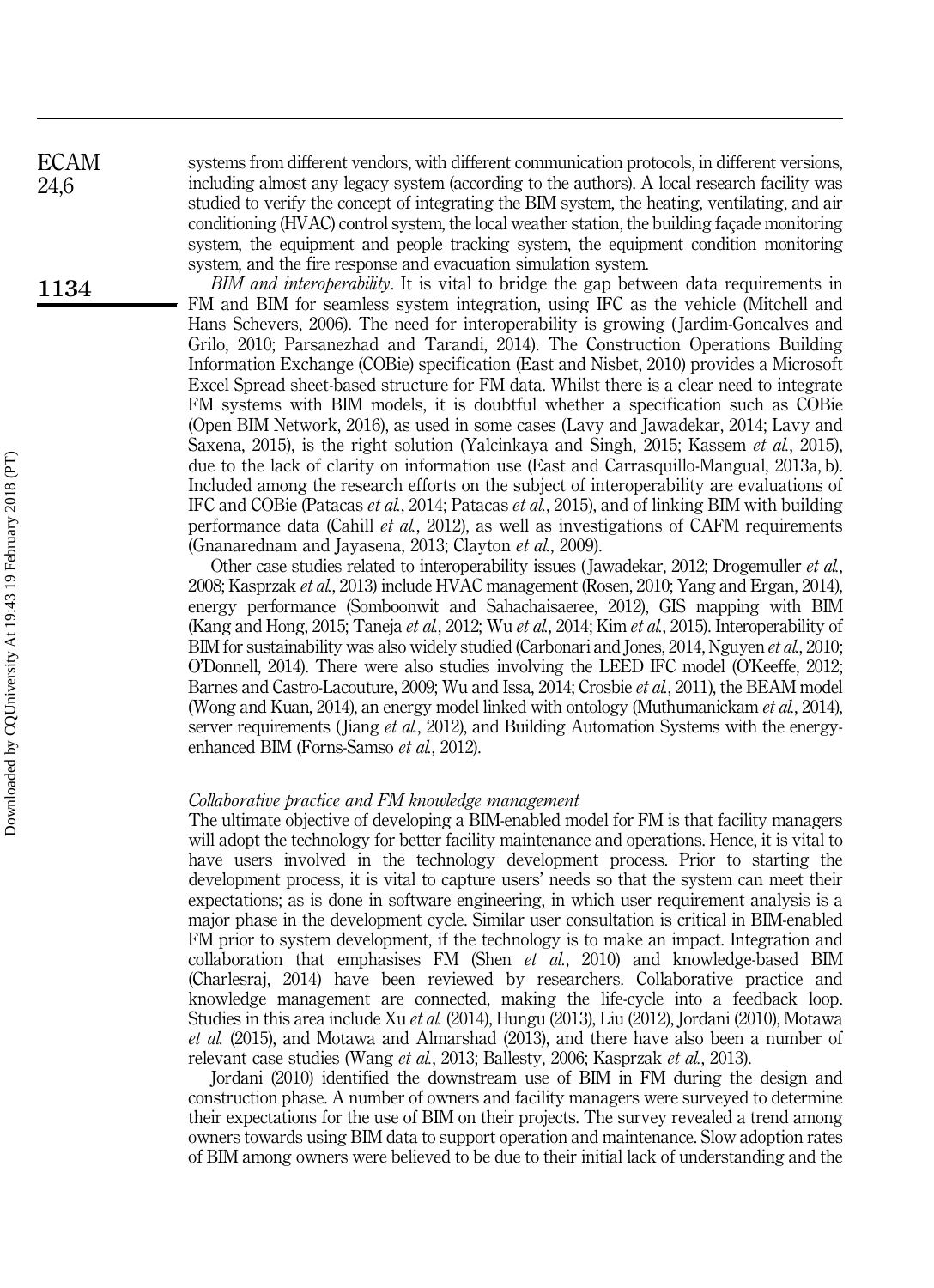systems from different vendors, with different communication protocols, in different versions, including almost any legacy system (according to the authors). A local research facility was studied to verify the concept of integrating the BIM system, the heating, ventilating, and air conditioning (HVAC) control system, the local weather station, the building façade monitoring system, the equipment and people tracking system, the equipment condition monitoring system, and the fire response and evacuation simulation system.

BIM and interoperability. It is vital to bridge the gap between data requirements in FM and BIM for seamless system integration, using IFC as the vehicle (Mitchell and Hans Schevers, 2006). The need for interoperability is growing ( Jardim-Goncalves and Grilo, 2010; Parsanezhad and Tarandi, 2014). The Construction Operations Building Information Exchange (COBie) specification (East and Nisbet, 2010) provides a Microsoft Excel Spread sheet-based structure for FM data. Whilst there is a clear need to integrate FM systems with BIM models, it is doubtful whether a specification such as COBie (Open BIM Network, 2016), as used in some cases (Lavy and Jawadekar, 2014; Lavy and Saxena, 2015), is the right solution (Yalcinkaya and Singh, 2015; Kassem *et al.*, 2015), due to the lack of clarity on information use (East and Carrasquillo-Mangual, 2013a, b). Included among the research efforts on the subject of interoperability are evaluations of IFC and COBie (Patacas et al., 2014; Patacas et al., 2015), and of linking BIM with building performance data (Cahill *et al.*, 2012), as well as investigations of CAFM requirements (Gnanarednam and Jayasena, 2013; Clayton et al., 2009).

Other case studies related to interoperability issues (Jawadekar, 2012; Drogemuller et al., 2008; Kasprzak et al., 2013) include HVAC management (Rosen, 2010; Yang and Ergan, 2014), energy performance (Somboonwit and Sahachaisaeree, 2012), GIS mapping with BIM (Kang and Hong, 2015; Taneja et al., 2012; Wu et al., 2014; Kim et al., 2015). Interoperability of BIM for sustainability was also widely studied (Carbonari and Jones, 2014, Nguyen et al., 2010; O'Donnell, 2014). There were also studies involving the LEED IFC model (O'Keeffe, 2012; Barnes and Castro-Lacouture, 2009; Wu and Issa, 2014; Crosbie et al., 2011), the BEAM model (Wong and Kuan, 2014), an energy model linked with ontology (Muthumanickam et al., 2014), server requirements (Jiang et al., 2012), and Building Automation Systems with the energyenhanced BIM (Forns-Samso et al., 2012).

### Collaborative practice and FM knowledge management

The ultimate objective of developing a BIM-enabled model for FM is that facility managers will adopt the technology for better facility maintenance and operations. Hence, it is vital to have users involved in the technology development process. Prior to starting the development process, it is vital to capture users' needs so that the system can meet their expectations; as is done in software engineering, in which user requirement analysis is a major phase in the development cycle. Similar user consultation is critical in BIM-enabled FM prior to system development, if the technology is to make an impact. Integration and collaboration that emphasises FM (Shen *et al.*, 2010) and knowledge-based BIM (Charlesraj, 2014) have been reviewed by researchers. Collaborative practice and knowledge management are connected, making the life-cycle into a feedback loop. Studies in this area include Xu et al. (2014), Hungu (2013), Liu (2012), Jordani (2010), Motawa et al. (2015), and Motawa and Almarshad (2013), and there have also been a number of relevant case studies (Wang et al., 2013; Ballesty, 2006; Kasprzak et al., 2013).

Jordani (2010) identified the downstream use of BIM in FM during the design and construction phase. A number of owners and facility managers were surveyed to determine their expectations for the use of BIM on their projects. The survey revealed a trend among owners towards using BIM data to support operation and maintenance. Slow adoption rates of BIM among owners were believed to be due to their initial lack of understanding and the

ECAM 24,6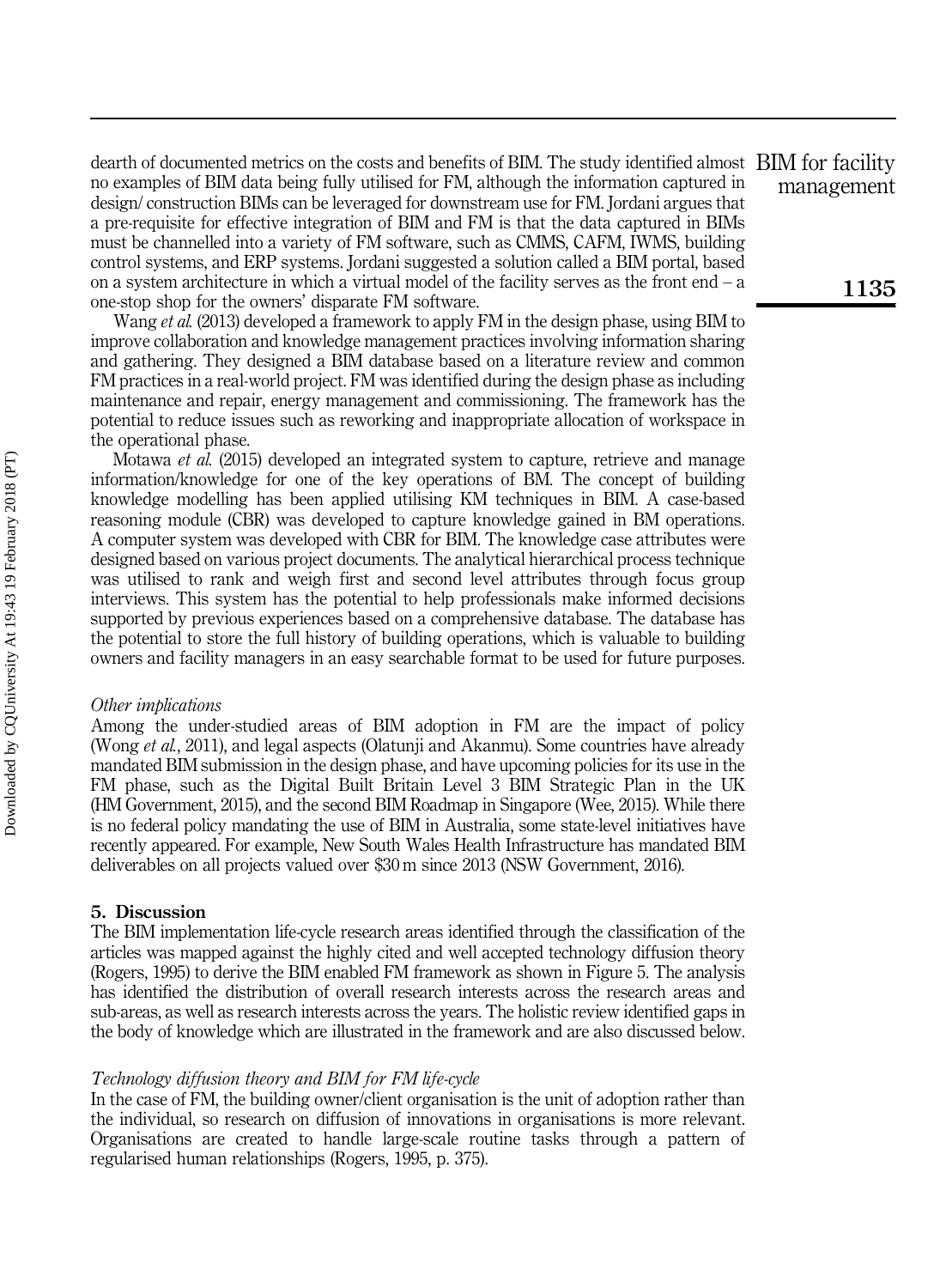dearth of documented metrics on the costs and benefits of BIM. The study identified almost BIM for facility no examples of BIM data being fully utilised for FM, although the information captured in design/ construction BIMs can be leveraged for downstream use for FM. Jordani argues that a pre-requisite for effective integration of BIM and FM is that the data captured in BIMs must be channelled into a variety of FM software, such as CMMS, CAFM, IWMS, building control systems, and ERP systems. Jordani suggested a solution called a BIM portal, based on a system architecture in which a virtual model of the facility serves as the front end – a one-stop shop for the owners' disparate FM software.

Wang *et al.* (2013) developed a framework to apply FM in the design phase, using BIM to improve collaboration and knowledge management practices involving information sharing and gathering. They designed a BIM database based on a literature review and common FM practices in a real-world project. FM was identified during the design phase as including maintenance and repair, energy management and commissioning. The framework has the potential to reduce issues such as reworking and inappropriate allocation of workspace in the operational phase.

Motawa et al. (2015) developed an integrated system to capture, retrieve and manage information/knowledge for one of the key operations of BM. The concept of building knowledge modelling has been applied utilising KM techniques in BIM. A case-based reasoning module (CBR) was developed to capture knowledge gained in BM operations. A computer system was developed with CBR for BIM. The knowledge case attributes were designed based on various project documents. The analytical hierarchical process technique was utilised to rank and weigh first and second level attributes through focus group interviews. This system has the potential to help professionals make informed decisions supported by previous experiences based on a comprehensive database. The database has the potential to store the full history of building operations, which is valuable to building owners and facility managers in an easy searchable format to be used for future purposes.

### Other implications

Among the under-studied areas of BIM adoption in FM are the impact of policy (Wong *et al.*, 2011), and legal aspects (Olatunii and Akanmu). Some countries have already mandated BIM submission in the design phase, and have upcoming policies for its use in the FM phase, such as the Digital Built Britain Level 3 BIM Strategic Plan in the UK (HM Government, 2015), and the second BIM Roadmap in Singapore (Wee, 2015). While there is no federal policy mandating the use of BIM in Australia, some state-level initiatives have recently appeared. For example, New South Wales Health Infrastructure has mandated BIM deliverables on all projects valued over \$30 m since 2013 (NSW Government, 2016).

### 5. Discussion

The BIM implementation life-cycle research areas identified through the classification of the articles was mapped against the highly cited and well accepted technology diffusion theory (Rogers, 1995) to derive the BIM enabled FM framework as shown in Figure 5. The analysis has identified the distribution of overall research interests across the research areas and sub-areas, as well as research interests across the years. The holistic review identified gaps in the body of knowledge which are illustrated in the framework and are also discussed below.

### Technology diffusion theory and BIM for FM life-cycle

In the case of FM, the building owner/client organisation is the unit of adoption rather than the individual, so research on diffusion of innovations in organisations is more relevant. Organisations are created to handle large-scale routine tasks through a pattern of regularised human relationships (Rogers, 1995, p. 375).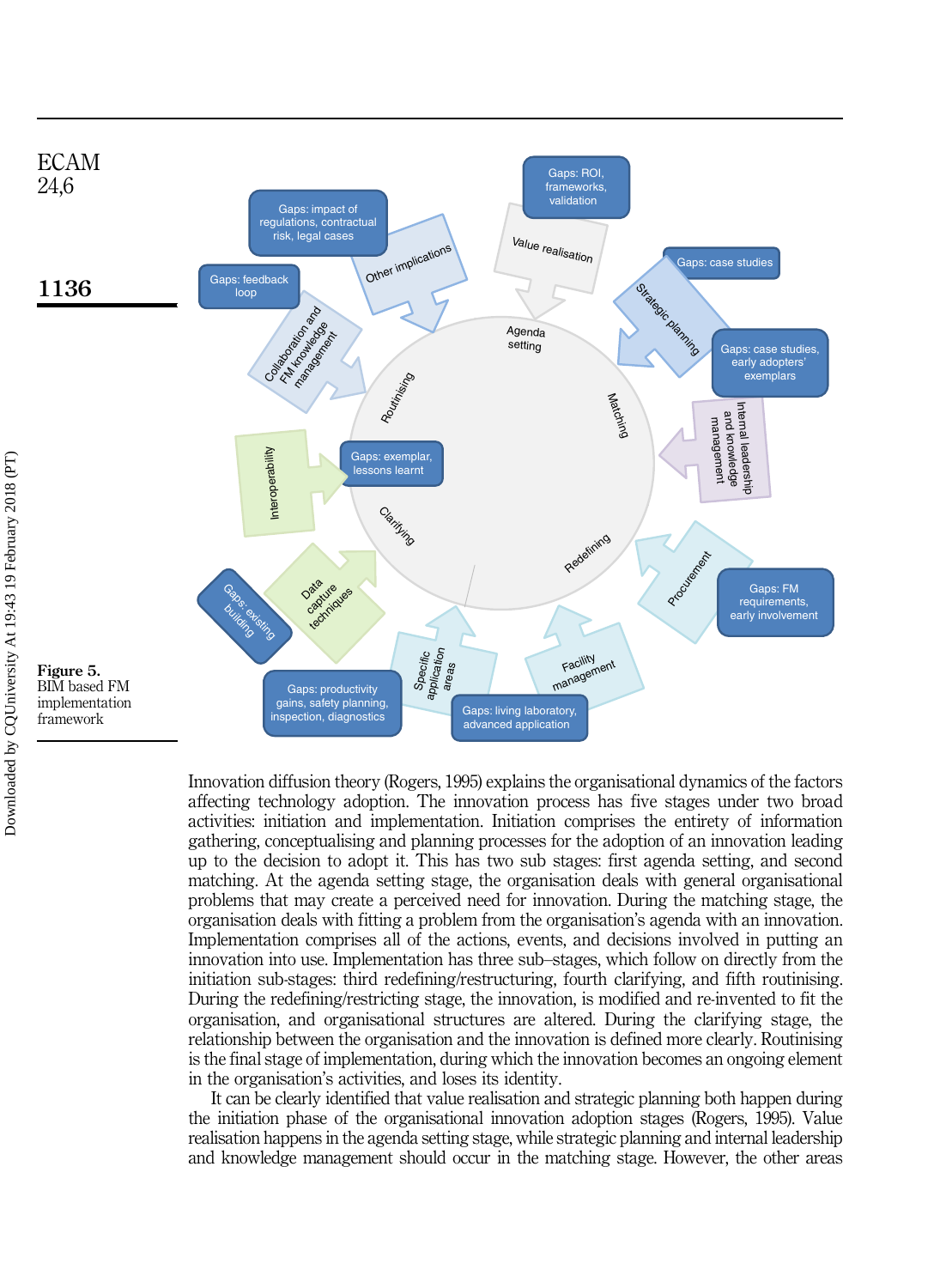

Innovation diffusion theory (Rogers, 1995) explains the organisational dynamics of the factors affecting technology adoption. The innovation process has five stages under two broad activities: initiation and implementation. Initiation comprises the entirety of information gathering, conceptualising and planning processes for the adoption of an innovation leading up to the decision to adopt it. This has two sub stages: first agenda setting, and second matching. At the agenda setting stage, the organisation deals with general organisational problems that may create a perceived need for innovation. During the matching stage, the organisation deals with fitting a problem from the organisation's agenda with an innovation. Implementation comprises all of the actions, events, and decisions involved in putting an innovation into use. Implementation has three sub–stages, which follow on directly from the initiation sub-stages: third redefining/restructuring, fourth clarifying, and fifth routinising. During the redefining/restricting stage, the innovation, is modified and re-invented to fit the organisation, and organisational structures are altered. During the clarifying stage, the relationship between the organisation and the innovation is defined more clearly. Routinising is the final stage of implementation, during which the innovation becomes an ongoing element in the organisation's activities, and loses its identity.

It can be clearly identified that value realisation and strategic planning both happen during the initiation phase of the organisational innovation adoption stages (Rogers, 1995). Value realisation happens in the agenda setting stage, while strategic planning and internal leadership and knowledge management should occur in the matching stage. However, the other areas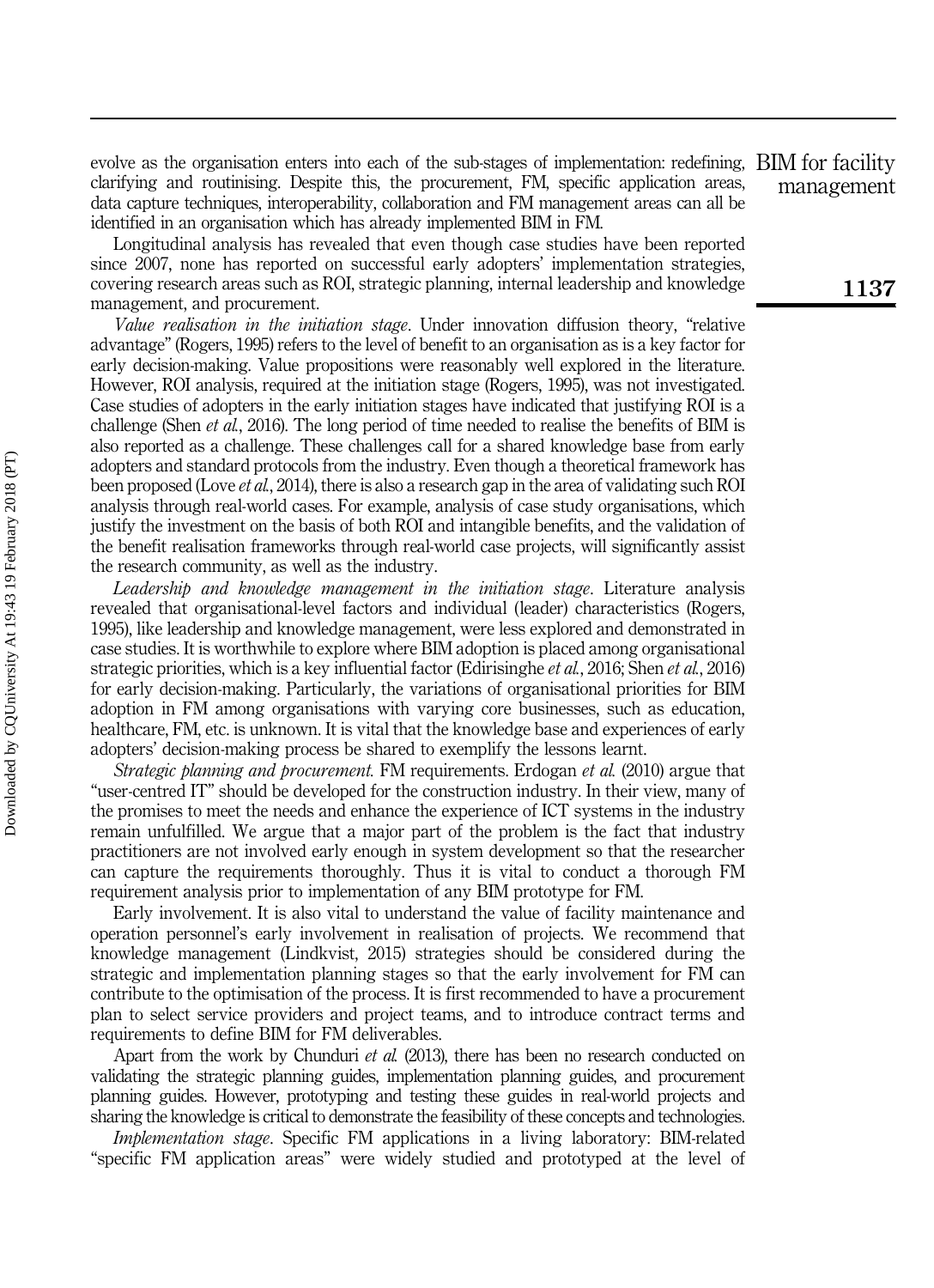evolve as the organisation enters into each of the sub-stages of implementation: redefining, BIM for facility clarifying and routinising. Despite this, the procurement, FM, specific application areas, data capture techniques, interoperability, collaboration and FM management areas can all be identified in an organisation which has already implemented BIM in FM.

Longitudinal analysis has revealed that even though case studies have been reported since 2007, none has reported on successful early adopters' implementation strategies, covering research areas such as ROI, strategic planning, internal leadership and knowledge management, and procurement.

Value realisation in the initiation stage. Under innovation diffusion theory, "relative advantage" (Rogers, 1995) refers to the level of benefit to an organisation as is a key factor for early decision-making. Value propositions were reasonably well explored in the literature. However, ROI analysis, required at the initiation stage (Rogers, 1995), was not investigated. Case studies of adopters in the early initiation stages have indicated that justifying ROI is a challenge (Shen *et al.*, 2016). The long period of time needed to realise the benefits of BIM is also reported as a challenge. These challenges call for a shared knowledge base from early adopters and standard protocols from the industry. Even though a theoretical framework has been proposed (Love *et al.*, 2014), there is also a research gap in the area of validating such ROI analysis through real-world cases. For example, analysis of case study organisations, which justify the investment on the basis of both ROI and intangible benefits, and the validation of the benefit realisation frameworks through real-world case projects, will significantly assist the research community, as well as the industry.

Leadership and knowledge management in the initiation stage. Literature analysis revealed that organisational-level factors and individual (leader) characteristics (Rogers, 1995), like leadership and knowledge management, were less explored and demonstrated in case studies. It is worthwhile to explore where BIM adoption is placed among organisational strategic priorities, which is a key influential factor (Edirisinghe *et al.*, 2016; Shen *et al.*, 2016) for early decision-making. Particularly, the variations of organisational priorities for BIM adoption in FM among organisations with varying core businesses, such as education, healthcare, FM, etc. is unknown. It is vital that the knowledge base and experiences of early adopters' decision-making process be shared to exemplify the lessons learnt.

Strategic planning and procurement. FM requirements. Erdogan et al. (2010) argue that "user-centred IT" should be developed for the construction industry. In their view, many of the promises to meet the needs and enhance the experience of ICT systems in the industry remain unfulfilled. We argue that a major part of the problem is the fact that industry practitioners are not involved early enough in system development so that the researcher can capture the requirements thoroughly. Thus it is vital to conduct a thorough FM requirement analysis prior to implementation of any BIM prototype for FM.

Early involvement. It is also vital to understand the value of facility maintenance and operation personnel's early involvement in realisation of projects. We recommend that knowledge management (Lindkvist, 2015) strategies should be considered during the strategic and implementation planning stages so that the early involvement for FM can contribute to the optimisation of the process. It is first recommended to have a procurement plan to select service providers and project teams, and to introduce contract terms and requirements to define BIM for FM deliverables.

Apart from the work by Chunduri et al. (2013), there has been no research conducted on validating the strategic planning guides, implementation planning guides, and procurement planning guides. However, prototyping and testing these guides in real-world projects and sharing the knowledge is critical to demonstrate the feasibility of these concepts and technologies.

Implementation stage. Specific FM applications in a living laboratory: BIM-related "specific FM application areas" were widely studied and prototyped at the level of management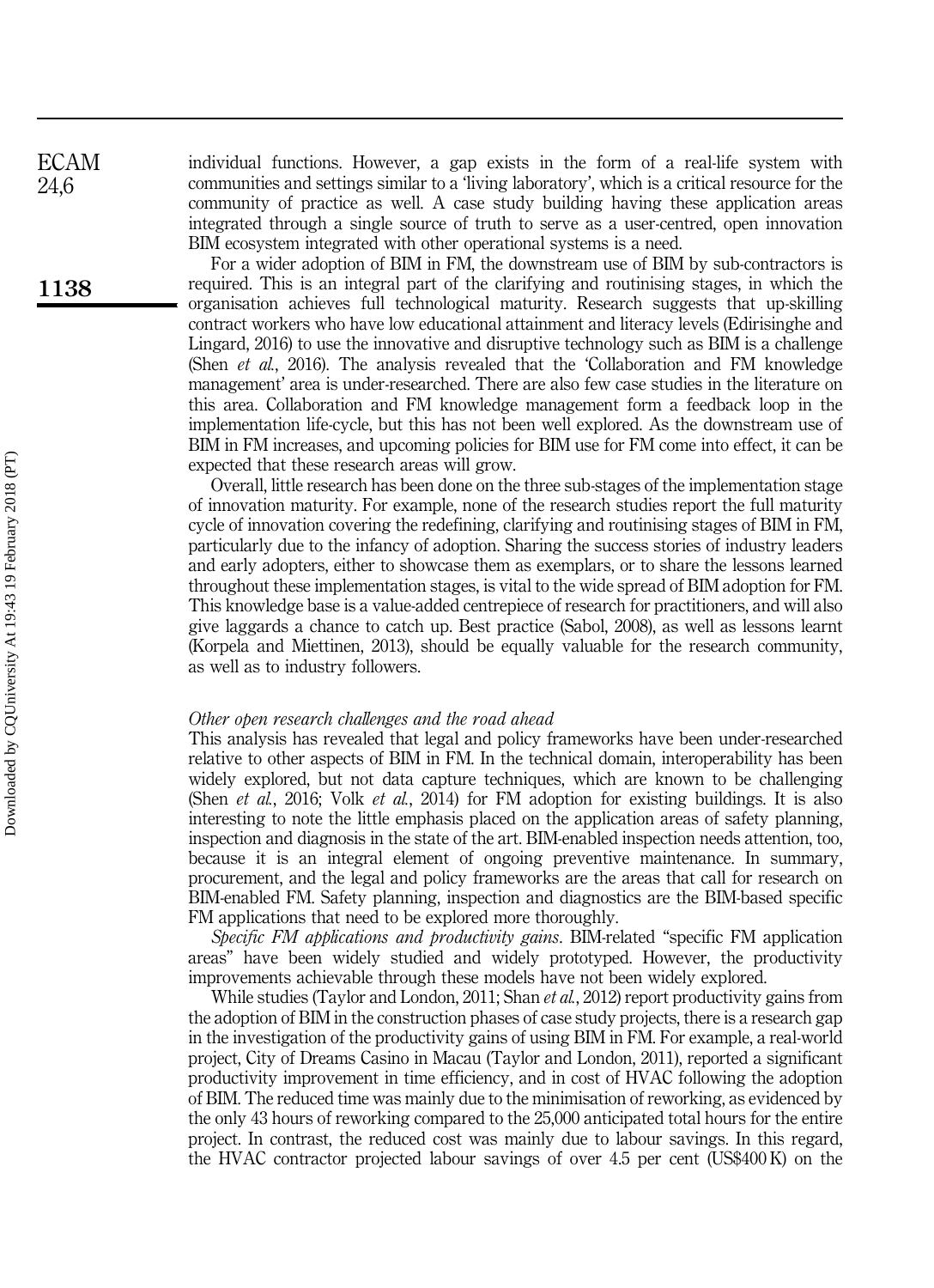individual functions. However, a gap exists in the form of a real-life system with communities and settings similar to a 'living laboratory', which is a critical resource for the community of practice as well. A case study building having these application areas integrated through a single source of truth to serve as a user-centred, open innovation BIM ecosystem integrated with other operational systems is a need.

For a wider adoption of BIM in FM, the downstream use of BIM by sub-contractors is required. This is an integral part of the clarifying and routinising stages, in which the organisation achieves full technological maturity. Research suggests that up-skilling contract workers who have low educational attainment and literacy levels (Edirisinghe and Lingard, 2016) to use the innovative and disruptive technology such as BIM is a challenge (Shen et al., 2016). The analysis revealed that the 'Collaboration and FM knowledge management' area is under-researched. There are also few case studies in the literature on this area. Collaboration and FM knowledge management form a feedback loop in the implementation life-cycle, but this has not been well explored. As the downstream use of BIM in FM increases, and upcoming policies for BIM use for FM come into effect, it can be expected that these research areas will grow.

Overall, little research has been done on the three sub-stages of the implementation stage of innovation maturity. For example, none of the research studies report the full maturity cycle of innovation covering the redefining, clarifying and routinising stages of BIM in FM, particularly due to the infancy of adoption. Sharing the success stories of industry leaders and early adopters, either to showcase them as exemplars, or to share the lessons learned throughout these implementation stages, is vital to the wide spread of BIM adoption for FM. This knowledge base is a value-added centrepiece of research for practitioners, and will also give laggards a chance to catch up. Best practice (Sabol, 2008), as well as lessons learnt (Korpela and Miettinen, 2013), should be equally valuable for the research community, as well as to industry followers.

### Other open research challenges and the road ahead

This analysis has revealed that legal and policy frameworks have been under-researched relative to other aspects of BIM in FM. In the technical domain, interoperability has been widely explored, but not data capture techniques, which are known to be challenging (Shen *et al.*, 2016; Volk *et al.*, 2014) for FM adoption for existing buildings. It is also interesting to note the little emphasis placed on the application areas of safety planning, inspection and diagnosis in the state of the art. BIM-enabled inspection needs attention, too, because it is an integral element of ongoing preventive maintenance. In summary, procurement, and the legal and policy frameworks are the areas that call for research on BIM-enabled FM. Safety planning, inspection and diagnostics are the BIM-based specific FM applications that need to be explored more thoroughly.

Specific FM applications and productivity gains. BIM-related "specific FM application areas" have been widely studied and widely prototyped. However, the productivity improvements achievable through these models have not been widely explored.

While studies (Taylor and London, 2011; Shan *et al.*, 2012) report productivity gains from the adoption of BIM in the construction phases of case study projects, there is a research gap in the investigation of the productivity gains of using BIM in FM. For example, a real-world project, City of Dreams Casino in Macau (Taylor and London, 2011), reported a significant productivity improvement in time efficiency, and in cost of HVAC following the adoption of BIM. The reduced time was mainly due to the minimisation of reworking, as evidenced by the only 43 hours of reworking compared to the 25,000 anticipated total hours for the entire project. In contrast, the reduced cost was mainly due to labour savings. In this regard, the HVAC contractor projected labour savings of over 4.5 per cent (US\$400 K) on the

1138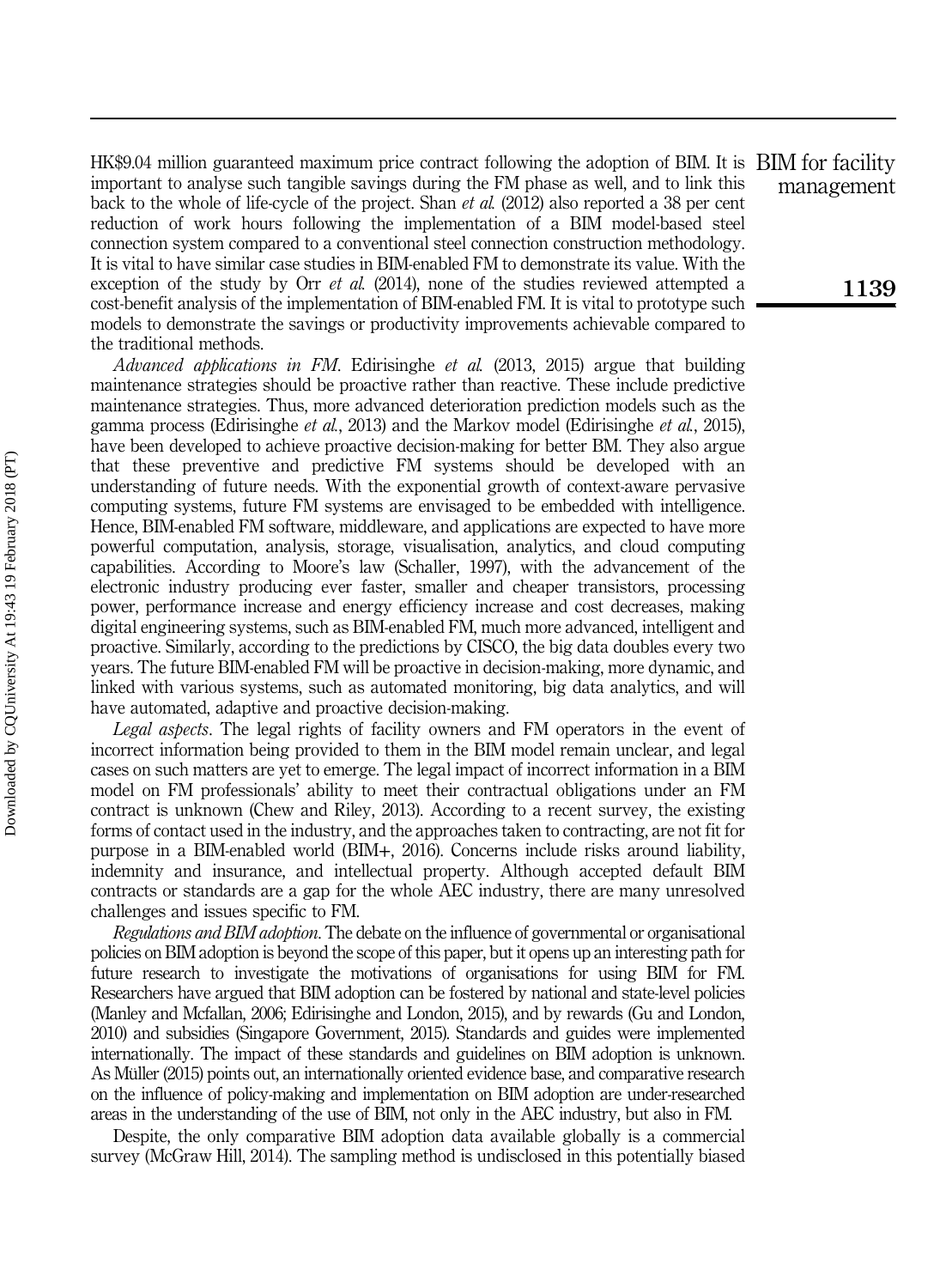HK\$9.04 million guaranteed maximum price contract following the adoption of BIM. It is BIM for facility important to analyse such tangible savings during the FM phase as well, and to link this back to the whole of life-cycle of the project. Shan *et al.* (2012) also reported a 38 per cent reduction of work hours following the implementation of a BIM model-based steel connection system compared to a conventional steel connection construction methodology. It is vital to have similar case studies in BIM-enabled FM to demonstrate its value. With the exception of the study by Orr et al. (2014), none of the studies reviewed attempted a cost-benefit analysis of the implementation of BIM-enabled FM. It is vital to prototype such models to demonstrate the savings or productivity improvements achievable compared to the traditional methods.

Advanced applications in FM. Edirisinghe et al. (2013, 2015) argue that building maintenance strategies should be proactive rather than reactive. These include predictive maintenance strategies. Thus, more advanced deterioration prediction models such as the gamma process (Edirisinghe et al., 2013) and the Markov model (Edirisinghe et al., 2015), have been developed to achieve proactive decision-making for better BM. They also argue that these preventive and predictive FM systems should be developed with an understanding of future needs. With the exponential growth of context-aware pervasive computing systems, future FM systems are envisaged to be embedded with intelligence. Hence, BIM-enabled FM software, middleware, and applications are expected to have more powerful computation, analysis, storage, visualisation, analytics, and cloud computing capabilities. According to Moore's law (Schaller, 1997), with the advancement of the electronic industry producing ever faster, smaller and cheaper transistors, processing power, performance increase and energy efficiency increase and cost decreases, making digital engineering systems, such as BIM-enabled FM, much more advanced, intelligent and proactive. Similarly, according to the predictions by CISCO, the big data doubles every two years. The future BIM-enabled FM will be proactive in decision-making, more dynamic, and linked with various systems, such as automated monitoring, big data analytics, and will have automated, adaptive and proactive decision-making.

Legal aspects. The legal rights of facility owners and FM operators in the event of incorrect information being provided to them in the BIM model remain unclear, and legal cases on such matters are yet to emerge. The legal impact of incorrect information in a BIM model on FM professionals' ability to meet their contractual obligations under an FM contract is unknown (Chew and Riley, 2013). According to a recent survey, the existing forms of contact used in the industry, and the approaches taken to contracting, are not fit for purpose in a BIM-enabled world (BIM+, 2016). Concerns include risks around liability, indemnity and insurance, and intellectual property. Although accepted default BIM contracts or standards are a gap for the whole AEC industry, there are many unresolved challenges and issues specific to FM.

Regulations and BIM adoption. The debate on the influence of governmental or organisational policies on BIM adoption is beyond the scope of this paper, but it opens up an interesting path for future research to investigate the motivations of organisations for using BIM for FM. Researchers have argued that BIM adoption can be fostered by national and state-level policies (Manley and Mcfallan, 2006; Edirisinghe and London, 2015), and by rewards (Gu and London, 2010) and subsidies (Singapore Government, 2015). Standards and guides were implemented internationally. The impact of these standards and guidelines on BIM adoption is unknown. As Müller (2015) points out, an internationally oriented evidence base, and comparative research on the influence of policy-making and implementation on BIM adoption are under-researched areas in the understanding of the use of BIM, not only in the AEC industry, but also in FM.

Despite, the only comparative BIM adoption data available globally is a commercial survey (McGraw Hill, 2014). The sampling method is undisclosed in this potentially biased

management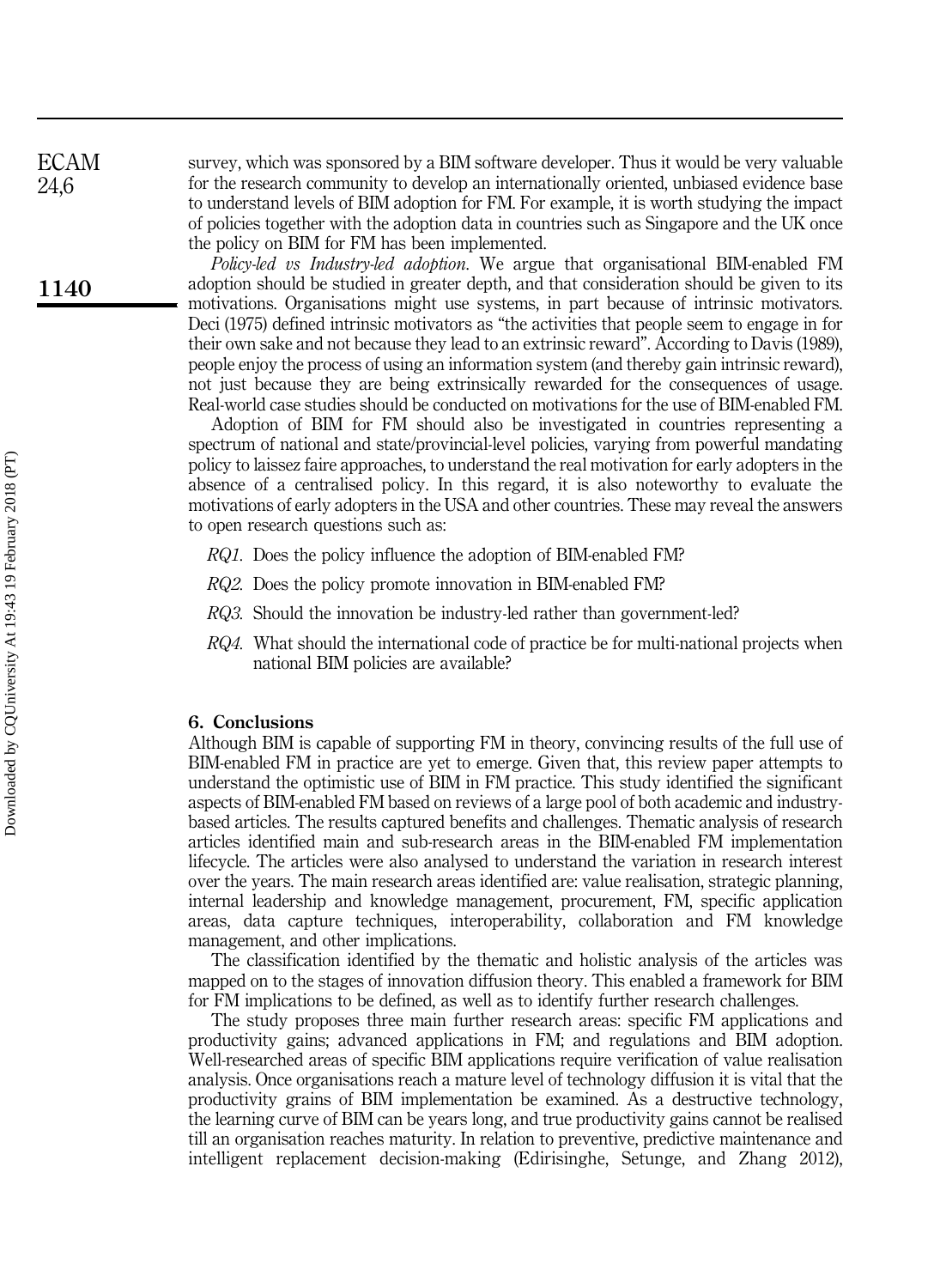survey, which was sponsored by a BIM software developer. Thus it would be very valuable for the research community to develop an internationally oriented, unbiased evidence base to understand levels of BIM adoption for FM. For example, it is worth studying the impact of policies together with the adoption data in countries such as Singapore and the UK once the policy on BIM for FM has been implemented.

Policy-led vs Industry-led adoption. We argue that organisational BIM-enabled FM adoption should be studied in greater depth, and that consideration should be given to its motivations. Organisations might use systems, in part because of intrinsic motivators. Deci (1975) defined intrinsic motivators as "the activities that people seem to engage in for their own sake and not because they lead to an extrinsic reward". According to Davis (1989), people enjoy the process of using an information system (and thereby gain intrinsic reward), not just because they are being extrinsically rewarded for the consequences of usage. Real-world case studies should be conducted on motivations for the use of BIM-enabled FM.

Adoption of BIM for FM should also be investigated in countries representing a spectrum of national and state/provincial-level policies, varying from powerful mandating policy to laissez faire approaches, to understand the real motivation for early adopters in the absence of a centralised policy. In this regard, it is also noteworthy to evaluate the motivations of early adopters in the USA and other countries. These may reveal the answers to open research questions such as:

- RQ1. Does the policy influence the adoption of BIM-enabled FM?
- RQ2. Does the policy promote innovation in BIM-enabled FM?
- RQ3. Should the innovation be industry-led rather than government-led?
- RQ4. What should the international code of practice be for multi-national projects when national BIM policies are available?

### 6. Conclusions

Although BIM is capable of supporting FM in theory, convincing results of the full use of BIM-enabled FM in practice are yet to emerge. Given that, this review paper attempts to understand the optimistic use of BIM in FM practice. This study identified the significant aspects of BIM-enabled FM based on reviews of a large pool of both academic and industrybased articles. The results captured benefits and challenges. Thematic analysis of research articles identified main and sub-research areas in the BIM-enabled FM implementation lifecycle. The articles were also analysed to understand the variation in research interest over the years. The main research areas identified are: value realisation, strategic planning, internal leadership and knowledge management, procurement, FM, specific application areas, data capture techniques, interoperability, collaboration and FM knowledge management, and other implications.

The classification identified by the thematic and holistic analysis of the articles was mapped on to the stages of innovation diffusion theory. This enabled a framework for BIM for FM implications to be defined, as well as to identify further research challenges.

The study proposes three main further research areas: specific FM applications and productivity gains; advanced applications in FM; and regulations and BIM adoption. Well-researched areas of specific BIM applications require verification of value realisation analysis. Once organisations reach a mature level of technology diffusion it is vital that the productivity grains of BIM implementation be examined. As a destructive technology, the learning curve of BIM can be years long, and true productivity gains cannot be realised till an organisation reaches maturity. In relation to preventive, predictive maintenance and intelligent replacement decision-making (Edirisinghe, Setunge, and Zhang 2012),

ECAM 24,6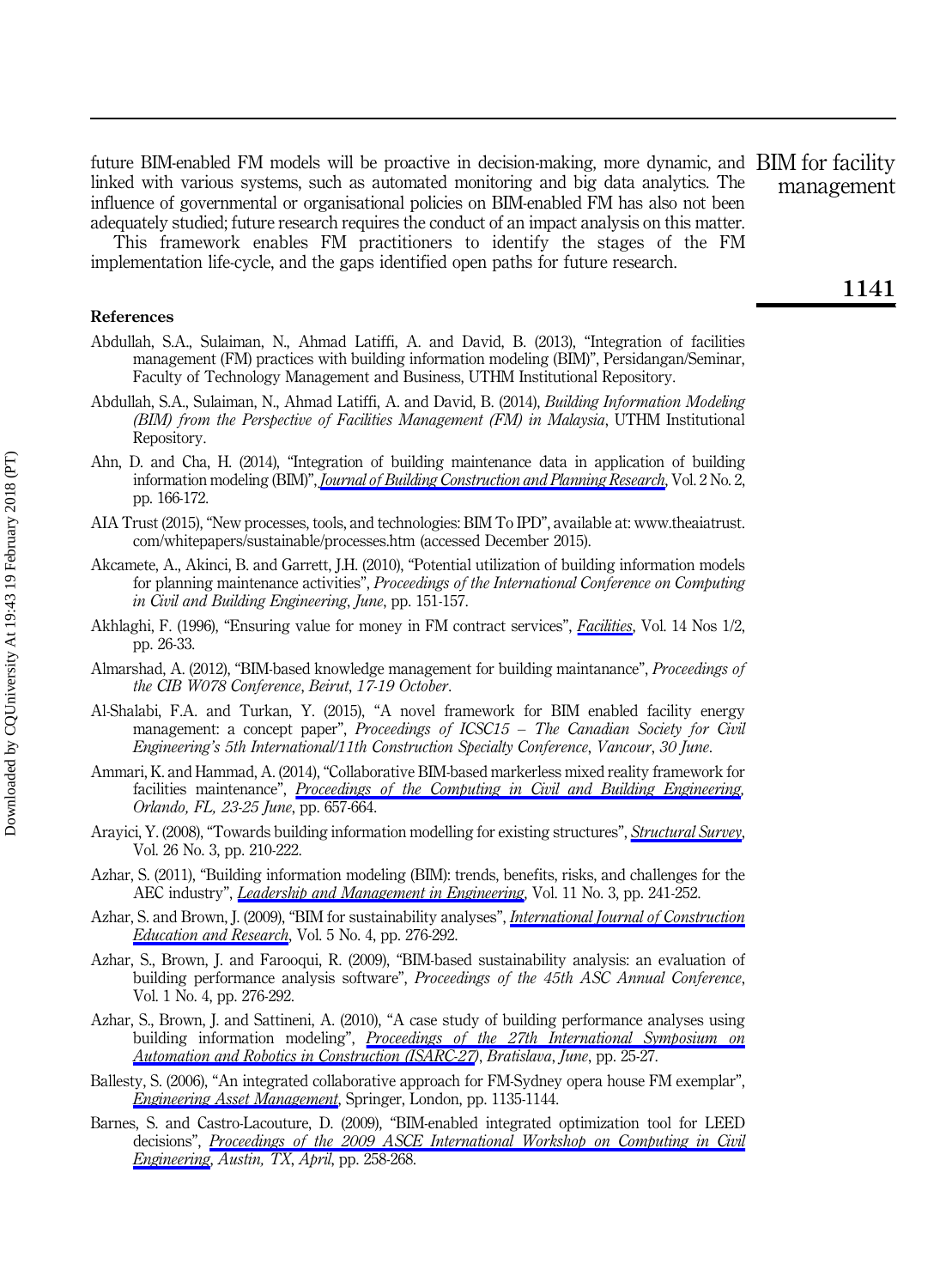future BIM-enabled FM models will be proactive in decision-making, more dynamic, and BIM for facility linked with various systems, such as automated monitoring and big data analytics. The influence of governmental or organisational policies on BIM-enabled FM has also not been adequately studied; future research requires the conduct of an impact analysis on this matter.

This framework enables FM practitioners to identify the stages of the FM implementation life-cycle, and the gaps identified open paths for future research.

### References

- Abdullah, S.A., Sulaiman, N., Ahmad Latiffi, A. and David, B. (2013), "Integration of facilities management (FM) practices with building information modeling (BIM)", Persidangan/Seminar, Faculty of Technology Management and Business, UTHM Institutional Repository.
- Abdullah, S.A., Sulaiman, N., Ahmad Latiffi, A. and David, B. (2014), Building Information Modeling (BIM) from the Perspective of Facilities Management (FM) in Malaysia, UTHM Institutional Repository.
- Ahn, D. and Cha, H. (2014), "Integration of building maintenance data in application of building information modeling (BIM)", *[Journal of Building Construction and Planning Research](http://www.emeraldinsight.com/action/showLinks?doi=10.1108%2FECAM-06-2016-0139&crossref=10.4236%2Fjbcpr.2014.22015&citationId=p_3)*, Vol. 2 No. 2, pp. 166-172.
- AIA Trust (2015), "New processes, tools, and technologies: BIM To IPD", available at: [www.theaiatrust.](www.theaiatrust.com/whitepapers/sustainable/processes.htm) [com/whitepapers/sustainable/processes.htm](www.theaiatrust.com/whitepapers/sustainable/processes.htm) (accessed December 2015).
- Akcamete, A., Akinci, B. and Garrett, J.H. (2010), "Potential utilization of building information models for planning maintenance activities", Proceedings of the International Conference on Computing in Civil and Building Engineering, June, pp. 151-157.
- Akhlaghi, F. (1996), "Ensuring value for money in FM contract services", *[Facilities](http://www.emeraldinsight.com/action/showLinks?doi=10.1108%2FECAM-06-2016-0139&system=10.1108%2F02632779610098037&citationId=p_6)*, Vol. 14 Nos 1/2, pp. 26-33.
- Almarshad, A. (2012), "BIM-based knowledge management for building maintanance", Proceedings of the CIB W078 Conference, Beirut, 17-19 October.
- Al-Shalabi, F.A. and Turkan, Y. (2015), "A novel framework for BIM enabled facility energy management: a concept paper", Proceedings of ICSC15 - The Canadian Society for Civil Engineering's 5th International/11th Construction Specialty Conference, Vancour, 30 June.
- Ammari, K. and Hammad, A. (2014), "Collaborative BIM-based markerless mixed reality framework for facilities maintenance", [Proceedings of the Computing in Civil and Building Engineering](http://www.emeraldinsight.com/action/showLinks?doi=10.1108%2FECAM-06-2016-0139&crossref=10.1061%2F9780784413616.082&citationId=p_9), Orlando, FL, 23-25 June, pp. 657-664.
- Arayici, Y. (2008), "Towards building information modelling for existing structures", [Structural Survey](http://www.emeraldinsight.com/action/showLinks?doi=10.1108%2FECAM-06-2016-0139&system=10.1108%2F02630800810887108&citationId=p_10), Vol. 26 No. 3, pp. 210-222.
- Azhar, S. (2011), "Building information modeling (BIM): trends, benefits, risks, and challenges for the AEC industry", *[Leadership and Management in Engineering](http://www.emeraldinsight.com/action/showLinks?doi=10.1108%2FECAM-06-2016-0139&crossref=10.1061%2F%28ASCE%29LM.1943-5630.0000127&citationId=p_11)*, Vol. 11 No. 3, pp. 241-252.
- Azhar, S. and Brown, J. (2009), "BIM for sustainability analyses", *[International Journal of Construction](http://www.emeraldinsight.com/action/showLinks?doi=10.1108%2FECAM-06-2016-0139&crossref=10.1080%2F15578770903355657&citationId=p_12)* [Education and Research](http://www.emeraldinsight.com/action/showLinks?doi=10.1108%2FECAM-06-2016-0139&crossref=10.1080%2F15578770903355657&citationId=p_12), Vol. 5 No. 4, pp. 276-292.
- Azhar, S., Brown, J. and Farooqui, R. (2009), "BIM-based sustainability analysis: an evaluation of building performance analysis software", Proceedings of the 45th ASC Annual Conference, Vol. 1 No. 4, pp. 276-292.
- Azhar, S., Brown, J. and Sattineni, A. (2010), "A case study of building performance analyses using building information modeling", *[Proceedings of the 27th International Symposium on](http://www.emeraldinsight.com/action/showLinks?doi=10.1108%2FECAM-06-2016-0139&crossref=10.22260%2FISARC2010%2F0023&citationId=p_14)* [Automation and Robotics in Construction \(ISARC-27\)](http://www.emeraldinsight.com/action/showLinks?doi=10.1108%2FECAM-06-2016-0139&crossref=10.22260%2FISARC2010%2F0023&citationId=p_14), Bratislava, June, pp. 25-27.
- Ballesty, S. (2006), "An integrated collaborative approach for FM-Sydney opera house FM exemplar", [Engineering Asset Management](http://www.emeraldinsight.com/action/showLinks?doi=10.1108%2FECAM-06-2016-0139&crossref=10.1007%2F978-1-84628-814-2_124&citationId=p_15), Springer, London, pp. 1135-1144.
- Barnes, S. and Castro-Lacouture, D. (2009), "BIM-enabled integrated optimization tool for LEED decisions", [Proceedings of the 2009 ASCE International Workshop on Computing in Civil](http://www.emeraldinsight.com/action/showLinks?doi=10.1108%2FECAM-06-2016-0139&crossref=10.1061%2F41052%28346%2926&citationId=p_16) [Engineering](http://www.emeraldinsight.com/action/showLinks?doi=10.1108%2FECAM-06-2016-0139&crossref=10.1061%2F41052%28346%2926&citationId=p_16), Austin, TX, April, pp. 258-268.

management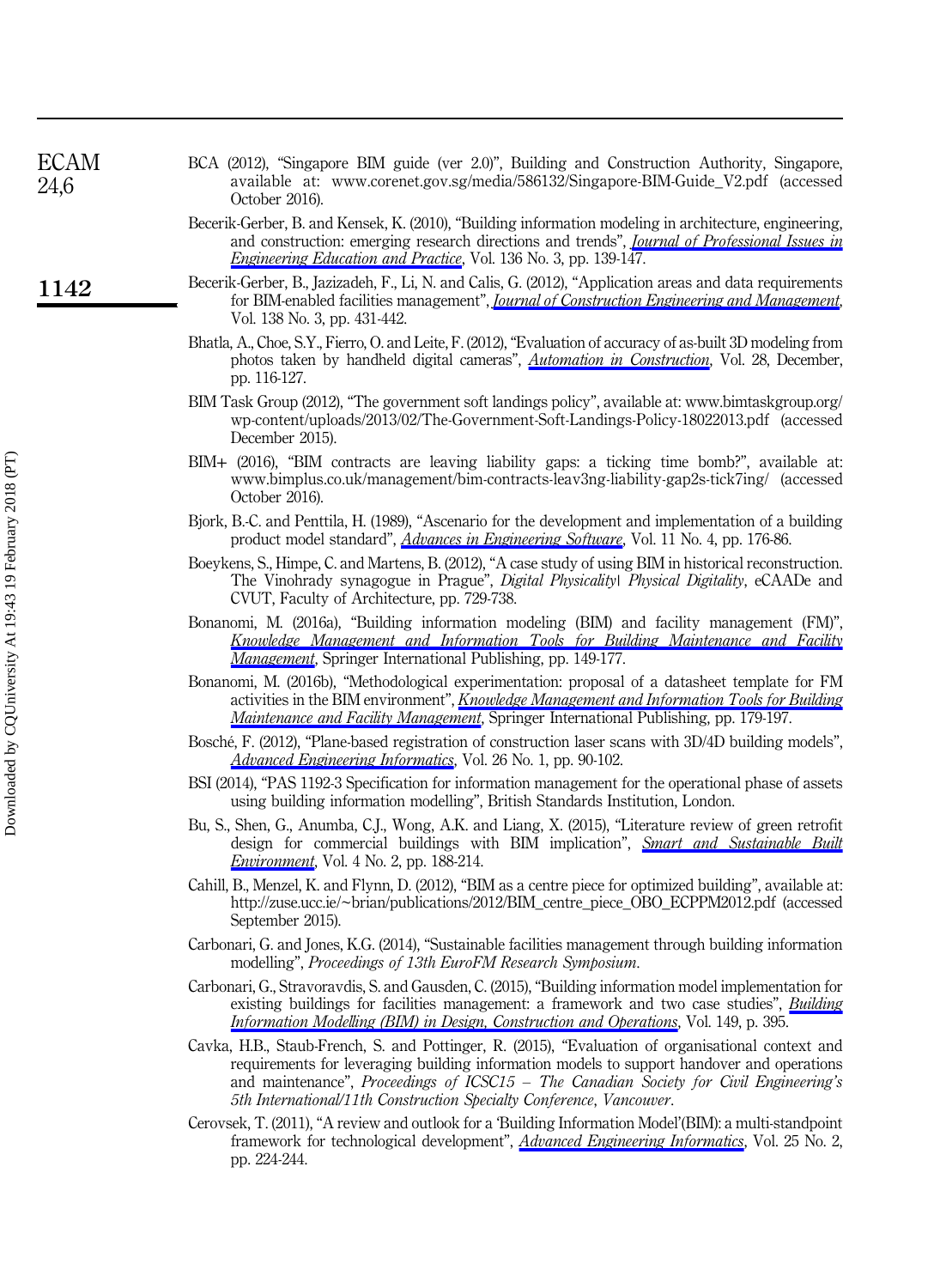| <b>ECAM</b><br>24,6 | BCA (2012), "Singapore BIM guide (ver 2.0)", Building and Construction Authority, Singapore,<br>available at: www.corenet.gov.sg/media/586132/Singapore-BIM-Guide_V2.pdf (accessed<br>October 2016).                                                                                                                                                              |
|---------------------|-------------------------------------------------------------------------------------------------------------------------------------------------------------------------------------------------------------------------------------------------------------------------------------------------------------------------------------------------------------------|
|                     | Becerik-Gerber, B. and Kensek, K. (2010), "Building information modeling in architecture, engineering,<br>and construction: emerging research directions and trends", <i>Journal of Professional Issues in</i><br><i>Engineering Education and Practice</i> , Vol. 136 No. 3, pp. 139-147.                                                                        |
| 1142                | Becerik-Gerber, B., Jazizadeh, F., Li, N. and Calis, G. (2012), "Application areas and data requirements<br>for BIM-enabled facilities management", <i>Journal of Construction Engineering and Management</i> ,<br>Vol. 138 No. 3, pp. 431-442.                                                                                                                   |
|                     | Bhatla, A., Choe, S.Y., Fierro, O. and Leite, F. (2012), "Evaluation of accuracy of as-built 3D modeling from<br>photos taken by handheld digital cameras", <i>Automation in Construction</i> , Vol. 28, December,<br>pp. 116-127.                                                                                                                                |
|                     | BIM Task Group (2012), "The government soft landings policy", available at: www.bimtaskgroup.org/<br>wp-content/uploads/2013/02/The-Government-Soft-Landings-Policy-18022013.pdf (accessed<br>December 2015).                                                                                                                                                     |
|                     | BIM+ (2016), "BIM contracts are leaving liability gaps: a ticking time bomb?", available at:<br>www.bimplus.co.uk/management/bim-contracts-leav3ng-liability-gap2s-tick7ing/ (accessed<br>October 2016).                                                                                                                                                          |
|                     | Bjork, B.-C. and Penttila, H. (1989), "Ascenario for the development and implementation of a building<br>product model standard", <i>Advances in Engineering Software</i> , Vol. 11 No. 4, pp. 176-86.                                                                                                                                                            |
|                     | Boeykens, S., Himpe, C. and Martens, B. (2012), "A case study of using BIM in historical reconstruction.<br>The Vinohrady synagogue in Prague", Digital Physicality\ Physical Digitality, eCAADe and<br>CVUT, Faculty of Architecture, pp. 729-738.                                                                                                               |
|                     | Bonanomi, M. (2016a), "Building information modeling (BIM) and facility management (FM)",<br>Knowledge Management and Information Tools for Building Maintenance and Facility<br>Management, Springer International Publishing, pp. 149-177.                                                                                                                      |
|                     | Bonanomi, M. (2016b), "Methodological experimentation: proposal of a datasheet template for FM<br>activities in the BIM environment", <i>Knowledge Management and Information Tools for Building</i><br><i>Maintenance and Facility Management</i> , Springer International Publishing, pp. 179-197.                                                              |
|                     | Bosché, F. (2012), "Plane-based registration of construction laser scans with 3D/4D building models",<br><i>Advanced Engineering Informatics</i> , Vol. 26 No. 1, pp. 90-102.                                                                                                                                                                                     |
|                     | BSI (2014), "PAS 1192-3 Specification for information management for the operational phase of assets<br>using building information modelling", British Standards Institution, London.                                                                                                                                                                             |
|                     | Bu, S., Shen, G., Anumba, C.J., Wong, A.K. and Liang, X. (2015), "Literature review of green retrofit<br>design for commercial buildings with BIM implication", <i>Smart and Sustainable Built</i><br><i>Environment</i> , Vol. 4 No. 2, pp. 188-214.                                                                                                             |
|                     | Cahill, B., Menzel, K. and Flynn, D. (2012), "BIM as a centre piece for optimized building", available at:<br>http://zuse.ucc.ie/~brian/publications/2012/BIM_centre_piece_OBO_ECPPM2012.pdf (accessed<br>September 2015).                                                                                                                                        |
|                     | Carbonari, G. and Jones, K.G. (2014), "Sustainable facilities management through building information<br>modelling", Proceedings of 13th EuroFM Research Symposium.                                                                                                                                                                                               |
|                     | Carbonari, G., Stravoravdis, S. and Gausden, C. (2015), "Building information model implementation for<br>existing buildings for facilities management: a framework and two case studies", Building<br>Information Modelling (BIM) in Design, Construction and Operations, Vol. 149, p. 395.                                                                      |
|                     | Cavka, H.B., Staub-French, S. and Pottinger, R. (2015), "Evaluation of organisational context and<br>requirements for leveraging building information models to support handover and operations<br>and maintenance", Proceedings of ICSC15 - The Canadian Society for Civil Engineering's<br>5th International/11th Construction Specialty Conference, Vancouver. |
|                     | Cerovsek, T. (2011), "A review and outlook for a 'Building Information Model'(BIM): a multi-standpoint<br>framework for technological development", <i>Advanced Engineering Informatics</i> , Vol. 25 No. 2,<br>pp. 224-244.                                                                                                                                      |

Downloaded by CQUniversity At 19:43 19 February 2018 (PT) Downloaded by CQUniversity At 19:43 19 February 2018 (PT)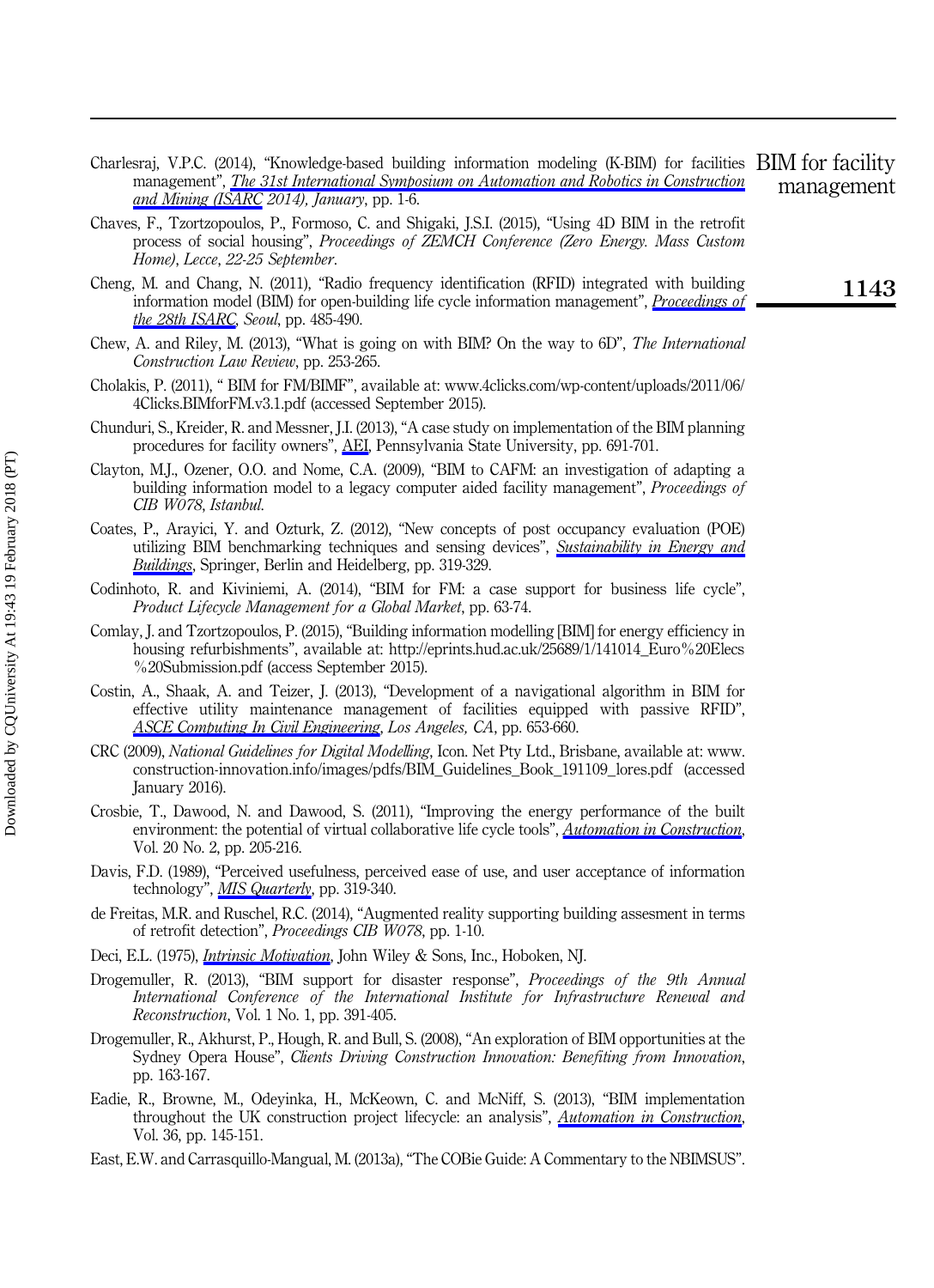- Charlesraj, V.P.C. (2014), "Knowledge-based building information modeling (K-BIM) for facilities BIM for facility management", *[The 31st International Symposium on Automation and Robotics in Construction](http://www.emeraldinsight.com/action/showLinks?doi=10.1108%2FECAM-06-2016-0139&crossref=10.22260%2FISARC2014%2F0127&citationId=p_35)* [and Mining \(ISARC](http://www.emeraldinsight.com/action/showLinks?doi=10.1108%2FECAM-06-2016-0139&crossref=10.22260%2FISARC2014%2F0127&citationId=p_35) 2014), January, pp. 1-6. management
- Chaves, F., Tzortzopoulos, P., Formoso, C. and Shigaki, J.S.I. (2015), "Using 4D BIM in the retrofit process of social housing", Proceedings of ZEMCH Conference (Zero Energy. Mass Custom Home), Lecce, 22-25 September.
- Cheng, M. and Chang, N. (2011), "Radio frequency identification (RFID) integrated with building information model (BIM) for open-building life cycle information management", [Proceedings of](http://www.emeraldinsight.com/action/showLinks?doi=10.1108%2FECAM-06-2016-0139&crossref=10.22260%2FISARC2011%2F0088&citationId=p_37) [the 28th ISARC](http://www.emeraldinsight.com/action/showLinks?doi=10.1108%2FECAM-06-2016-0139&crossref=10.22260%2FISARC2011%2F0088&citationId=p_37), Seoul, pp. 485-490. 1143
- Chew, A. and Riley, M. (2013), "What is going on with BIM? On the way to 6D", The International Construction Law Review, pp. 253-265.
- Cholakis, P. (2011), " BIM for FM/BIMF", available at: [www.4clicks.com/wp-content/uploads/2011/06/](www.4clicks.com/wp-content/uploads/2011/06/4Clicks.BIMforFM.v3.1.pdf) [4Clicks.BIMforFM.v3.1.pdf](www.4clicks.com/wp-content/uploads/2011/06/4Clicks.BIMforFM.v3.1.pdf) (accessed September 2015).
- Chunduri, S., Kreider, R. and Messner, J.I. (2013), "A case study on implementation of the BIM planning procedures for facility owners", [AEI,](http://www.emeraldinsight.com/action/showLinks?doi=10.1108%2FECAM-06-2016-0139&crossref=10.1061%2F9780784412909.068&citationId=p_40) Pennsylvania State University, pp. 691-701.
- Clayton, M.J., Ozener, O.O. and Nome, C.A. (2009), "BIM to CAFM: an investigation of adapting a building information model to a legacy computer aided facility management", *Proceedings of* CIB W078, Istanbul.
- Coates, P., Arayici, Y. and Ozturk, Z. (2012), "New concepts of post occupancy evaluation (POE) utilizing BIM benchmarking techniques and sensing devices", [Sustainability in Energy and](http://www.emeraldinsight.com/action/showLinks?doi=10.1108%2FECAM-06-2016-0139&crossref=10.1007%2F978-3-642-27509-8_27&citationId=p_42) [Buildings](http://www.emeraldinsight.com/action/showLinks?doi=10.1108%2FECAM-06-2016-0139&crossref=10.1007%2F978-3-642-27509-8_27&citationId=p_42), Springer, Berlin and Heidelberg, pp. 319-329.
- Codinhoto, R. and Kiviniemi, A. (2014), "BIM for FM: a case support for business life cycle", Product Lifecycle Management for a Global Market, pp. 63-74.
- Comlay, J. and Tzortzopoulos, P. (2015), "Building information modelling [BIM] for energy efficiency in housing refurbishments", available at: [http://eprints.hud.ac.uk/25689/1/141014\\_Euro%20Elecs](http://eprints.hud.ac.uk/25689/1/141014_Euro%20Elecs%20Submission.pdf) [%20Submission.pdf](http://eprints.hud.ac.uk/25689/1/141014_Euro%20Elecs%20Submission.pdf) (access September 2015).
- Costin, A., Shaak, A. and Teizer, J. (2013), "Development of a navigational algorithm in BIM for effective utility maintenance management of facilities equipped with passive RFID", [ASCE Computing In Civil Engineering](http://www.emeraldinsight.com/action/showLinks?doi=10.1108%2FECAM-06-2016-0139&crossref=10.1061%2F9780784413029.082&citationId=p_45), Los Angeles, CA, pp. 653-660.
- CRC (2009), National Guidelines for Digital Modelling, Icon. Net Pty Ltd., Brisbane, available at: [www.](www.construction-innovation.info/images/pdfs/BIM_Guidelines_Book_191109_lores.pdf) [construction-innovation.info/images/pdfs/BIM\\_Guidelines\\_Book\\_191109\\_lores.pdf](www.construction-innovation.info/images/pdfs/BIM_Guidelines_Book_191109_lores.pdf) (accessed January 2016).
- Crosbie, T., Dawood, N. and Dawood, S. (2011), "Improving the energy performance of the built environment: the potential of virtual collaborative life cycle tools", *[Automation in Construction](http://www.emeraldinsight.com/action/showLinks?doi=10.1108%2FECAM-06-2016-0139&crossref=10.1016%2Fj.autcon.2010.09.018&isi=000288294100013&citationId=p_47)*, Vol. 20 No. 2, pp. 205-216.
- Davis, F.D. (1989), "Perceived usefulness, perceived ease of use, and user acceptance of information technology", [MIS Quarterly](http://www.emeraldinsight.com/action/showLinks?doi=10.1108%2FECAM-06-2016-0139&crossref=10.2307%2F249008&isi=A1989CC00400006&citationId=p_48), pp. 319-340.
- de Freitas, M.R. and Ruschel, R.C. (2014), "Augmented reality supporting building assesment in terms of retrofit detection", Proceedings CIB W078, pp. 1-10.
- Deci, E.L. (1975), *[Intrinsic Motivation](http://www.emeraldinsight.com/action/showLinks?doi=10.1108%2FECAM-06-2016-0139&crossref=10.1007%2F978-1-4613-4446-9&citationId=p_50)*, John Wiley & Sons, Inc., Hoboken, NJ.
- Drogemuller, R. (2013), "BIM support for disaster response", Proceedings of the 9th Annual International Conference of the International Institute for Infrastructure Renewal and Reconstruction, Vol. 1 No. 1, pp. 391-405.
- Drogemuller, R., Akhurst, P., Hough, R. and Bull, S. (2008), "An exploration of BIM opportunities at the Sydney Opera House", Clients Driving Construction Innovation: Benefiting from Innovation, pp. 163-167.
- Eadie, R., Browne, M., Odeyinka, H., McKeown, C. and McNiff, S. (2013), "BIM implementation throughout the UK construction project lifecycle: an analysis", [Automation in Construction](http://www.emeraldinsight.com/action/showLinks?doi=10.1108%2FECAM-06-2016-0139&crossref=10.1016%2Fj.autcon.2013.09.001&isi=000327574100013&citationId=p_53), Vol. 36, pp. 145-151.
- East, E.W. and Carrasquillo-Mangual, M. (2013a), "The COBie Guide: A Commentary to the NBIMSUS".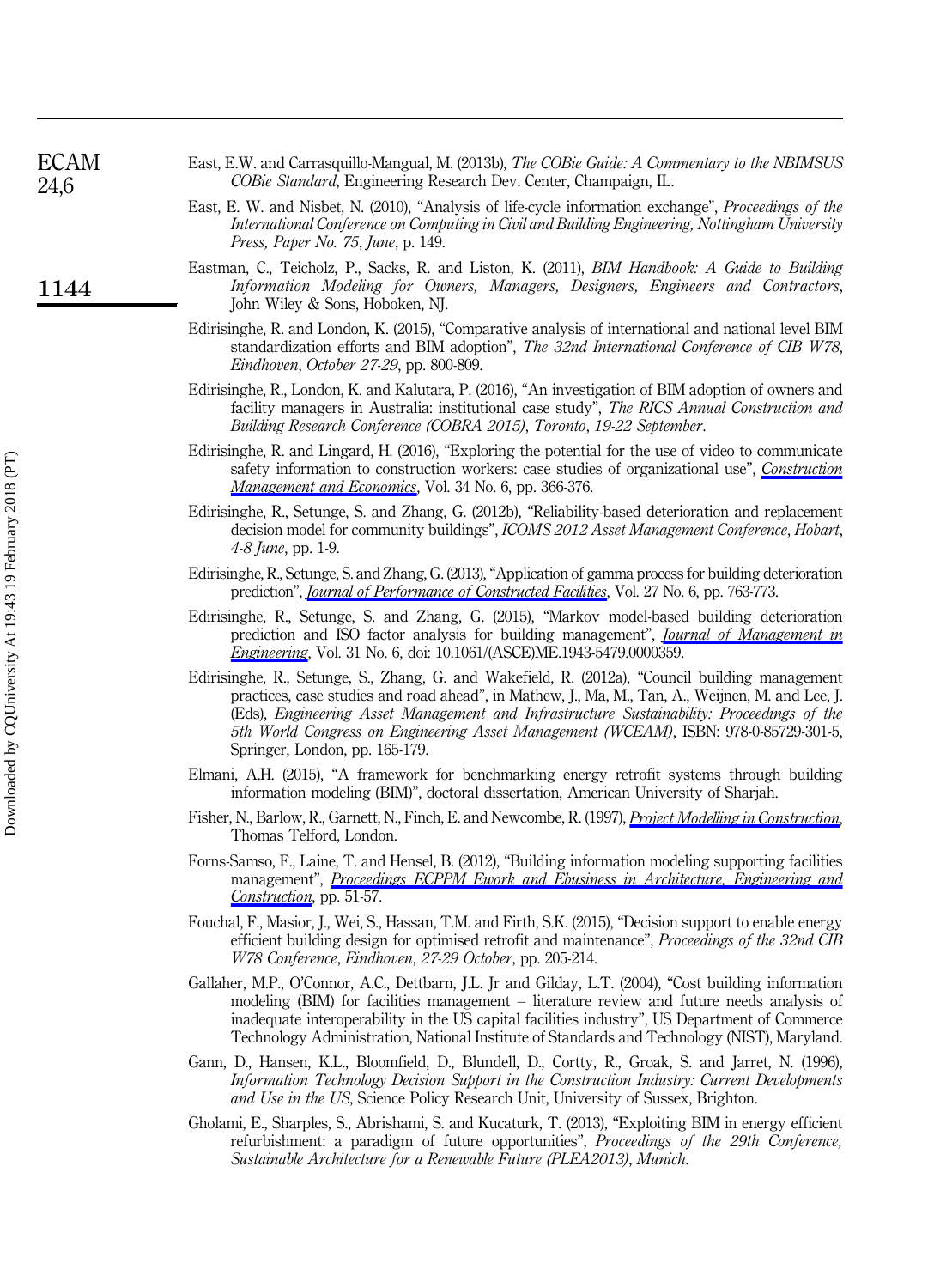| ECAM<br>24,6 | East, E.W. and Carrasquillo-Mangual, M. (2013b), <i>The COBie Guide: A Commentary to the NBIMSUS</i><br><i>COBie Standard</i> , Engineering Research Dev. Center, Champaign, IL.                                                                                                                                                                                                                                           |
|--------------|----------------------------------------------------------------------------------------------------------------------------------------------------------------------------------------------------------------------------------------------------------------------------------------------------------------------------------------------------------------------------------------------------------------------------|
|              | East, E. W. and Nisbet, N. (2010), "Analysis of life-cycle information exchange", Proceedings of the<br>International Conference on Computing in Civil and Building Engineering, Nottingham University<br><i>Press, Paper No. 75, June, p. 149.</i>                                                                                                                                                                        |
| 1144         | Eastman, C., Teicholz, P., Sacks, R. and Liston, K. (2011), BIM Handbook: A Guide to Building<br>Information Modeling for Owners, Managers, Designers, Engineers and Contractors,<br>John Wiley & Sons, Hoboken, NJ.                                                                                                                                                                                                       |
|              | Edirisinghe, R. and London, K. (2015), "Comparative analysis of international and national level BIM<br>standardization efforts and BIM adoption", The 32nd International Conference of CIB W78,<br>Eindhoven, October 27-29, pp. 800-809.                                                                                                                                                                                 |
|              | Edirisinghe, R., London, K. and Kalutara, P. (2016), "An investigation of BIM adoption of owners and<br>facility managers in Australia: institutional case study", The RICS Annual Construction and<br>Building Research Conference (COBRA 2015), Toronto, 19-22 September.                                                                                                                                                |
|              | Edirisinghe, R. and Lingard, H. (2016), "Exploring the potential for the use of video to communicate<br>safety information to construction workers: case studies of organizational use", Construction<br>Management and Economics, Vol. 34 No. 6, pp. 366-376.                                                                                                                                                             |
|              | Edirisinghe, R., Setunge, S. and Zhang, G. (2012b), "Reliability-based deterioration and replacement<br>decision model for community buildings", ICOMS 2012 Asset Management Conference, Hobart,<br>4-8 June, pp. 1-9.                                                                                                                                                                                                     |
|              | Edirisinghe, R., Setunge, S. and Zhang, G. (2013), "Application of gamma process for building deterioration<br>prediction", <i>Journal of Performance of Constructed Facilities</i> , Vol. 27 No. 6, pp. 763-773.                                                                                                                                                                                                          |
|              | Edirisinghe, R., Setunge, S. and Zhang, G. (2015), "Markov model-based building deterioration<br>prediction and ISO factor analysis for building management", <i>Journal of Management in</i><br><i>Engineering</i> , Vol. 31 No. 6, doi: 10.1061/(ASCE)ME.1943-5479.0000359.                                                                                                                                              |
|              | Edirisinghe, R., Setunge, S., Zhang, G. and Wakefield, R. (2012a), "Council building management<br>practices, case studies and road ahead", in Mathew, J., Ma, M., Tan, A., Weijnen, M. and Lee, J.<br>(Eds), Engineering Asset Management and Infrastructure Sustainability: Proceedings of the<br>5th World Congress on Engineering Asset Management (WCEAM), ISBN: 978-0-85729-301-5,<br>Springer, London, pp. 165-179. |
|              | Elmani, A.H. (2015), "A framework for benchmarking energy retrofit systems through building<br>information modeling (BIM)", doctoral dissertation, American University of Sharjah.                                                                                                                                                                                                                                         |
|              | Fisher, N., Barlow, R., Garnett, N., Finch, E. and Newcombe, R. (1997), Project Modelling in Construction,<br>Thomas Telford, London.                                                                                                                                                                                                                                                                                      |
|              | Forns-Samso, F., Laine, T. and Hensel, B. (2012), "Building information modeling supporting facilities<br>management", <i>Proceedings ECDDM Emoth and Ehusiness</i><br>Construction, pp. 51-57.                                                                                                                                                                                                                            |
|              | Fouchal, F., Masior, J., Wei, S., Hassan, T.M. and Firth, S.K. (2015), "Decision support to enable energy<br>efficient building design for optimised retrofit and maintenance", Proceedings of the 32nd CIB<br>W78 Conference, Eindhoven, 27-29 October, pp. 205-214.                                                                                                                                                      |
|              | Gallaher, M.P., O'Connor, A.C., Dettbarn, J.L. Jr and Gilday, L.T. (2004), "Cost building information<br>modeling (BIM) for facilities management – literature review and future needs analysis of<br>inadequate interoperability in the US capital facilities industry", US Department of Commerce<br>Technology Administration, National Institute of Standards and Technology (NIST), Maryland.                         |

- Gann, D., Hansen, K.L., Bloomfield, D., Blundell, D., Cortty, R., Groak, S. and Jarret, N. (1996), Information Technology Decision Support in the Construction Industry: Current Developments and Use in the US, Science Policy Research Unit, University of Sussex, Brighton.
- Gholami, E., Sharples, S., Abrishami, S. and Kucaturk, T. (2013), "Exploiting BIM in energy efficient refurbishment: a paradigm of future opportunities", Proceedings of the 29th Conference, Sustainable Architecture for a Renewable Future (PLEA2013), Munich.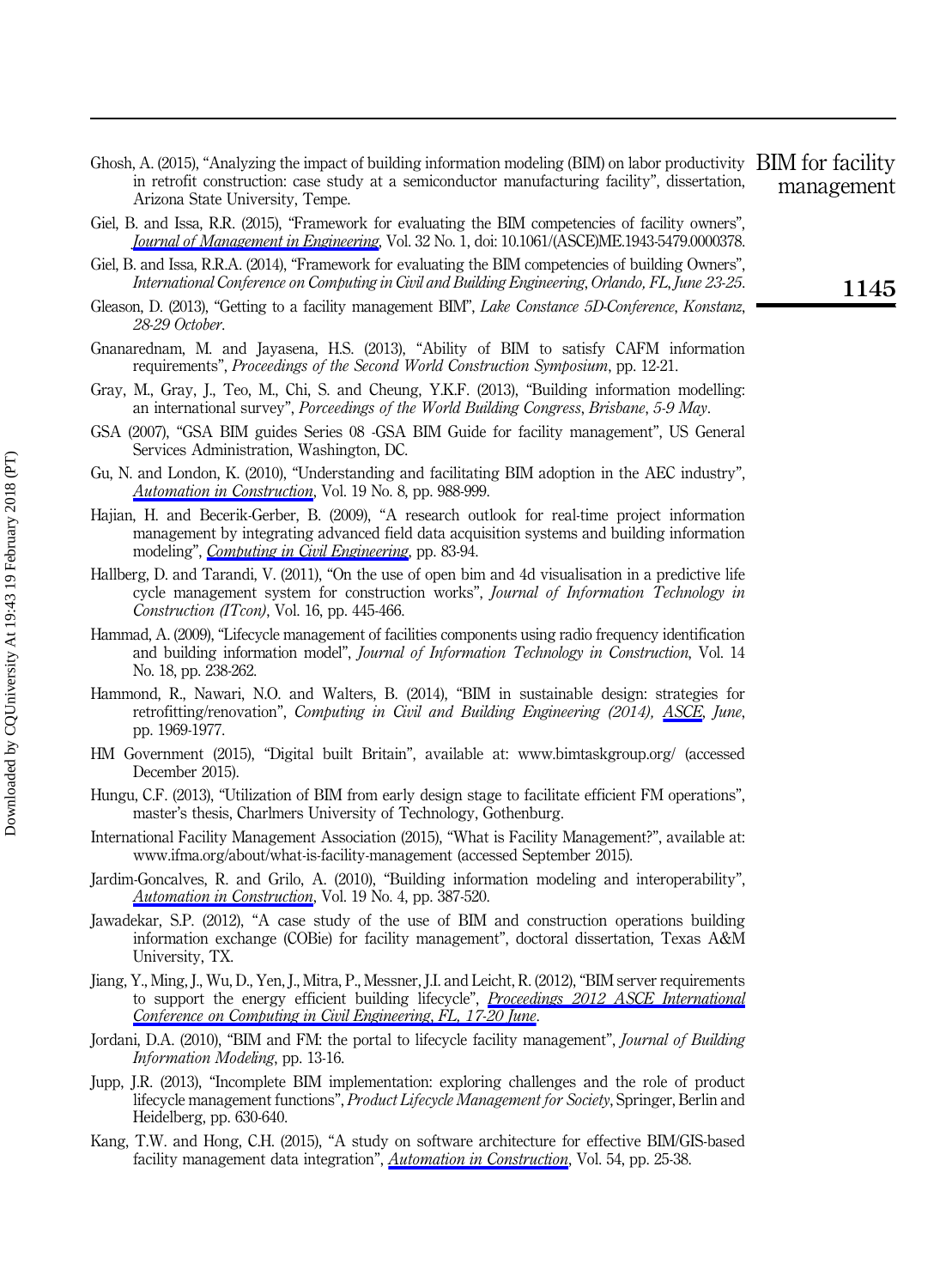- Ghosh, A. (2015), "Analyzing the impact of building information modeling (BIM) on labor productivity BIM for facility in retrofit construction: case study at a semiconductor manufacturing facility", dissertation, Arizona State University, Tempe. management
- Giel, B. and Issa, R.R. (2015), "Framework for evaluating the BIM competencies of facility owners", [Journal of Management in Engineering](http://www.emeraldinsight.com/action/showLinks?doi=10.1108%2FECAM-06-2016-0139&isi=000366650000007&citationId=p_73), Vol. 32 No. 1, doi: 10.1061/(ASCE)ME.1943-5479.0000378.
- Giel, B. and Issa, R.R.A. (2014), "Framework for evaluating the BIM competencies of building Owners", International Conference on Computing in Civil and Building Engineering, Orlando, FL, June 23-25.
- Gleason, D. (2013), "Getting to a facility management BIM", *Lake Constance 5D-Conference*, *Konstanz*, 28-29 October.
- Gnanarednam, M. and Jayasena, H.S. (2013), "Ability of BIM to satisfy CAFM information requirements", Proceedings of the Second World Construction Symposium, pp. 12-21.
- Gray, M., Gray, J., Teo, M., Chi, S. and Cheung, Y.K.F. (2013), "Building information modelling: an international survey", Porceedings of the World Building Congress, Brisbane, 5-9 May.
- GSA (2007), "GSA BIM guides Series 08 -GSA BIM Guide for facility management", US General Services Administration, Washington, DC.
- Gu, N. and London, K. (2010), "Understanding and facilitating BIM adoption in the AEC industry", [Automation in Construction](http://www.emeraldinsight.com/action/showLinks?doi=10.1108%2FECAM-06-2016-0139&crossref=10.1016%2Fj.autcon.2010.09.002&isi=000285223900003&citationId=p_79), Vol. 19 No. 8, pp. 988-999.
- Hajian, H. and Becerik-Gerber, B. (2009), "A research outlook for real-time project information management by integrating advanced field data acquisition systems and building information modeling", *[Computing in Civil Engineering](http://www.emeraldinsight.com/action/showLinks?doi=10.1108%2FECAM-06-2016-0139&crossref=10.1061%2F41052%28346%299&citationId=p_80)*, pp. 83-94.
- Hallberg, D. and Tarandi, V. (2011), "On the use of open bim and 4d visualisation in a predictive life cycle management system for construction works", Journal of Information Technology in Construction (ITcon), Vol. 16, pp. 445-466.
- Hammad, A. (2009), "Lifecycle management of facilities components using radio frequency identification and building information model", Journal of Information Technology in Construction, Vol. 14 No. 18, pp. 238-262.
- Hammond, R., Nawari, N.O. and Walters, B. (2014), "BIM in sustainable design: strategies for retrofitting/renovation", Computing in Civil and Building Engineering (2014), [ASCE](http://www.emeraldinsight.com/action/showLinks?doi=10.1108%2FECAM-06-2016-0139&crossref=10.1061%2F9780784413616.244&citationId=p_83), June, pp. 1969-1977.
- HM Government (2015), "Digital built Britain", available at:<www.bimtaskgroup.org/> (accessed December 2015).
- Hungu, C.F. (2013), "Utilization of BIM from early design stage to facilitate efficient FM operations", master's thesis, Charlmers University of Technology, Gothenburg.
- International Facility Management Association (2015), "What is Facility Management?", available at: <www.ifma.org/about/what-is-facility-management> (accessed September 2015).
- Jardim-Goncalves, R. and Grilo, A. (2010), "Building information modeling and interoperability", [Automation in Construction](http://www.emeraldinsight.com/action/showLinks?doi=10.1108%2FECAM-06-2016-0139&crossref=10.1016%2Fj.autcon.2009.11.008&isi=000278076200001&citationId=p_87), Vol. 19 No. 4, pp. 387-520.
- Jawadekar, S.P. (2012), "A case study of the use of BIM and construction operations building information exchange (COBie) for facility management", doctoral dissertation, Texas A&M University, TX.
- Jiang, Y., Ming, J., Wu, D., Yen, J., Mitra, P., Messner, J.I. and Leicht, R. (2012), "BIM server requirements to support the energy efficient building lifecycle", [Proceedings 2012 ASCE International](http://www.emeraldinsight.com/action/showLinks?doi=10.1108%2FECAM-06-2016-0139&crossref=10.1061%2F9780784412343.0046&citationId=p_89) [Conference on Computing in Civil Engineering](http://www.emeraldinsight.com/action/showLinks?doi=10.1108%2FECAM-06-2016-0139&crossref=10.1061%2F9780784412343.0046&citationId=p_89), FL, 17-20 June.
- Jordani, D.A. (2010), "BIM and FM: the portal to lifecycle facility management", Journal of Building Information Modeling, pp. 13-16.
- Jupp, J.R. (2013), "Incomplete BIM implementation: exploring challenges and the role of product lifecycle management functions", Product Lifecycle Management for Society, Springer, Berlin and Heidelberg, pp. 630-640.
- Kang, T.W. and Hong, C.H. (2015), "A study on software architecture for effective BIM/GIS-based facility management data integration", *[Automation in Construction](http://www.emeraldinsight.com/action/showLinks?doi=10.1108%2FECAM-06-2016-0139&crossref=10.1016%2Fj.autcon.2015.03.019&isi=000353857400003&citationId=p_92)*, Vol. 54, pp. 25-38.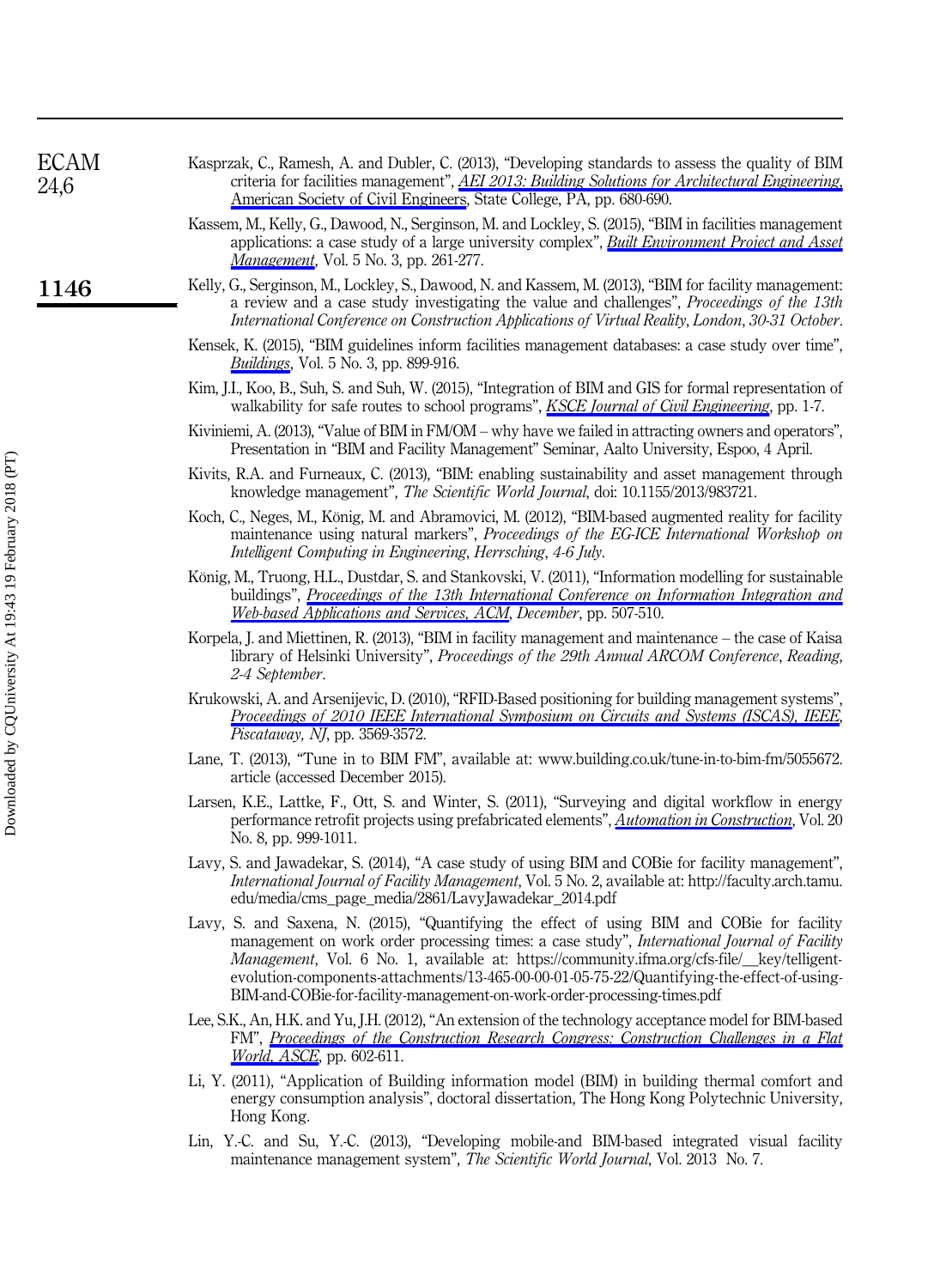| ECAM<br>24,6 | Kasprzak, C., Ramesh, A. and Dubler, C. (2013), "Developing standards to assess the quality of BIM<br>criteria for facilities management", AEI 2013: Building Solutions for Architectural Engineering,<br>American Society of Civil Engineers, State College, PA, pp. 680-690.                                                                                                                                                                                              |
|--------------|-----------------------------------------------------------------------------------------------------------------------------------------------------------------------------------------------------------------------------------------------------------------------------------------------------------------------------------------------------------------------------------------------------------------------------------------------------------------------------|
|              | Kassem, M., Kelly, G., Dawood, N., Serginson, M. and Lockley, S. (2015), "BIM in facilities management<br>applications: a case study of a large university complex", Built Environment Project and Asset<br><i>Management</i> , Vol. 5 No. 3, pp. 261-277.                                                                                                                                                                                                                  |
| 1146         | Kelly, G., Serginson, M., Lockley, S., Dawood, N. and Kassem, M. (2013), "BIM for facility management:<br>a review and a case study investigating the value and challenges", <i>Proceedings of the 13th</i><br>International Conference on Construction Applications of Virtual Reality, London, 30-31 October.                                                                                                                                                             |
|              | Kensek, K. (2015), "BIM guidelines inform facilities management databases: a case study over time",<br><i>Buildings</i> , Vol. 5 No. 3, pp. 899-916.                                                                                                                                                                                                                                                                                                                        |
|              | Kim, J.I., Koo, B., Suh, S. and Suh, W. (2015), "Integration of BIM and GIS for formal representation of<br>walkability for safe routes to school programs", KSCE Journal of Civil Engineering, pp. 1-7.                                                                                                                                                                                                                                                                    |
|              | Kiviniemi, A. (2013), "Value of BIM in FM/OM – why have we failed in attracting owners and operators".<br>Presentation in "BIM and Facility Management" Seminar, Aalto University, Espoo, 4 April.                                                                                                                                                                                                                                                                          |
|              | Kivits, R.A. and Furneaux, C. (2013), "BIM: enabling sustainability and asset management through<br>knowledge management", <i>The Scientific World Journal</i> , doi: 10.1155/2013/983721.                                                                                                                                                                                                                                                                                  |
|              | Koch, C., Neges, M., König, M. and Abramovici, M. (2012), "BIM-based augmented reality for facility<br>maintenance using natural markers", Proceedings of the EG-ICE International Workshop on<br>Intelligent Computing in Engineering, Herrsching, 4-6 July.                                                                                                                                                                                                               |
|              | König, M., Truong, H.L., Dustdar, S. and Stankovski, V. (2011), "Information modelling for sustainable<br>buildings", <i>Proceedings of the 13th International Conference on Information Integration and</i><br><i>Web-based Applications and Services, ACM, December, pp. 507-510.</i>                                                                                                                                                                                     |
|              | Korpela, J. and Miettinen, R. (2013), "BIM in facility management and maintenance – the case of Kaisa<br>library of Helsinki University", Proceedings of the 29th Annual ARCOM Conference, Reading,<br>2-4 September.                                                                                                                                                                                                                                                       |
|              | Krukowski, A. and Arsenijevic, D. (2010), "RFID-Based positioning for building management systems",<br>Proceedings of 2010 IEEE International Symposium on Circuits and Systems (ISCAS), IEEE,<br><i>Piscataway, NJ, pp.</i> 3569-3572.                                                                                                                                                                                                                                     |
|              | Lane, T. (2013), "Tune in to BIM FM", available at: www.building.co.uk/tune-in-to-bim-fm/5055672.<br>article (accessed December 2015).                                                                                                                                                                                                                                                                                                                                      |
|              | Larsen, K.E., Lattke, F., Ott, S. and Winter, S. (2011), "Surveying and digital workflow in energy<br>performance retrofit projects using prefabricated elements", Automation in Construction, Vol. 20<br>No. 8, pp. 999-1011.                                                                                                                                                                                                                                              |
|              | Lavy, S. and Jawadekar, S. (2014), "A case study of using BIM and COBie for facility management",<br><i>International Journal of Facility Management, Vol.</i> 5 No. 2, available at: http://faculty.arch.tamu.<br>edu/media/cms_page_media/2861/LavyJawadekar_2014.pdf                                                                                                                                                                                                     |
|              | Lavy, S. and Saxena, N. (2015), "Quantifying the effect of using BIM and COBie for facility<br>management on work order processing times: a case study", International Journal of Facility<br><i>Management</i> , Vol. 6 No. 1, available at: https://community.ifma.org/cfs-file/ key/telligent-<br>evolution-components-attachments/13-465-00-00-01-05-75-22/Quantifying-the-effect-of-using-<br>BIM-and-COBie-for-facility-management-on-work-order-processing-times.pdf |
|              | Lee, S.K., An, H.K. and Yu, J.H. (2012), "An extension of the technology acceptance model for BIM-based<br>FM", Proceedings of the Construction Research Congress: Construction Challenges in a Flat<br><i>World, ASCE</i> , pp. 602-611.                                                                                                                                                                                                                                   |
|              | $\mathbf{r}$ $\mathbf{v}$ (001) $\mathbf{v}$ $\mathbf{v}$ $\mathbf{v}$ $\mathbf{v}$ $\mathbf{r}$ $\mathbf{r}$ $\mathbf{r}$ $\mathbf{r}$ $\mathbf{r}$<br>$\cdots$<br>$11/DMA$ $111$                                                                                                                                                                                                                                                                                          |

- Li, Y. (2011), "Application of Building information model (BIM) in building thermal comfort and energy consumption analysis", doctoral dissertation, The Hong Kong Polytechnic University, Hong Kong.
- Lin, Y.-C. and Su, Y.-C. (2013), "Developing mobile-and BIM-based integrated visual facility maintenance management system", The Scientific World Journal, Vol. 2013 No. 7.

Downloaded by CQUniversity At 19:43 19 February 2018 (PT) Downloaded by CQUniversity At 19:43 19 February 2018 (PT)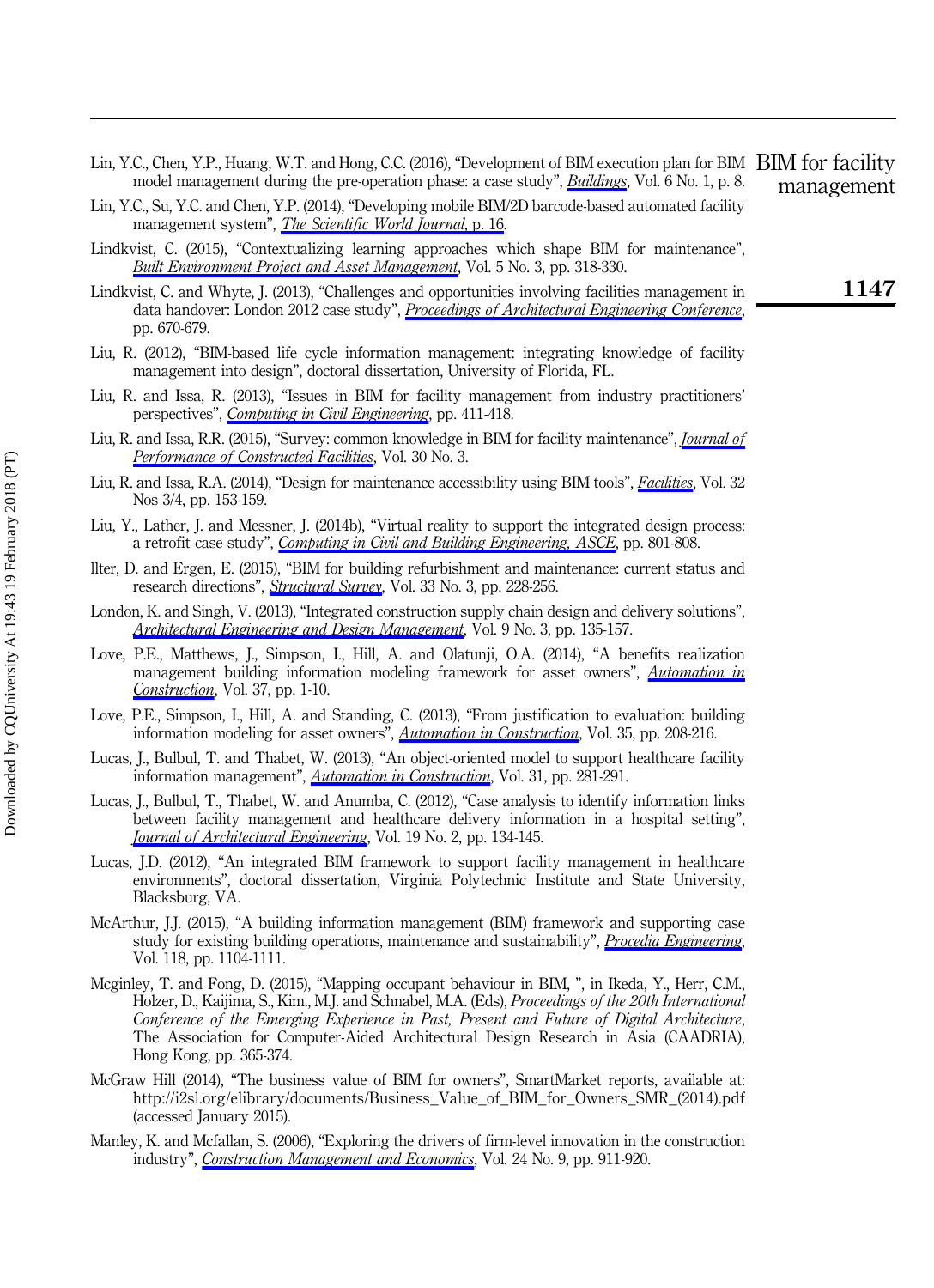- Lin, Y.C., Chen, Y.P., Huang, W.T. and Hong, C.C. (2016), "Development of BIM execution plan for BIM BIM for facility model management during the pre-operation phase: a case study", *[Buildings](http://www.emeraldinsight.com/action/showLinks?doi=10.1108%2FECAM-06-2016-0139&crossref=10.3390%2Fbuildings6010008&isi=000377675100007&citationId=p_111)*, Vol. 6 No. 1, p. 8. management
- Lin, Y.C., Su, Y.C. and Chen, Y.P. (2014), "Developing mobile BIM/2D barcode-based automated facility management system", *[The Scientific World Journal](http://www.emeraldinsight.com/action/showLinks?doi=10.1108%2FECAM-06-2016-0139&crossref=10.1155%2F2014%2F374735&citationId=p_112)*, p. 16.
- Lindkvist, C. (2015), "Contextualizing learning approaches which shape BIM for maintenance", [Built Environment Project and Asset Management](http://www.emeraldinsight.com/action/showLinks?doi=10.1108%2FECAM-06-2016-0139&system=10.1108%2FBEPAM-03-2014-0018&isi=000359445400008&citationId=p_113), Vol. 5 No. 3, pp. 318-330.
- Lindkvist, C. and Whyte, J. (2013), "Challenges and opportunities involving facilities management in data handover: London 2012 case study", [Proceedings of Architectural Engineering Conference](http://www.emeraldinsight.com/action/showLinks?doi=10.1108%2FECAM-06-2016-0139&crossref=10.1061%2F9780784412909.066&citationId=p_114), pp. 670-679.
- Liu, R. (2012), "BIM-based life cycle information management: integrating knowledge of facility management into design", doctoral dissertation, University of Florida, FL.
- Liu, R. and Issa, R. (2013), "Issues in BIM for facility management from industry practitioners' perspectives", [Computing in Civil Engineering](http://www.emeraldinsight.com/action/showLinks?doi=10.1108%2FECAM-06-2016-0139&crossref=10.1061%2F9780784413029.052&citationId=p_116), pp. 411-418.
- Liu, R. and Issa, R.R. (2015), "Survey: common knowledge in BIM for facility maintenance", *[Journal of](http://www.emeraldinsight.com/action/showLinks?doi=10.1108%2FECAM-06-2016-0139&isi=000376441400010&citationId=p_117)* [Performance of Constructed Facilities](http://www.emeraldinsight.com/action/showLinks?doi=10.1108%2FECAM-06-2016-0139&isi=000376441400010&citationId=p_117), Vol. 30 No. 3.
- Liu, R. and Issa, R.A. (2014), "Design for maintenance accessibility using BIM tools", [Facilities](http://www.emeraldinsight.com/action/showLinks?doi=10.1108%2FECAM-06-2016-0139&system=10.1108%2FF-09-2011-0078&citationId=p_118), Vol. 32 Nos 3/4, pp. 153-159.
- Liu, Y., Lather, J. and Messner, J. (2014b), "Virtual reality to support the integrated design process: a retrofit case study", [Computing in Civil and Building Engineering, ASCE](http://www.emeraldinsight.com/action/showLinks?doi=10.1108%2FECAM-06-2016-0139&crossref=10.1061%2F9780784413616.100&citationId=p_119), pp. 801-808.
- llter, D. and Ergen, E. (2015), "BIM for building refurbishment and maintenance: current status and research directions", *[Structural Survey](http://www.emeraldinsight.com/action/showLinks?doi=10.1108%2FECAM-06-2016-0139&system=10.1108%2FSS-02-2015-0008&citationId=p_120)*, Vol. 33 No. 3, pp. 228-256.
- London, K. and Singh, V. (2013), "Integrated construction supply chain design and delivery solutions", [Architectural Engineering and Design Management](http://www.emeraldinsight.com/action/showLinks?doi=10.1108%2FECAM-06-2016-0139&crossref=10.1080%2F17452007.2012.684451&citationId=p_121), Vol. 9 No. 3, pp. 135-157.
- Love, P.E., Matthews, J., Simpson, I., Hill, A. and Olatunji, O.A. (2014), "A benefits realization management building information modeling framework for asset owners", *[Automation in](http://www.emeraldinsight.com/action/showLinks?doi=10.1108%2FECAM-06-2016-0139&crossref=10.1016%2Fj.autcon.2013.09.007&isi=000329562700001&citationId=p_122)* [Construction](http://www.emeraldinsight.com/action/showLinks?doi=10.1108%2FECAM-06-2016-0139&crossref=10.1016%2Fj.autcon.2013.09.007&isi=000329562700001&citationId=p_122), Vol. 37, pp. 1-10.
- Love, P.E., Simpson, I., Hill, A. and Standing, C. (2013), "From justification to evaluation: building information modeling for asset owners", *[Automation in Construction](http://www.emeraldinsight.com/action/showLinks?doi=10.1108%2FECAM-06-2016-0139&crossref=10.1016%2Fj.autcon.2013.05.008&isi=000325742500017&citationId=p_123)*, Vol. 35, pp. 208-216.
- Lucas, J., Bulbul, T. and Thabet, W. (2013), "An object-oriented model to support healthcare facility information management", [Automation in Construction](http://www.emeraldinsight.com/action/showLinks?doi=10.1108%2FECAM-06-2016-0139&crossref=10.1016%2Fj.autcon.2012.12.014&isi=000315933100027&citationId=p_124), Vol. 31, pp. 281-291.
- Lucas, J., Bulbul, T., Thabet, W. and Anumba, C. (2012), "Case analysis to identify information links between facility management and healthcare delivery information in a hospital setting", [Journal of Architectural Engineering](http://www.emeraldinsight.com/action/showLinks?doi=10.1108%2FECAM-06-2016-0139&crossref=10.1061%2F%28ASCE%29AE.1943-5568.0000111&citationId=p_125), Vol. 19 No. 2, pp. 134-145.
- Lucas, J.D. (2012), "An integrated BIM framework to support facility management in healthcare environments", doctoral dissertation, Virginia Polytechnic Institute and State University, Blacksburg, VA.
- McArthur, J.J. (2015), "A building information management (BIM) framework and supporting case study for existing building operations, maintenance and sustainability", [Procedia Engineering](http://www.emeraldinsight.com/action/showLinks?doi=10.1108%2FECAM-06-2016-0139&crossref=10.1016%2Fj.proeng.2015.08.450&citationId=p_127), Vol. 118, pp. 1104-1111.
- Mcginley, T. and Fong, D. (2015), "Mapping occupant behaviour in BIM, ", in Ikeda, Y., Herr, C.M., Holzer, D., Kaijima, S., Kim., M.J. and Schnabel, M.A. (Eds), Proceedings of the 20th International Conference of the Emerging Experience in Past, Present and Future of Digital Architecture, The Association for Computer-Aided Architectural Design Research in Asia (CAADRIA), Hong Kong, pp. 365-374.
- McGraw Hill (2014), "The business value of BIM for owners", SmartMarket reports, available at: [http://i2sl.org/elibrary/documents/Business\\_Value\\_of\\_BIM\\_for\\_Owners\\_SMR\\_\(2014\).pdf](http://i2sl.org/elibrary/documents/Business_Value_of_BIM_for_Owners_SMR_(2014).pdf) (accessed January 2015).
- Manley, K. and Mcfallan, S. (2006), "Exploring the drivers of firm‐level innovation in the construction industry", [Construction Management and Economics](http://www.emeraldinsight.com/action/showLinks?doi=10.1108%2FECAM-06-2016-0139&crossref=10.1080%2F01446190600799034&citationId=p_130), Vol. 24 No. 9, pp. 911-920.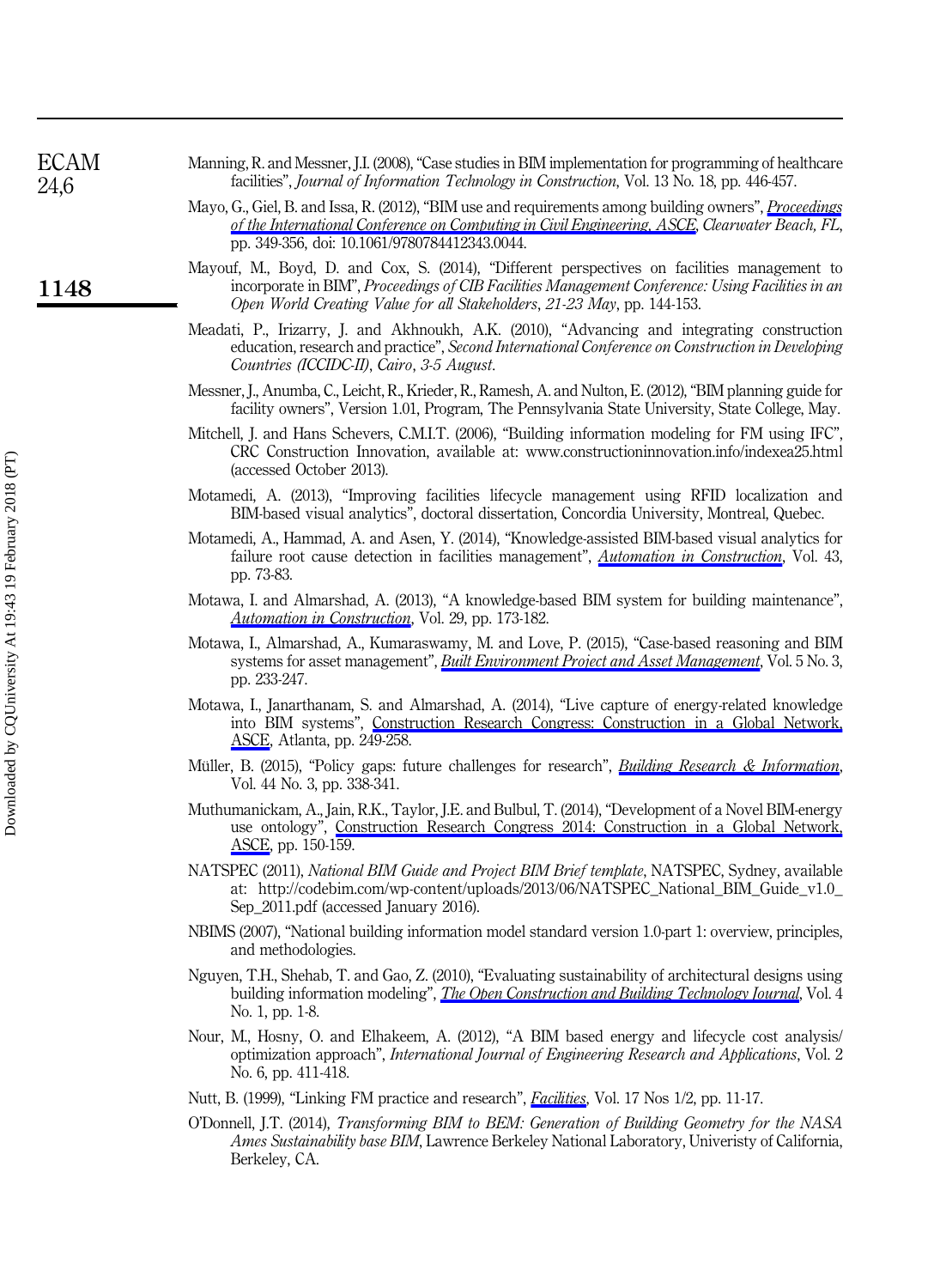| М | Manning, R. and Messner, J.I. (2008), "Case studies in BIM implementation for programming of healthcare      |
|---|--------------------------------------------------------------------------------------------------------------|
|   | facilities", <i>Journal of Information Technology in Construction</i> , Vol. 13 No. 18, pp. 446-457.         |
|   | Mayo, G., Giel, B. and Issa, R. (2012). "BIM use and requirements among building owners". <i>Proceedings</i> |

- Mayo, G., Giel, B. and Issa, R. (2012), "BIM use and requirements among building owners", <u>[Proceedings](http://www.emeraldinsight.com/action/showLinks?doi=10.1108%2FECAM-06-2016-0139&crossref=10.1061%2F9780784412343.0044&citationId=p_132)</u> [of the International Conference on Computing in Civil Engineering, ASCE](http://www.emeraldinsight.com/action/showLinks?doi=10.1108%2FECAM-06-2016-0139&crossref=10.1061%2F9780784412343.0044&citationId=p_132), Clearwater Beach, FL, pp. 349-356, doi: 10.1061/9780784412343.0044.
- Mayouf, M., Boyd, D. and Cox, S. (2014), "Different perspectives on facilities management to incorporate in BIM", Proceedings of CIB Facilities Management Conference: Using Facilities in an Open World Creating Value for all Stakeholders, 21-23 May, pp. 144-153.
- Meadati, P., Irizarry, J. and Akhnoukh, A.K. (2010), "Advancing and integrating construction education, research and practice", Second International Conference on Construction in Developing Countries (ICCIDC-II), Cairo, 3-5 August.
- Messner, J., Anumba, C., Leicht, R., Krieder, R., Ramesh, A. and Nulton, E. (2012), "BIM planning guide for facility owners", Version 1.01, Program, The Pennsylvania State University, State College, May.
- Mitchell, J. and Hans Schevers, C.M.I.T. (2006), "Building information modeling for FM using IFC", CRC Construction Innovation, available at:<www.constructioninnovation.info/indexea25.html> (accessed October 2013).
- Motamedi, A. (2013), "Improving facilities lifecycle management using RFID localization and BIM-based visual analytics", doctoral dissertation, Concordia University, Montreal, Quebec.
- Motamedi, A., Hammad, A. and Asen, Y. (2014), "Knowledge-assisted BIM-based visual analytics for failure root cause detection in facilities management", [Automation in Construction](http://www.emeraldinsight.com/action/showLinks?doi=10.1108%2FECAM-06-2016-0139&crossref=10.1016%2Fj.autcon.2014.03.012&isi=000338814900009&citationId=p_138), Vol. 43, pp. 73-83.
- Motawa, I. and Almarshad, A. (2013), "A knowledge-based BIM system for building maintenance", [Automation in Construction](http://www.emeraldinsight.com/action/showLinks?doi=10.1108%2FECAM-06-2016-0139&crossref=10.1016%2Fj.autcon.2012.09.008&isi=000312233700015&citationId=p_139), Vol. 29, pp. 173-182.
- Motawa, I., Almarshad, A., Kumaraswamy, M. and Love, P. (2015), "Case-based reasoning and BIM systems for asset management", *[Built Environment Project and Asset Management](http://www.emeraldinsight.com/action/showLinks?doi=10.1108%2FECAM-06-2016-0139&system=10.1108%2FBEPAM-02-2014-0006&isi=000359445400002&citationId=p_140)*, Vol. 5 No. 3, pp. 233-247.
- Motawa, I., Janarthanam, S. and Almarshad, A. (2014), "Live capture of energy-related knowledge into BIM systems", [Construction Research Congress: Construction in a Global Network,](http://www.emeraldinsight.com/action/showLinks?doi=10.1108%2FECAM-06-2016-0139&crossref=10.1061%2F9780784413517.026&citationId=p_141) [ASCE,](http://www.emeraldinsight.com/action/showLinks?doi=10.1108%2FECAM-06-2016-0139&crossref=10.1061%2F9780784413517.026&citationId=p_141) Atlanta, pp. 249-258.
- Müller, B. (2015), "Policy gaps: future challenges for research", [Building Research & Information](http://www.emeraldinsight.com/action/showLinks?doi=10.1108%2FECAM-06-2016-0139&crossref=10.1080%2F09613218.2015.1089061&isi=000371008600009&citationId=p_142), Vol. 44 No. 3, pp. 338-341.
- Muthumanickam, A., Jain, R.K., Taylor, J.E. and Bulbul, T. (2014), "Development of a Novel BIM-energy use ontology", [Construction Research Congress 2014: Construction in a Global Network,](http://www.emeraldinsight.com/action/showLinks?doi=10.1108%2FECAM-06-2016-0139&crossref=10.1061%2F9780784413517.016&citationId=p_143) [ASCE,](http://www.emeraldinsight.com/action/showLinks?doi=10.1108%2FECAM-06-2016-0139&crossref=10.1061%2F9780784413517.016&citationId=p_143) pp. 150-159.
- NATSPEC (2011), National BIM Guide and Project BIM Brief template, NATSPEC, Sydney, available at: http://codebim.com/wp-content/uploads/2013/06/NATSPEC\_National\_BIM\_Guide\_v1.0 [Sep\\_2011.pdf](http://codebim.com/wp-content/uploads/2013/06/NATSPEC_National_BIM_Guide_v1.0_Sep_2011.pdf) (accessed January 2016).
- NBIMS (2007), "National building information model standard version 1.0-part 1: overview, principles, and methodologies.
- Nguyen, T.H., Shehab, T. and Gao, Z. (2010), "Evaluating sustainability of architectural designs using building information modeling", *[The Open Construction and Building Technology Journal](http://www.emeraldinsight.com/action/showLinks?doi=10.1108%2FECAM-06-2016-0139&crossref=10.2174%2F18748368010040100001&citationId=p_146)*, Vol. 4 No. 1, pp. 1-8.
- Nour, M., Hosny, O. and Elhakeem, A. (2012), "A BIM based energy and lifecycle cost analysis/ optimization approach", International Journal of Engineering Research and Applications, Vol. 2 No. 6, pp. 411-418.
- Nutt, B. (1999), "Linking FM practice and research", *[Facilities](http://www.emeraldinsight.com/action/showLinks?doi=10.1108%2FECAM-06-2016-0139&system=10.1108%2F02632779910248406&citationId=p_148)*, Vol. 17 Nos 1/2, pp. 11-17.
- O'Donnell, J.T. (2014), Transforming BIM to BEM: Generation of Building Geometry for the NASA Ames Sustainability base BIM, Lawrence Berkeley National Laboratory, Univeristy of California, Berkeley, CA.

 $ECA$ 24,6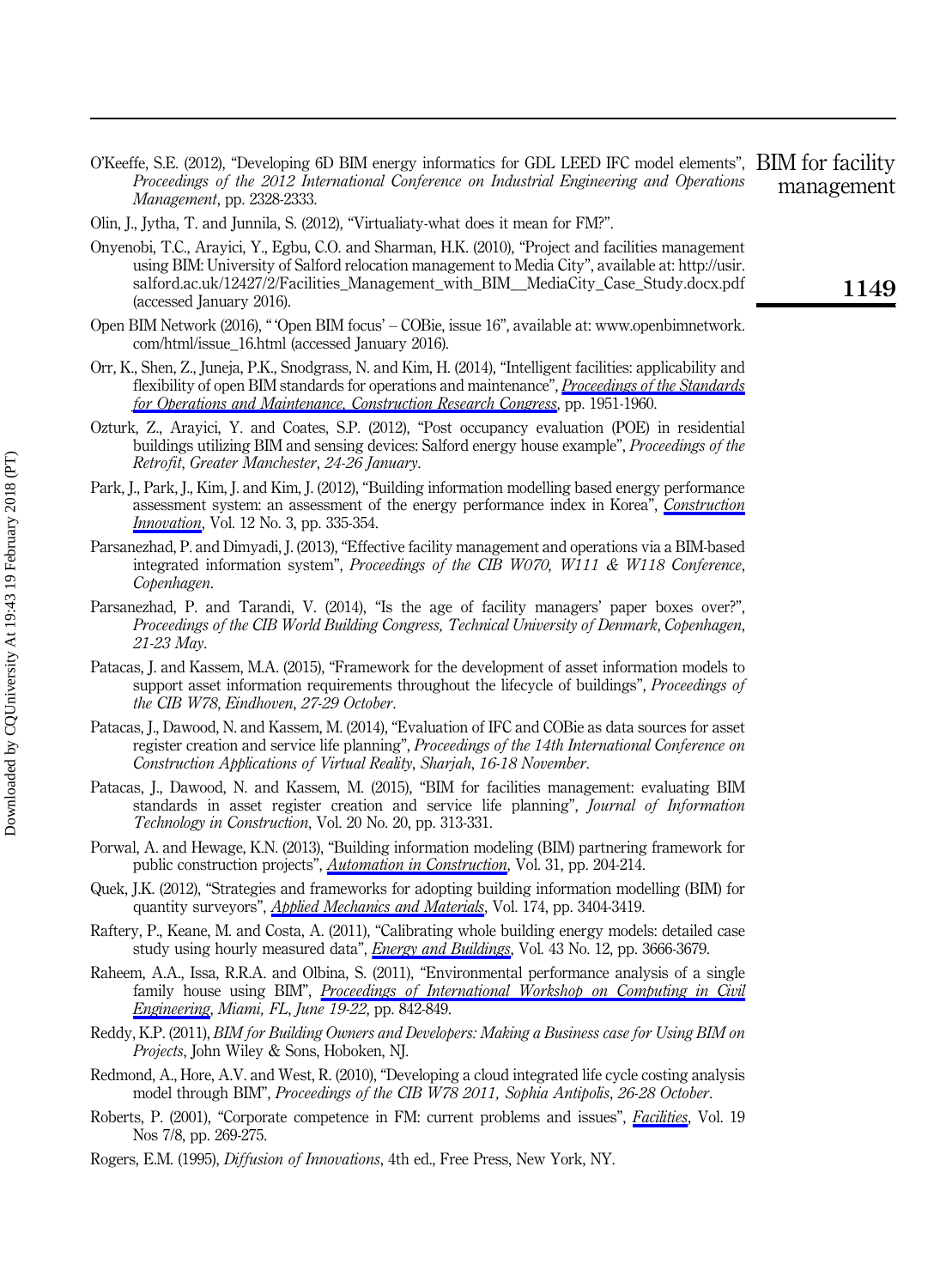O'Keeffe, S.E. (2012), "Developing 6D BIM energy informatics for GDL LEED IFC model elements", BIM for facility Proceedings of the 2012 International Conference on Industrial Engineering and Operations Management, pp. 2328-2333. management

Olin, J., Jytha, T. and Junnila, S. (2012), "Virtualiaty-what does it mean for FM?".

- Onyenobi, T.C., Arayici, Y., Egbu, C.O. and Sharman, H.K. (2010), "Project and facilities management using BIM: University of Salford relocation management to Media City", available at: [http://usir.](http://usir.salford.ac.uk/12427/2/Facilities_Management_with_BIM__MediaCity_Case_Study.docx.pdf) [salford.ac.uk/12427/2/Facilities\\_Management\\_with\\_BIM\\_\\_MediaCity\\_Case\\_Study.docx.pdf](http://usir.salford.ac.uk/12427/2/Facilities_Management_with_BIM__MediaCity_Case_Study.docx.pdf) (accessed January 2016).
- Open BIM Network (2016), " 'Open BIM focus' COBie, issue 16", available at: [www.openbimnetwork.](www.openbimnetwork.com/html/issue_16.html) [com/html/issue\\_16.html](www.openbimnetwork.com/html/issue_16.html) (accessed January 2016).
- Orr, K., Shen, Z., Juneja, P.K., Snodgrass, N. and Kim, H. (2014), "Intelligent facilities: applicability and flexibility of open BIM standards for operations and maintenance", [Proceedings of the Standards](http://www.emeraldinsight.com/action/showLinks?doi=10.1108%2FECAM-06-2016-0139&crossref=10.1061%2F9780784413517.199&citationId=p_154) [for Operations and Maintenance, Construction Research Congress](http://www.emeraldinsight.com/action/showLinks?doi=10.1108%2FECAM-06-2016-0139&crossref=10.1061%2F9780784413517.199&citationId=p_154), pp. 1951-1960.
- Ozturk, Z., Arayici, Y. and Coates, S.P. (2012), "Post occupancy evaluation (POE) in residential buildings utilizing BIM and sensing devices: Salford energy house example", *Proceedings of the* Retrofit, Greater Manchester, 24-26 January.
- Park, J., Park, J., Kim, J. and Kim, J. (2012), "Building information modelling based energy performance assessment system: an assessment of the energy performance index in Korea", [Construction](http://www.emeraldinsight.com/action/showLinks?doi=10.1108%2FECAM-06-2016-0139&system=10.1108%2F14714171211244587&citationId=p_156) *[Innovation](http://www.emeraldinsight.com/action/showLinks?doi=10.1108%2FECAM-06-2016-0139&system=10.1108%2F14714171211244587&citationId=p_156)*, Vol. 12 No. 3, pp. 335-354.
- Parsanezhad, P. and Dimyadi, J. (2013), "Effective facility management and operations via a BIM-based integrated information system", Proceedings of the CIB W070, W111 & W118 Conference, Copenhagen.
- Parsanezhad, P. and Tarandi, V. (2014), "Is the age of facility managers' paper boxes over?", Proceedings of the CIB World Building Congress, Technical University of Denmark, Copenhagen, 21-23 May.
- Patacas, J. and Kassem, M.A. (2015), "Framework for the development of asset information models to support asset information requirements throughout the lifecycle of buildings", *Proceedings of* the CIB W78, Eindhoven, 27-29 October.
- Patacas, J., Dawood, N. and Kassem, M. (2014), "Evaluation of IFC and COBie as data sources for asset register creation and service life planning", Proceedings of the 14th International Conference on Construction Applications of Virtual Reality, Sharjah, 16-18 November.
- Patacas, J., Dawood, N. and Kassem, M. (2015), "BIM for facilities management: evaluating BIM standards in asset register creation and service life planning", *Journal of Information* Technology in Construction, Vol. 20 No. 20, pp. 313-331.
- Porwal, A. and Hewage, K.N. (2013), "Building information modeling (BIM) partnering framework for public construction projects", *[Automation in Construction](http://www.emeraldinsight.com/action/showLinks?doi=10.1108%2FECAM-06-2016-0139&crossref=10.1016%2Fj.autcon.2012.12.004&isi=000315933100020&citationId=p_162)*, Vol. 31, pp. 204-214.
- Quek, J.K. (2012), "Strategies and frameworks for adopting building information modelling (BIM) for quantity surveyors", *[Applied Mechanics and Materials](http://www.emeraldinsight.com/action/showLinks?doi=10.1108%2FECAM-06-2016-0139&crossref=10.4028%2Fwww.scientific.net%2FAMM.174-177.3404&citationId=p_163)*, Vol. 174, pp. 3404-3419.
- Raftery, P., Keane, M. and Costa, A. (2011), "Calibrating whole building energy models: detailed case study using hourly measured data", *[Energy and Buildings](http://www.emeraldinsight.com/action/showLinks?doi=10.1108%2FECAM-06-2016-0139&crossref=10.1016%2Fj.enbuild.2011.09.039&isi=000298268600043&citationId=p_164)*, Vol. 43 No. 12, pp. 3666-3679.
- Raheem, A.A., Issa, R.R.A. and Olbina, S. (2011), "Environmental performance analysis of a single family house using BIM", [Proceedings of International Workshop on Computing in Civil](http://www.emeraldinsight.com/action/showLinks?doi=10.1108%2FECAM-06-2016-0139&crossref=10.1061%2F41182%28416%29104&citationId=p_165) [Engineering](http://www.emeraldinsight.com/action/showLinks?doi=10.1108%2FECAM-06-2016-0139&crossref=10.1061%2F41182%28416%29104&citationId=p_165), Miami, FL, June 19-22, pp. 842-849.
- Reddy, K.P. (2011), BIM for Building Owners and Developers: Making a Business case for Using BIM on Projects, John Wiley & Sons, Hoboken, NJ.
- Redmond, A., Hore, A.V. and West, R. (2010), "Developing a cloud integrated life cycle costing analysis model through BIM", *Proceedings of the CIB W78 2011*, Sophia Antipolis, 26-28 October.
- Roberts, P. (2001), "Corporate competence in FM: current problems and issues", [Facilities](http://www.emeraldinsight.com/action/showLinks?doi=10.1108%2FECAM-06-2016-0139&system=10.1108%2F02632770110390711&citationId=p_168), Vol. 19 Nos 7/8, pp. 269-275.
- Rogers, E.M. (1995), Diffusion of Innovations, 4th ed., Free Press, New York, NY.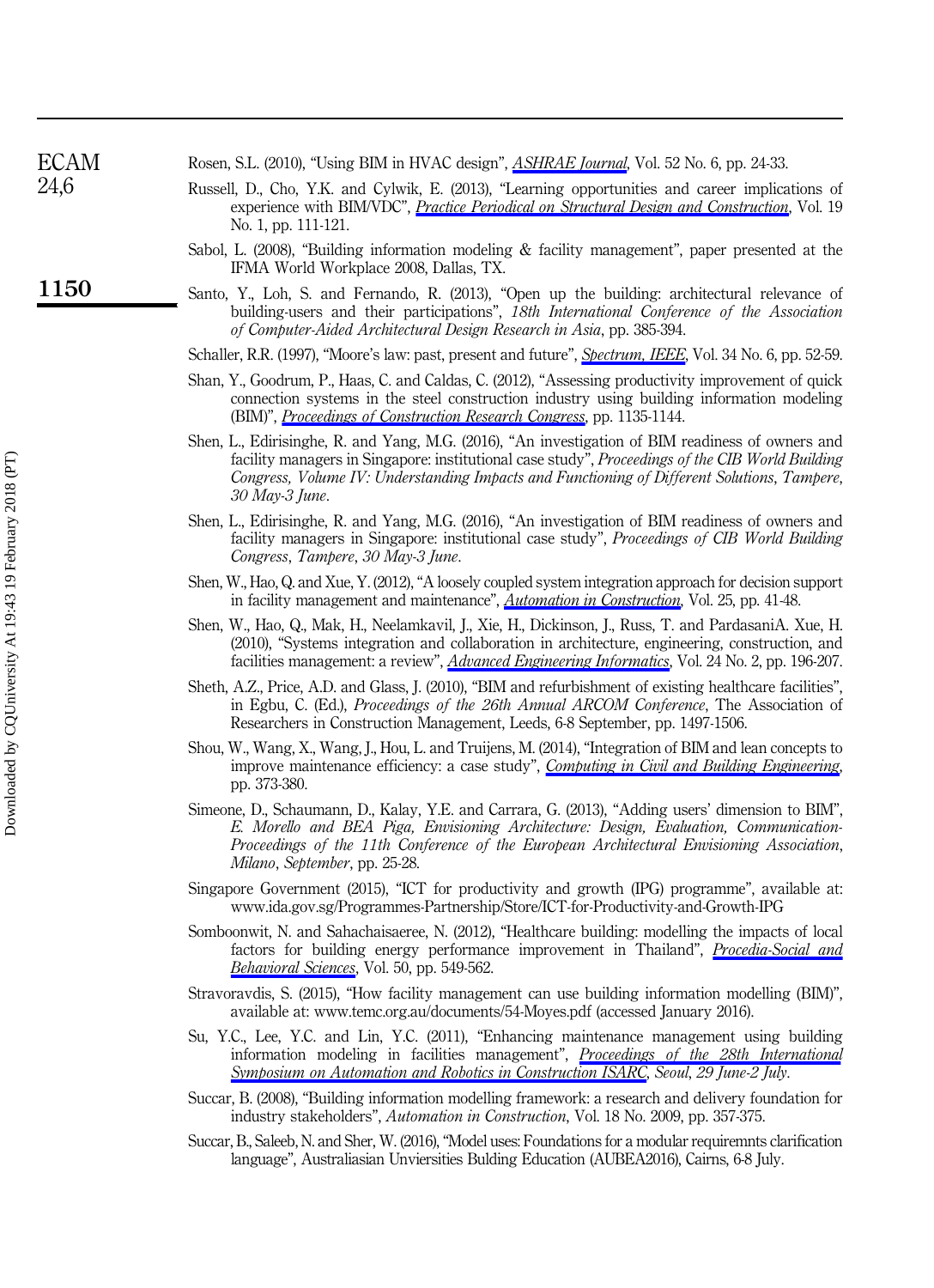|  |  | Rosen, S.L. (2010), "Using BIM in HVAC design", <i>ASHRAE Journal</i> , Vol. 52 No. 6, pp. 24-33. |  |
|--|--|---------------------------------------------------------------------------------------------------|--|
|--|--|---------------------------------------------------------------------------------------------------|--|

- Russell, D., Cho, Y.K. and Cylwik, E. (2013), "Learning opportunities and career implications of experience with BIM/VDC", [Practice Periodical on Structural Design and Construction](http://www.emeraldinsight.com/action/showLinks?doi=10.1108%2FECAM-06-2016-0139&crossref=10.1061%2F%28ASCE%29SC.1943-5576.0000191&citationId=p_171), Vol. 19 No. 1, pp. 111-121.
- Sabol, L. (2008), "Building information modeling & facility management", paper presented at the IFMA World Workplace 2008, Dallas, TX.
- Santo, Y., Loh, S. and Fernando, R. (2013), "Open up the building: architectural relevance of building-users and their participations", 18th International Conference of the Association of Computer-Aided Architectural Design Research in Asia, pp. 385-394.
- Schaller, R.R. (1997), "Moore's law: past, present and future", [Spectrum, IEEE](http://www.emeraldinsight.com/action/showLinks?doi=10.1108%2FECAM-06-2016-0139&crossref=10.1109%2F6.591665&isi=A1997XB59500020&citationId=p_174), Vol. 34 No. 6, pp. 52-59.
- Shan, Y., Goodrum, P., Haas, C. and Caldas, C. (2012), "Assessing productivity improvement of quick connection systems in the steel construction industry using building information modeling (BIM)", [Proceedings of Construction Research Congress](http://www.emeraldinsight.com/action/showLinks?doi=10.1108%2FECAM-06-2016-0139&crossref=10.1061%2F9780784412329.114&citationId=p_175), pp. 1135-1144.
- Shen, L., Edirisinghe, R. and Yang, M.G. (2016), "An investigation of BIM readiness of owners and facility managers in Singapore: institutional case study", *Proceedings of the CIB World Building* Congress, Volume IV: Understanding Impacts and Functioning of Different Solutions, Tampere, 30 May-3 June.
- Shen, L., Edirisinghe, R. and Yang, M.G. (2016), "An investigation of BIM readiness of owners and facility managers in Singapore: institutional case study", Proceedings of CIB World Building Congress, Tampere, 30 May-3 June.
- Shen, W., Hao, Q. and Xue, Y. (2012), "A loosely coupled system integration approach for decision support in facility management and maintenance", *[Automation in Construction](http://www.emeraldinsight.com/action/showLinks?doi=10.1108%2FECAM-06-2016-0139&crossref=10.1016%2Fj.autcon.2012.04.003&isi=000305872200005&citationId=p_178)*, Vol. 25, pp. 41-48.
- Shen, W., Hao, Q., Mak, H., Neelamkavil, J., Xie, H., Dickinson, J., Russ, T. and PardasaniA. Xue, H. (2010), "Systems integration and collaboration in architecture, engineering, construction, and facilities management: a review", *[Advanced Engineering Informatics](http://www.emeraldinsight.com/action/showLinks?doi=10.1108%2FECAM-06-2016-0139&crossref=10.1016%2Fj.aei.2009.09.001&isi=000276925900009&citationId=p_179)*, Vol. 24 No. 2, pp. 196-207.
- Sheth, A.Z., Price, A.D. and Glass, J. (2010), "BIM and refurbishment of existing healthcare facilities", in Egbu, C. (Ed.), Proceedings of the 26th Annual ARCOM Conference, The Association of Researchers in Construction Management, Leeds, 6-8 September, pp. 1497-1506.
- Shou, W., Wang, X., Wang, J., Hou, L. and Truijens, M. (2014), "Integration of BIM and lean concepts to improve maintenance efficiency: a case study", [Computing in Civil and Building Engineering](http://www.emeraldinsight.com/action/showLinks?doi=10.1108%2FECAM-06-2016-0139&crossref=10.1061%2F9780784413616.047&citationId=p_181), pp. 373-380.
- Simeone, D., Schaumann, D., Kalay, Y.E. and Carrara, G. (2013), "Adding users' dimension to BIM", E. Morello and BEA Piga, Envisioning Architecture: Design, Evaluation, Communication-Proceedings of the 11th Conference of the European Architectural Envisioning Association, Milano, September, pp. 25-28.
- Singapore Government (2015), "ICT for productivity and growth (IPG) programme", available at: <www.ida.gov.sg/Programmes-Partnership/Store/ICT-for-Productivity-and-Growth-IPG>
- Somboonwit, N. and Sahachaisaeree, N. (2012), "Healthcare building: modelling the impacts of local factors for building energy performance improvement in Thailand", [Procedia-Social and](http://www.emeraldinsight.com/action/showLinks?doi=10.1108%2FECAM-06-2016-0139&crossref=10.1016%2Fj.sbspro.2012.08.058&citationId=p_184) [Behavioral Sciences](http://www.emeraldinsight.com/action/showLinks?doi=10.1108%2FECAM-06-2016-0139&crossref=10.1016%2Fj.sbspro.2012.08.058&citationId=p_184), Vol. 50, pp. 549-562.
- Stravoravdis, S. (2015), "How facility management can use building information modelling (BIM)", available at:<www.temc.org.au/documents/54-Moyes.pdf> (accessed January 2016).
- Su, Y.C., Lee, Y.C. and Lin, Y.C. (2011), "Enhancing maintenance management using building information modeling in facilities management", [Proceedings of the 28th International](http://www.emeraldinsight.com/action/showLinks?doi=10.1108%2FECAM-06-2016-0139&crossref=10.22260%2FISARC2011%2F0140&citationId=p_186) [Symposium on Automation and Robotics in Construction ISARC](http://www.emeraldinsight.com/action/showLinks?doi=10.1108%2FECAM-06-2016-0139&crossref=10.22260%2FISARC2011%2F0140&citationId=p_186), Seoul, 29 June-2 July.
- Succar, B. (2008), "Building information modelling framework: a research and delivery foundation for industry stakeholders", Automation in Construction, Vol. 18 No. 2009, pp. 357-375.
- Succar, B., Saleeb, N. and Sher, W. (2016), "Model uses: Foundations for a modular requiremnts clarification language", Australiasian Unviersities Bulding Education (AUBEA2016), Cairns, 6-8 July.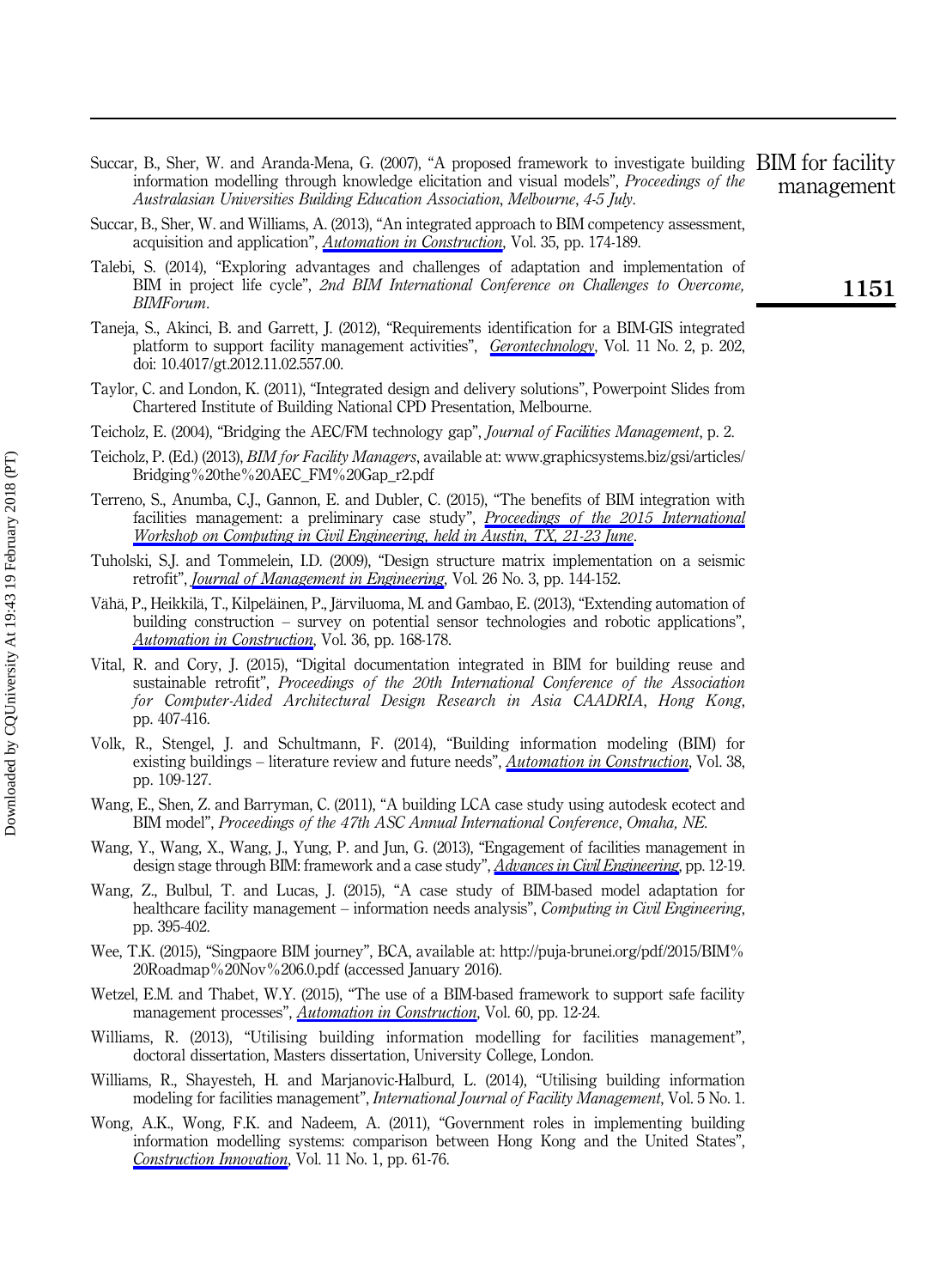- Succar, B., Sher, W. and Aranda-Mena, G. (2007), "A proposed framework to investigate building BIM for facility information modelling through knowledge elicitation and visual models", Proceedings of the Australasian Universities Building Education Association, Melbourne, 4‐5 July. management
- Succar, B., Sher, W. and Williams, A. (2013), "An integrated approach to BIM competency assessment, acquisition and application", *[Automation in Construction](http://www.emeraldinsight.com/action/showLinks?doi=10.1108%2FECAM-06-2016-0139&crossref=10.1016%2Fj.autcon.2013.05.016&isi=000325742500014&citationId=p_190)*, Vol. 35, pp. 174-189.
- Talebi, S. (2014), "Exploring advantages and challenges of adaptation and implementation of BIM in project life cycle", 2nd BIM International Conference on Challenges to Overcome, BIMForum.
- Taneja, S., Akinci, B. and Garrett, J. (2012), "Requirements identification for a BIM-GIS integrated platform to support facility management activities", [Gerontechnology](http://www.emeraldinsight.com/action/showLinks?doi=10.1108%2FECAM-06-2016-0139&crossref=10.4017%2Fgt.2012.11.02.557.00&citationId=p_192), Vol. 11 No. 2, p. 202, doi: 10.4017/gt.2012.11.02.557.00.
- Taylor, C. and London, K. (2011), "Integrated design and delivery solutions", Powerpoint Slides from Chartered Institute of Building National CPD Presentation, Melbourne.
- Teicholz, E. (2004), "Bridging the AEC/FM technology gap", Journal of Facilities Management, p. 2.
- Teicholz, P. (Ed.) (2013), *BIM for Facility Managers*, available at: [www.graphicsystems.biz/gsi/articles/](www.graphicsystems.biz/gsi/articles/Bridging%20the%20AEC_FM%20Gap_r2.pdf) [Bridging%20the%20AEC\\_FM%20Gap\\_r2.pdf](www.graphicsystems.biz/gsi/articles/Bridging%20the%20AEC_FM%20Gap_r2.pdf)
- Terreno, S., Anumba, C.J., Gannon, E. and Dubler, C. (2015), "The benefits of BIM integration with facilities management: a preliminary case study", [Proceedings of the 2015 International](http://www.emeraldinsight.com/action/showLinks?doi=10.1108%2FECAM-06-2016-0139&crossref=10.1061%2F9780784479247.084&citationId=p_196) [Workshop on Computing in Civil Engineering, held in Austin, TX, 21-23 June](http://www.emeraldinsight.com/action/showLinks?doi=10.1108%2FECAM-06-2016-0139&crossref=10.1061%2F9780784479247.084&citationId=p_196).
- Tuholski, S.J. and Tommelein, I.D. (2009), "Design structure matrix implementation on a seismic retrofit", [Journal of Management in Engineering](http://www.emeraldinsight.com/action/showLinks?doi=10.1108%2FECAM-06-2016-0139&crossref=10.1061%2F%28ASCE%29ME.1943-5479.0000016&isi=000278908000005&citationId=p_197), Vol. 26 No. 3, pp. 144-152.
- Vähä, P., Heikkilä, T., Kilpeläinen, P., Järviluoma, M. and Gambao, E. (2013), "Extending automation of building construction – survey on potential sensor technologies and robotic applications", [Automation in Construction](http://www.emeraldinsight.com/action/showLinks?doi=10.1108%2FECAM-06-2016-0139&crossref=10.1016%2Fj.autcon.2013.08.002&isi=000327574100015&citationId=p_198), Vol. 36, pp. 168-178.
- Vital, R. and Cory, J. (2015), "Digital documentation integrated in BIM for building reuse and sustainable retrofit", Proceedings of the 20th International Conference of the Association for Computer-Aided Architectural Design Research in Asia CAADRIA, Hong Kong, pp. 407-416.
- Volk, R., Stengel, J. and Schultmann, F. (2014), "Building information modeling (BIM) for existing buildings – literature review and future needs", *[Automation in Construction](http://www.emeraldinsight.com/action/showLinks?doi=10.1108%2FECAM-06-2016-0139&crossref=10.1016%2Fj.autcon.2013.10.023&isi=000333380600010&citationId=p_200)*, Vol. 38, pp. 109-127.
- Wang, E., Shen, Z. and Barryman, C. (2011), "A building LCA case study using autodesk ecotect and BIM model", Proceedings of the 47th ASC Annual International Conference, Omaha, NE.
- Wang, Y., Wang, X., Wang, J., Yung, P. and Jun, G. (2013), "Engagement of facilities management in design stage through BIM: framework and a case study", *[Advances in Civil Engineering](http://www.emeraldinsight.com/action/showLinks?doi=10.1108%2FECAM-06-2016-0139&crossref=10.1155%2F2013%2F189105&citationId=p_202)*, pp. 12-19.
- Wang, Z., Bulbul, T. and Lucas, J. (2015), "A case study of BIM-based model adaptation for healthcare facility management – information needs analysis", Computing in Civil Engineering, pp. 395-402.
- Wee, T.K. (2015), "Singpaore BIM journey", BCA, available at: [http://puja-brunei.org/pdf/2015/BIM%](http://puja-brunei.org/pdf/2015/BIM%20Roadmap%20Nov%206.0.pdf) [20Roadmap%20Nov%206.0.pdf](http://puja-brunei.org/pdf/2015/BIM%20Roadmap%20Nov%206.0.pdf) (accessed January 2016).
- Wetzel, E.M. and Thabet, W.Y. (2015), "The use of a BIM-based framework to support safe facility management processes", *[Automation in Construction](http://www.emeraldinsight.com/action/showLinks?doi=10.1108%2FECAM-06-2016-0139&crossref=10.1016%2Fj.autcon.2015.09.004&isi=000365065300002&citationId=p_205)*, Vol. 60, pp. 12-24.
- Williams, R. (2013), "Utilising building information modelling for facilities management", doctoral dissertation, Masters dissertation, University College, London.
- Williams, R., Shayesteh, H. and Marjanovic-Halburd, L. (2014), "Utilising building information modeling for facilities management", *International Journal of Facility Management*, Vol. 5 No. 1.
- Wong, A.K., Wong, F.K. and Nadeem, A. (2011), "Government roles in implementing building information modelling systems: comparison between Hong Kong and the United States", [Construction Innovation](http://www.emeraldinsight.com/action/showLinks?doi=10.1108%2FECAM-06-2016-0139&system=10.1108%2F14714171111104637&citationId=p_208), Vol. 11 No. 1, pp. 61-76.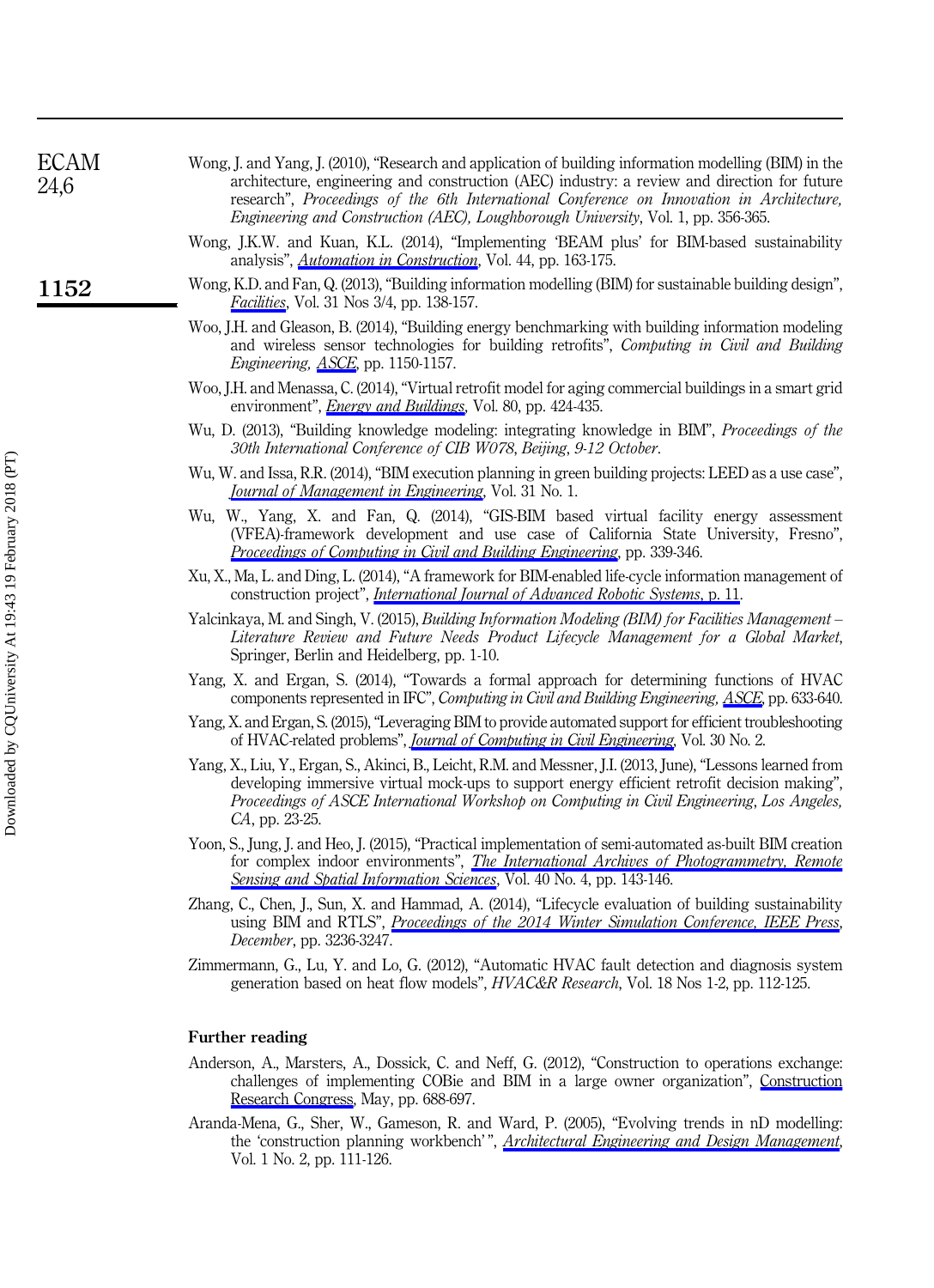| <b>ECAM</b><br>24,6 | Wong, J. and Yang, J. (2010), "Research and application of building information modelling (BIM) in the<br>architecture, engineering and construction (AEC) industry: a review and direction for future<br>research", Proceedings of the 6th International Conference on Innovation in Architecture,<br>Engineering and Construction (AEC), Loughborough University, Vol. 1, pp. 356-365. |
|---------------------|------------------------------------------------------------------------------------------------------------------------------------------------------------------------------------------------------------------------------------------------------------------------------------------------------------------------------------------------------------------------------------------|
|                     | Wong, J.K.W. and Kuan, K.L. (2014), "Implementing 'BEAM plus' for BIM-based sustainability<br>analysis", Automation in Construction, Vol. 44, pp. 163-175.                                                                                                                                                                                                                               |
| 1152                | Wong, K.D. and Fan, Q. (2013), "Building information modelling (BIM) for sustainable building design",<br><i>Facilities</i> , Vol. 31 Nos 3/4, pp. 138-157.                                                                                                                                                                                                                              |
|                     | Woo, J.H. and Gleason, B. (2014), "Building energy benchmarking with building information modeling<br>and wireless sensor technologies for building retrofits", Computing in Civil and Building<br>Engineering, ASCE, pp. 1150-1157.                                                                                                                                                     |
|                     | Woo, J.H. and Menassa, C. (2014), "Virtual retrofit model for aging commercial buildings in a smart grid<br>environment", <i>Energy and Buildings</i> , Vol. 80, pp. 424-435.                                                                                                                                                                                                            |
|                     | Wu, D. (2013), "Building knowledge modeling: integrating knowledge in BIM", Proceedings of the<br>30th International Conference of CIB W078, Beijing, 9-12 October.                                                                                                                                                                                                                      |
|                     | Wu, W. and Issa, R.R. (2014), "BIM execution planning in green building projects: LEED as a use case",<br><i><u><b>Journal of Management in Engineering</b></u></i> , Vol. 31 No. 1.                                                                                                                                                                                                     |
|                     | Wu, W., Yang, X. and Fan, Q. (2014), "GIS-BIM based virtual facility energy assessment<br>(VFEA)-framework development and use case of California State University, Fresno",<br>Proceedings of Computing in Civil and Building Engineering, pp. 339-346.                                                                                                                                 |
|                     | Xu, X., Ma, L. and Ding, L. (2014), "A framework for BIM-enabled life-cycle information management of<br>construction project", <i>International Journal of Advanced Robotic Systems</i> , p. 11.                                                                                                                                                                                        |
|                     | Yalcinkaya, M. and Singh, V. (2015), Building Information Modeling (BIM) for Facilities Management -<br>Literature Review and Future Needs Product Lifecycle Management for a Global Market,<br>Springer, Berlin and Heidelberg, pp. 1-10.                                                                                                                                               |
|                     | Yang, X. and Ergan, S. (2014), "Towards a formal approach for determining functions of HVAC<br>components represented in IFC", Computing in Civil and Building Engineering, ASCE, pp. 633-640.                                                                                                                                                                                           |
|                     | Yang, X. and Ergan, S. (2015), "Leveraging BIM to provide automated support for efficient troubleshooting<br>of HVAC-related problems", <i>Journal of Computing in Civil Engineering</i> , Vol. 30 No. 2.                                                                                                                                                                                |
|                     | Yang, X., Liu, Y., Ergan, S., Akinci, B., Leicht, R.M. and Messner, J.I. (2013, June), "Lessons learned from<br>developing immersive virtual mock-ups to support energy efficient retrofit decision making",<br>Proceedings of ASCE International Workshop on Computing in Civil Engineering, Los Angeles,<br>CA, pp. 23-25.                                                             |
|                     | Yoon, S., Jung, J. and Heo, J. (2015), "Practical implementation of semi-automated as-built BIM creation<br>for complex indoor environments", <i>The International Archives of Photogrammetry</i> , <i>Remote</i><br>Sensing and Spatial Information Sciences, Vol. 40 No. 4, pp. 143-146.                                                                                               |
|                     | Zhang, C., Chen, J., Sun, X. and Hammad, A. (2014), "Lifecycle evaluation of building sustainability<br>using BIM and RTLS", Proceedings of the 2014 Winter Simulation Conference, IEEE Press,<br>December, pp. 3236-3247.                                                                                                                                                               |
|                     | Zimmermann, G., Lu, Y. and Lo, G. (2012), "Automatic HVAC fault detection and diagnosis system<br>generation based on heat flow models", HVAC&R Research, Vol. 18 Nos 1-2, pp. 112-125.                                                                                                                                                                                                  |
|                     | <b>Further reading</b>                                                                                                                                                                                                                                                                                                                                                                   |

- Anderson, A., Marsters, A., Dossick, C. and Neff, G. (2012), "Construction to operations exchange: challenges of implementing COBie and BIM in a large owner organization", [Construction](http://www.emeraldinsight.com/action/showLinks?doi=10.1108%2FECAM-06-2016-0139&crossref=10.1061%2F9780784412329.070&citationId=p_225) [Research Congress,](http://www.emeraldinsight.com/action/showLinks?doi=10.1108%2FECAM-06-2016-0139&crossref=10.1061%2F9780784412329.070&citationId=p_225) May, pp. 688-697.
- Aranda-Mena, G., Sher, W., Gameson, R. and Ward, P. (2005), "Evolving trends in nD modelling: the 'construction planning workbench'", [Architectural Engineering and Design Management](http://www.emeraldinsight.com/action/showLinks?doi=10.1108%2FECAM-06-2016-0139&crossref=10.1080%2F17452007.2005.9684588&citationId=p_226), Vol. 1 No. 2, pp. 111-126.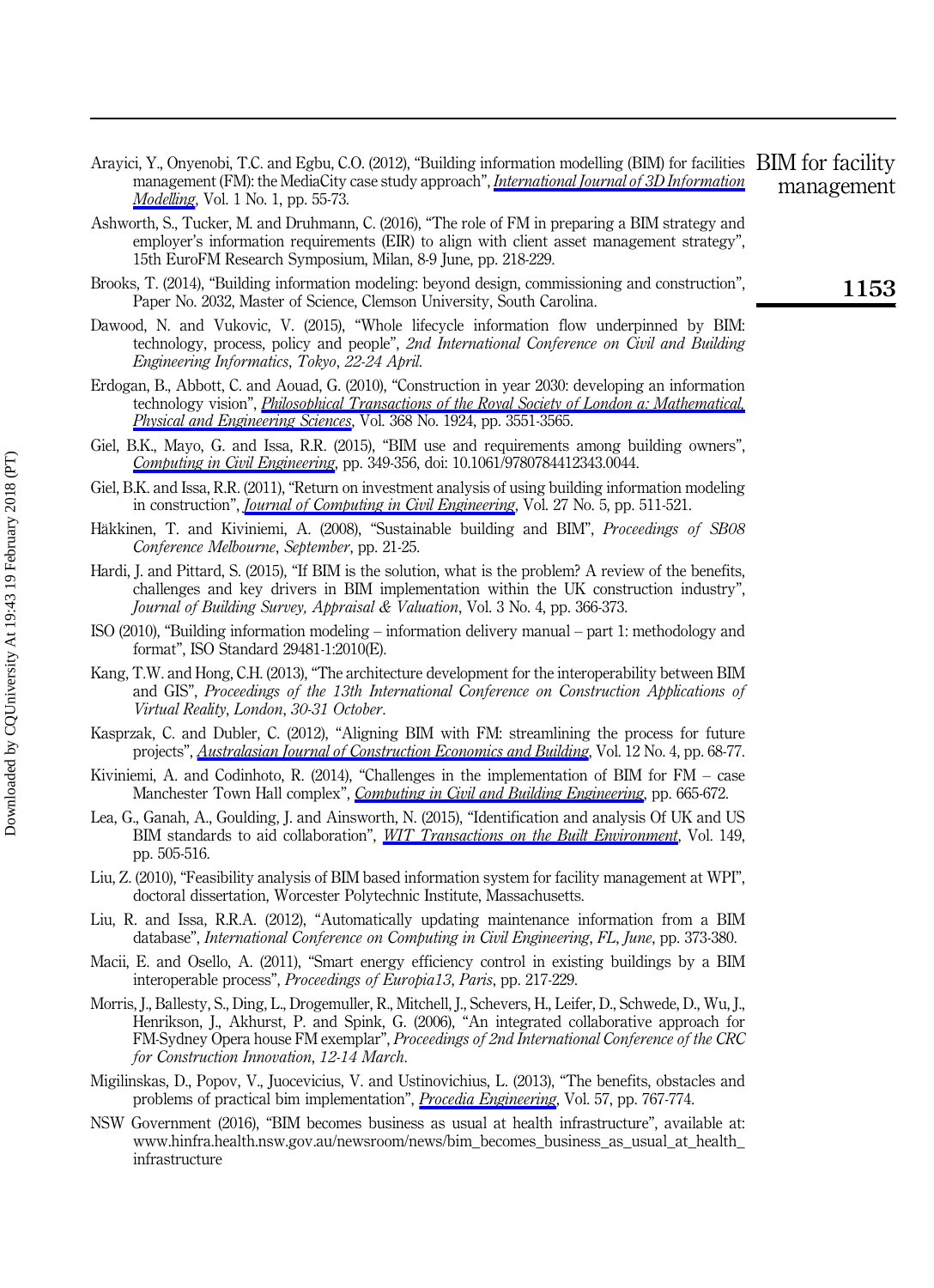- Arayici, Y., Onyenobi, T.C. and Egbu, C.O. (2012), "Building information modelling (BIM) for facilities BIM for facility management (FM): the MediaCity case study approach", *[International Journal of 3D Information](http://www.emeraldinsight.com/action/showLinks?doi=10.1108%2FECAM-06-2016-0139&crossref=10.4018%2Fij3dim.2012010104&citationId=p_227)* [Modelling](http://www.emeraldinsight.com/action/showLinks?doi=10.1108%2FECAM-06-2016-0139&crossref=10.4018%2Fij3dim.2012010104&citationId=p_227), Vol. 1 No. 1, pp. 55-73. management
- Ashworth, S., Tucker, M. and Druhmann, C. (2016), "The role of FM in preparing a BIM strategy and employer's information requirements (EIR) to align with client asset management strategy", 15th EuroFM Research Symposium, Milan, 8-9 June, pp. 218-229.
- Brooks, T. (2014), "Building information modeling: beyond design, commissioning and construction", Paper No. 2032, Master of Science, Clemson University, South Carolina.
- Dawood, N. and Vukovic, V. (2015), "Whole lifecycle information flow underpinned by BIM: technology, process, policy and people", 2nd International Conference on Civil and Building Engineering Informatics, Tokyo, 22-24 April.
- Erdogan, B., Abbott, C. and Aouad, G. (2010), "Construction in year 2030: developing an information technology vision", *Philosophical Transactions of the Royal Society of London a: Mathematical*, [Physical and Engineering Sciences](http://www.emeraldinsight.com/action/showLinks?doi=10.1108%2FECAM-06-2016-0139&crossref=10.1098%2Frsta.2010.0076&citationId=p_231), Vol. 368 No. 1924, pp. 3551-3565.
- Giel, B.K., Mayo, G. and Issa, R.R. (2015), "BIM use and requirements among building owners", [Computing in Civil Engineering](http://www.emeraldinsight.com/action/showLinks?doi=10.1108%2FECAM-06-2016-0139&crossref=10.1061%2F9780784413982.ch10&citationId=p_232), pp. 349-356, doi: 10.1061/9780784412343.0044.
- Giel, B.K. and Issa, R.R. (2011), "Return on investment analysis of using building information modeling in construction", *[Journal of Computing in Civil Engineering](http://www.emeraldinsight.com/action/showLinks?doi=10.1108%2FECAM-06-2016-0139&crossref=10.1061%2F%28ASCE%29CP.1943-5487.0000164&isi=000323108000008&citationId=p_233)*, Vol. 27 No. 5, pp. 511-521.
- Häkkinen, T. and Kiviniemi, A. (2008), "Sustainable building and BIM", Proceedings of SB08 Conference Melbourne, September, pp. 21-25.
- Hardi, J. and Pittard, S. (2015), "If BIM is the solution, what is the problem? A review of the benefits, challenges and key drivers in BIM implementation within the UK construction industry", Journal of Building Survey, Appraisal & Valuation, Vol. 3 No. 4, pp. 366-373.
- ISO (2010), "Building information modeling information delivery manual part 1: methodology and format", ISO Standard 29481-1:2010(E).
- Kang, T.W. and Hong, C.H. (2013), "The architecture development for the interoperability between BIM and GIS", Proceedings of the 13th International Conference on Construction Applications of Virtual Reality, London, 30-31 October.
- Kasprzak, C. and Dubler, C. (2012), "Aligning BIM with FM: streamlining the process for future projects", [Australasian Journal of Construction Economics and Building](http://www.emeraldinsight.com/action/showLinks?doi=10.1108%2FECAM-06-2016-0139&crossref=10.5130%2Fajceb.v12i4.3038&citationId=p_238), Vol. 12 No. 4, pp. 68-77.
- Kiviniemi, A. and Codinhoto, R. (2014), "Challenges in the implementation of BIM for FM case Manchester Town Hall complex", [Computing in Civil and Building Engineering](http://www.emeraldinsight.com/action/showLinks?doi=10.1108%2FECAM-06-2016-0139&crossref=10.1061%2F9780784413616.083&citationId=p_239), pp. 665-672.
- Lea, G., Ganah, A., Goulding, J. and Ainsworth, N. (2015), "Identification and analysis Of UK and US BIM standards to aid collaboration", [WIT Transactions on the Built Environment](http://www.emeraldinsight.com/action/showLinks?doi=10.1108%2FECAM-06-2016-0139&crossref=10.2495%2FBIM150411&citationId=p_240), Vol. 149, pp. 505-516.
- Liu, Z. (2010), "Feasibility analysis of BIM based information system for facility management at WPI", doctoral dissertation, Worcester Polytechnic Institute, Massachusetts.
- Liu, R. and Issa, R.R.A. (2012), "Automatically updating maintenance information from a BIM database", International Conference on Computing in Civil Engineering, FL, June, pp. 373-380.
- Macii, E. and Osello, A. (2011), "Smart energy efficiency control in existing buildings by a BIM interoperable process", Proceedings of Europia13, Paris, pp. 217-229.
- Morris, J., Ballesty, S., Ding, L., Drogemuller, R., Mitchell, J., Schevers, H., Leifer, D., Schwede, D., Wu, J., Henrikson, J., Akhurst, P. and Spink, G. (2006), "An integrated collaborative approach for FM-Sydney Opera house FM exemplar", Proceedings of 2nd International Conference of the CRC for Construction Innovation, 12-14 March.
- Migilinskas, D., Popov, V., Juocevicius, V. and Ustinovichius, L. (2013), "The benefits, obstacles and problems of practical bim implementation", *[Procedia Engineering](http://www.emeraldinsight.com/action/showLinks?doi=10.1108%2FECAM-06-2016-0139&crossref=10.1016%2Fj.proeng.2013.04.097&citationId=p_245)*, Vol. 57, pp. 767-774.
- NSW Government (2016), "BIM becomes business as usual at health infrastructure", available at: [www.hinfra.health.nsw.gov.au/newsroom/news/bim\\_becomes\\_business\\_as\\_usual\\_at\\_health\\_](www.hinfra.health.nsw.gov.au/newsroom/news/bim_becomes_business_as_usual_at_health_infrastructure) [infrastructure](www.hinfra.health.nsw.gov.au/newsroom/news/bim_becomes_business_as_usual_at_health_infrastructure)